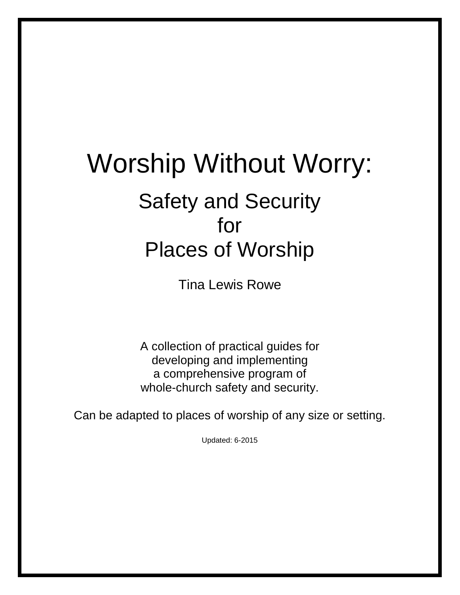# Worship Without Worry: Safety and Security for Places of Worship

Tina Lewis Rowe

A collection of practical guides for developing and implementing a comprehensive program of whole-church safety and security.

Can be adapted to places of worship of any size or setting.

Updated: 6-2015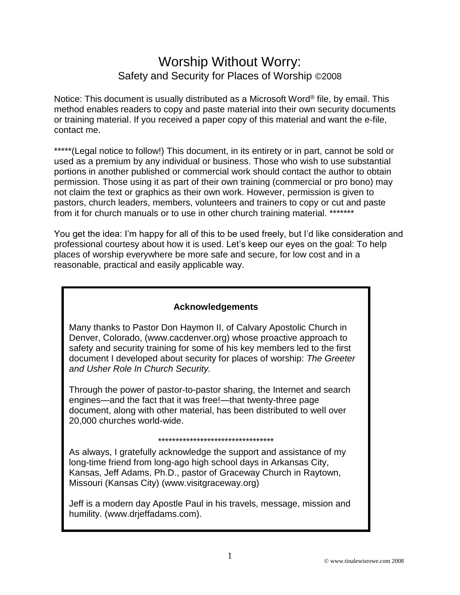# Worship Without Worry: Safety and Security for Places of Worship ©2008

Notice: This document is usually distributed as a Microsoft Word<sup>®</sup> file, by email. This method enables readers to copy and paste material into their own security documents or training material. If you received a paper copy of this material and want the e-file, contact me.

\*\*\*\*\*(Legal notice to follow!) This document, in its entirety or in part, cannot be sold or used as a premium by any individual or business. Those who wish to use substantial portions in another published or commercial work should contact the author to obtain permission. Those using it as part of their own training (commercial or pro bono) may not claim the text or graphics as their own work. However, permission is given to pastors, church leaders, members, volunteers and trainers to copy or cut and paste from it for church manuals or to use in other church training material. \*\*\*\*\*\*\*

You get the idea: I'm happy for all of this to be used freely, but I'd like consideration and professional courtesy about how it is used. Let's keep our eyes on the goal: To help places of worship everywhere be more safe and secure, for low cost and in a reasonable, practical and easily applicable way.

#### **Acknowledgements**

Many thanks to Pastor Don Haymon II, of Calvary Apostolic Church in Denver, Colorado, (www.cacdenver.org) whose proactive approach to safety and security training for some of his key members led to the first document I developed about security for places of worship: *The Greeter and Usher Role In Church Security.*

Through the power of pastor-to-pastor sharing, the Internet and search engines—and the fact that it was free!—that twenty-three page document, along with other material, has been distributed to well over 20,000 churches world-wide.

#### \*\*\*\*\*\*\*\*\*\*\*\*\*\*\*\*\*\*\*\*\*\*\*\*\*\*\*\*\*\*\*\*\*

As always, I gratefully acknowledge the support and assistance of my long-time friend from long-ago high school days in Arkansas City, Kansas, Jeff Adams, Ph.D., pastor of Graceway Church in Raytown, Missouri (Kansas City) (www.visitgraceway.org)

Jeff is a modern day Apostle Paul in his travels, message, mission and humility. (www.drjeffadams.com).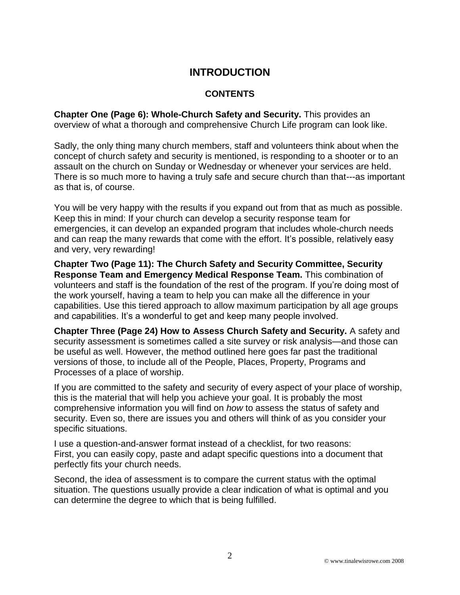# **INTRODUCTION**

#### **CONTENTS**

**Chapter One (Page 6): Whole-Church Safety and Security.** This provides an overview of what a thorough and comprehensive Church Life program can look like.

Sadly, the only thing many church members, staff and volunteers think about when the concept of church safety and security is mentioned, is responding to a shooter or to an assault on the church on Sunday or Wednesday or whenever your services are held. There is so much more to having a truly safe and secure church than that---as important as that is, of course.

You will be very happy with the results if you expand out from that as much as possible. Keep this in mind: If your church can develop a security response team for emergencies, it can develop an expanded program that includes whole-church needs and can reap the many rewards that come with the effort. It's possible, relatively easy and very, very rewarding!

**Chapter Two (Page 11): The Church Safety and Security Committee, Security Response Team and Emergency Medical Response Team.** This combination of volunteers and staff is the foundation of the rest of the program. If you're doing most of the work yourself, having a team to help you can make all the difference in your capabilities. Use this tiered approach to allow maximum participation by all age groups and capabilities. It's a wonderful to get and keep many people involved.

**Chapter Three (Page 24) How to Assess Church Safety and Security.** A safety and security assessment is sometimes called a site survey or risk analysis—and those can be useful as well. However, the method outlined here goes far past the traditional versions of those, to include all of the People, Places, Property, Programs and Processes of a place of worship.

If you are committed to the safety and security of every aspect of your place of worship, this is the material that will help you achieve your goal. It is probably the most comprehensive information you will find on *how* to assess the status of safety and security. Even so, there are issues you and others will think of as you consider your specific situations.

I use a question-and-answer format instead of a checklist, for two reasons: First, you can easily copy, paste and adapt specific questions into a document that perfectly fits your church needs.

Second, the idea of assessment is to compare the current status with the optimal situation. The questions usually provide a clear indication of what is optimal and you can determine the degree to which that is being fulfilled.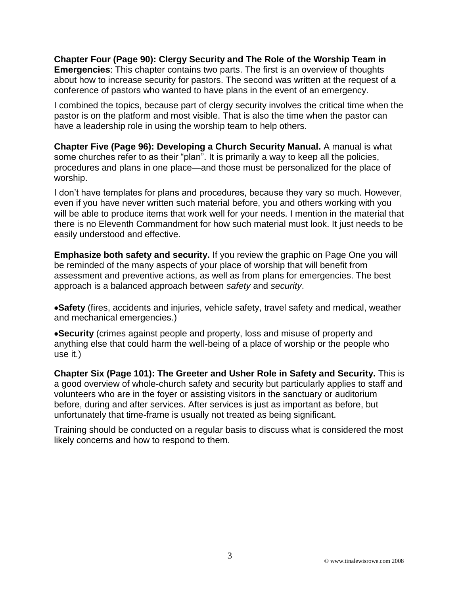**Chapter Four (Page 90): Clergy Security and The Role of the Worship Team in Emergencies**: This chapter contains two parts. The first is an overview of thoughts about how to increase security for pastors. The second was written at the request of a conference of pastors who wanted to have plans in the event of an emergency.

I combined the topics, because part of clergy security involves the critical time when the pastor is on the platform and most visible. That is also the time when the pastor can have a leadership role in using the worship team to help others.

**Chapter Five (Page 96): Developing a Church Security Manual.** A manual is what some churches refer to as their "plan". It is primarily a way to keep all the policies, procedures and plans in one place—and those must be personalized for the place of worship.

I don't have templates for plans and procedures, because they vary so much. However, even if you have never written such material before, you and others working with you will be able to produce items that work well for your needs. I mention in the material that there is no Eleventh Commandment for how such material must look. It just needs to be easily understood and effective.

**Emphasize both safety and security.** If you review the graphic on Page One you will be reminded of the many aspects of your place of worship that will benefit from assessment and preventive actions, as well as from plans for emergencies. The best approach is a balanced approach between *safety* and *security*.

**Safety** (fires, accidents and injuries, vehicle safety, travel safety and medical, weather and mechanical emergencies.)

**Security** (crimes against people and property, loss and misuse of property and anything else that could harm the well-being of a place of worship or the people who use it.)

**Chapter Six (Page 101): The Greeter and Usher Role in Safety and Security.** This is a good overview of whole-church safety and security but particularly applies to staff and volunteers who are in the foyer or assisting visitors in the sanctuary or auditorium before, during and after services. After services is just as important as before, but unfortunately that time-frame is usually not treated as being significant.

Training should be conducted on a regular basis to discuss what is considered the most likely concerns and how to respond to them.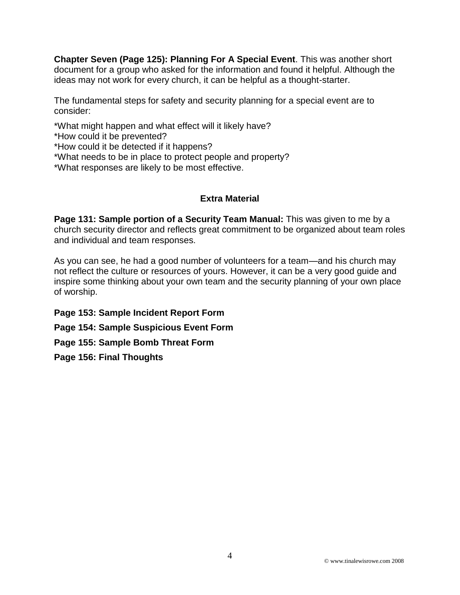**Chapter Seven (Page 125): Planning For A Special Event**. This was another short document for a group who asked for the information and found it helpful. Although the ideas may not work for every church, it can be helpful as a thought-starter.

The fundamental steps for safety and security planning for a special event are to consider:

\*What might happen and what effect will it likely have?

\*How could it be prevented?

\*How could it be detected if it happens?

\*What needs to be in place to protect people and property?

\*What responses are likely to be most effective.

#### **Extra Material**

**Page 131: Sample portion of a Security Team Manual:** This was given to me by a church security director and reflects great commitment to be organized about team roles and individual and team responses.

As you can see, he had a good number of volunteers for a team—and his church may not reflect the culture or resources of yours. However, it can be a very good guide and inspire some thinking about your own team and the security planning of your own place of worship.

**Page 153: Sample Incident Report Form**

**Page 154: Sample Suspicious Event Form**

**Page 155: Sample Bomb Threat Form**

**Page 156: Final Thoughts**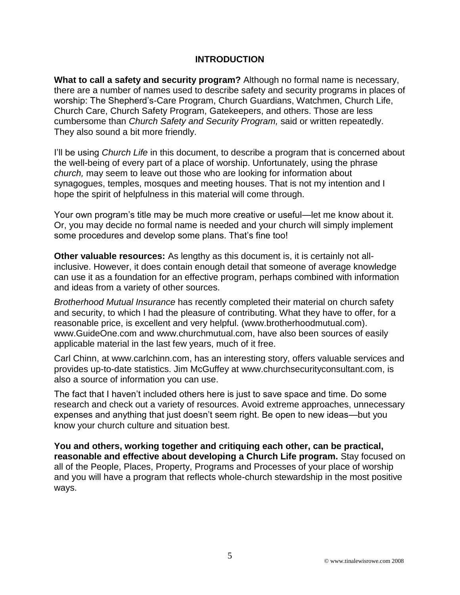#### **INTRODUCTION**

**What to call a safety and security program?** Although no formal name is necessary, there are a number of names used to describe safety and security programs in places of worship: The Shepherd's-Care Program, Church Guardians, Watchmen, Church Life, Church Care, Church Safety Program, Gatekeepers, and others. Those are less cumbersome than *Church Safety and Security Program,* said or written repeatedly. They also sound a bit more friendly.

I'll be using *Church Life* in this document, to describe a program that is concerned about the well-being of every part of a place of worship. Unfortunately, using the phrase *church,* may seem to leave out those who are looking for information about synagogues, temples, mosques and meeting houses. That is not my intention and I hope the spirit of helpfulness in this material will come through.

Your own program's title may be much more creative or useful—let me know about it. Or, you may decide no formal name is needed and your church will simply implement some procedures and develop some plans. That's fine too!

**Other valuable resources:** As lengthy as this document is, it is certainly not allinclusive. However, it does contain enough detail that someone of average knowledge can use it as a foundation for an effective program, perhaps combined with information and ideas from a variety of other sources.

*Brotherhood Mutual Insurance* has recently completed their material on church safety and security, to which I had the pleasure of contributing. What they have to offer, for a reasonable price, is excellent and very helpful. (www.brotherhoodmutual.com). www.GuideOne.com and www.churchmutual.com, have also been sources of easily applicable material in the last few years, much of it free.

Carl Chinn, at www.carlchinn.com, has an interesting story, offers valuable services and provides up-to-date statistics. Jim McGuffey at www.churchsecurityconsultant.com, is also a source of information you can use.

The fact that I haven't included others here is just to save space and time. Do some research and check out a variety of resources. Avoid extreme approaches, unnecessary expenses and anything that just doesn't seem right. Be open to new ideas—but you know your church culture and situation best.

**You and others, working together and critiquing each other, can be practical, reasonable and effective about developing a Church Life program.** Stay focused on all of the People, Places, Property, Programs and Processes of your place of worship and you will have a program that reflects whole-church stewardship in the most positive ways.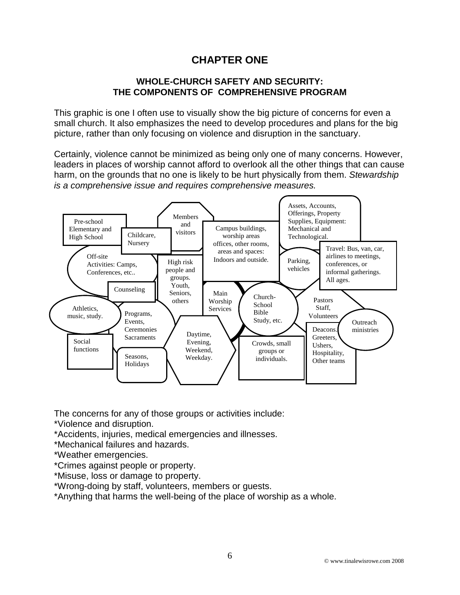# **CHAPTER ONE**

#### **WHOLE-CHURCH SAFETY AND SECURITY: THE COMPONENTS OF COMPREHENSIVE PROGRAM**

This graphic is one I often use to visually show the big picture of concerns for even a small church. It also emphasizes the need to develop procedures and plans for the big picture, rather than only focusing on violence and disruption in the sanctuary.

Certainly, violence cannot be minimized as being only one of many concerns. However, leaders in places of worship cannot afford to overlook all the other things that can cause harm, on the grounds that no one is likely to be hurt physically from them. *Stewardship is a comprehensive issue and requires comprehensive measures.* 



The concerns for any of those groups or activities include:

- \*Violence and disruption.
- \*Accidents, injuries, medical emergencies and illnesses.
- \*Mechanical failures and hazards.
- \*Weather emergencies.
- \*Crimes against people or property.
- \*Misuse, loss or damage to property.
- \*Wrong-doing by staff, volunteers, members or guests.

\*Anything that harms the well-being of the place of worship as a whole.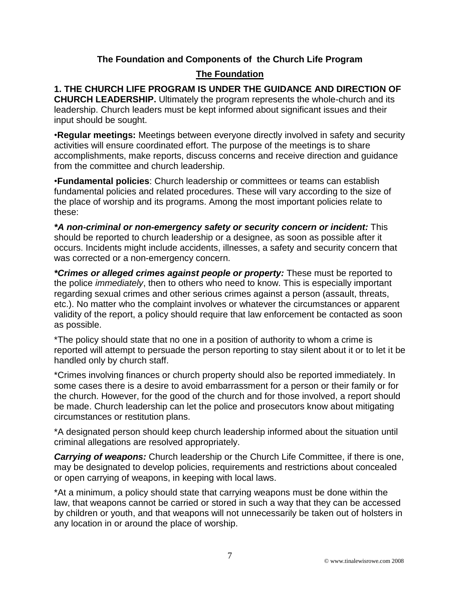#### **The Foundation and Components of the Church Life Program**

#### **The Foundation**

## **1. THE CHURCH LIFE PROGRAM IS UNDER THE GUIDANCE AND DIRECTION OF**

**CHURCH LEADERSHIP.** Ultimately the program represents the whole-church and its leadership. Church leaders must be kept informed about significant issues and their input should be sought.

•**Regular meetings:** Meetings between everyone directly involved in safety and security activities will ensure coordinated effort. The purpose of the meetings is to share accomplishments, make reports, discuss concerns and receive direction and guidance from the committee and church leadership.

•**Fundamental policies**: Church leadership or committees or teams can establish fundamental policies and related procedures. These will vary according to the size of the place of worship and its programs. Among the most important policies relate to these:

*\*A non-criminal or non-emergency safety or security concern or incident:* This should be reported to church leadership or a designee, as soon as possible after it occurs. Incidents might include accidents, illnesses, a safety and security concern that was corrected or a non-emergency concern.

*\*Crimes or alleged crimes against people or property:* These must be reported to the police *immediately*, then to others who need to know. This is especially important regarding sexual crimes and other serious crimes against a person (assault, threats, etc.). No matter who the complaint involves or whatever the circumstances or apparent validity of the report, a policy should require that law enforcement be contacted as soon as possible.

\*The policy should state that no one in a position of authority to whom a crime is reported will attempt to persuade the person reporting to stay silent about it or to let it be handled only by church staff.

\*Crimes involving finances or church property should also be reported immediately. In some cases there is a desire to avoid embarrassment for a person or their family or for the church. However, for the good of the church and for those involved, a report should be made. Church leadership can let the police and prosecutors know about mitigating circumstances or restitution plans.

\*A designated person should keep church leadership informed about the situation until criminal allegations are resolved appropriately.

*Carrying of weapons:* Church leadership or the Church Life Committee, if there is one, may be designated to develop policies, requirements and restrictions about concealed or open carrying of weapons, in keeping with local laws.

\*At a minimum, a policy should state that carrying weapons must be done within the law, that weapons cannot be carried or stored in such a way that they can be accessed by children or youth, and that weapons will not unnecessarily be taken out of holsters in any location in or around the place of worship.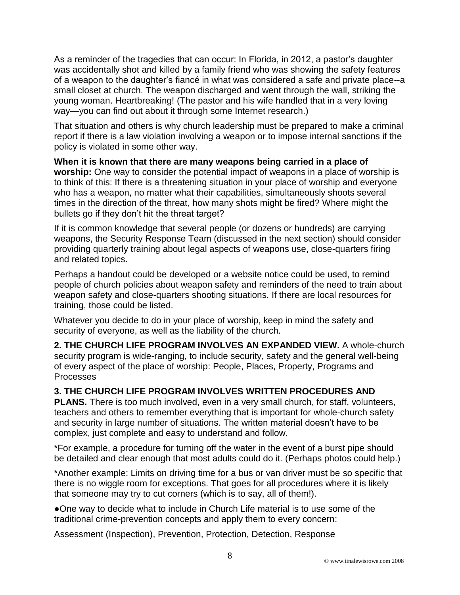As a reminder of the tragedies that can occur: In Florida, in 2012, a pastor's daughter was accidentally shot and killed by a family friend who was showing the safety features of a weapon to the daughter's fiancé in what was considered a safe and private place--a small closet at church. The weapon discharged and went through the wall, striking the young woman. Heartbreaking! (The pastor and his wife handled that in a very loving way—you can find out about it through some Internet research.)

That situation and others is why church leadership must be prepared to make a criminal report if there is a law violation involving a weapon or to impose internal sanctions if the policy is violated in some other way.

**When it is known that there are many weapons being carried in a place of worship:** One way to consider the potential impact of weapons in a place of worship is to think of this: If there is a threatening situation in your place of worship and everyone who has a weapon, no matter what their capabilities, simultaneously shoots several times in the direction of the threat, how many shots might be fired? Where might the bullets go if they don't hit the threat target?

If it is common knowledge that several people (or dozens or hundreds) are carrying weapons, the Security Response Team (discussed in the next section) should consider providing quarterly training about legal aspects of weapons use, close-quarters firing and related topics.

Perhaps a handout could be developed or a website notice could be used, to remind people of church policies about weapon safety and reminders of the need to train about weapon safety and close-quarters shooting situations. If there are local resources for training, those could be listed.

Whatever you decide to do in your place of worship, keep in mind the safety and security of everyone, as well as the liability of the church.

**2. THE CHURCH LIFE PROGRAM INVOLVES AN EXPANDED VIEW.** A whole-church security program is wide-ranging, to include security, safety and the general well-being of every aspect of the place of worship: People, Places, Property, Programs and Processes

## **3. THE CHURCH LIFE PROGRAM INVOLVES WRITTEN PROCEDURES AND**

**PLANS.** There is too much involved, even in a very small church, for staff, volunteers, teachers and others to remember everything that is important for whole-church safety and security in large number of situations. The written material doesn't have to be complex, just complete and easy to understand and follow.

\*For example, a procedure for turning off the water in the event of a burst pipe should be detailed and clear enough that most adults could do it. (Perhaps photos could help.)

\*Another example: Limits on driving time for a bus or van driver must be so specific that there is no wiggle room for exceptions. That goes for all procedures where it is likely that someone may try to cut corners (which is to say, all of them!).

●One way to decide what to include in Church Life material is to use some of the traditional crime-prevention concepts and apply them to every concern:

Assessment (Inspection), Prevention, Protection, Detection, Response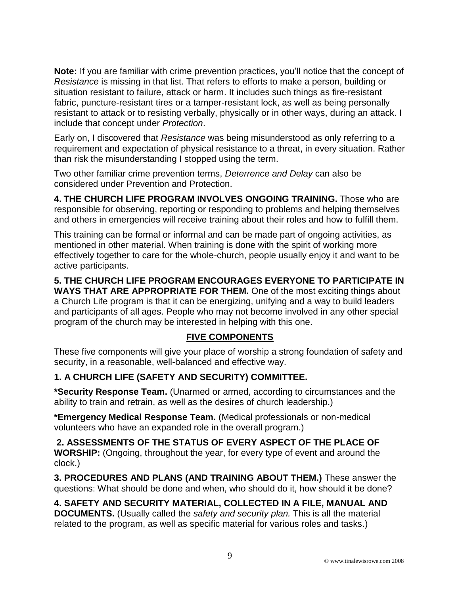**Note:** If you are familiar with crime prevention practices, you'll notice that the concept of *Resistance* is missing in that list. That refers to efforts to make a person, building or situation resistant to failure, attack or harm. It includes such things as fire-resistant fabric, puncture-resistant tires or a tamper-resistant lock, as well as being personally resistant to attack or to resisting verbally, physically or in other ways, during an attack. I include that concept under *Protection*.

Early on, I discovered that *Resistance* was being misunderstood as only referring to a requirement and expectation of physical resistance to a threat, in every situation. Rather than risk the misunderstanding I stopped using the term.

Two other familiar crime prevention terms, *Deterrence and Delay* can also be considered under Prevention and Protection.

**4. THE CHURCH LIFE PROGRAM INVOLVES ONGOING TRAINING.** Those who are responsible for observing, reporting or responding to problems and helping themselves and others in emergencies will receive training about their roles and how to fulfill them.

This training can be formal or informal and can be made part of ongoing activities, as mentioned in other material. When training is done with the spirit of working more effectively together to care for the whole-church, people usually enjoy it and want to be active participants.

**5. THE CHURCH LIFE PROGRAM ENCOURAGES EVERYONE TO PARTICIPATE IN WAYS THAT ARE APPROPRIATE FOR THEM.** One of the most exciting things about a Church Life program is that it can be energizing, unifying and a way to build leaders and participants of all ages. People who may not become involved in any other special program of the church may be interested in helping with this one.

#### **FIVE COMPONENTS**

These five components will give your place of worship a strong foundation of safety and security, in a reasonable, well-balanced and effective way.

## **1. A CHURCH LIFE (SAFETY AND SECURITY) COMMITTEE.**

**\*Security Response Team.** (Unarmed or armed, according to circumstances and the ability to train and retrain, as well as the desires of church leadership.)

**\*Emergency Medical Response Team.** (Medical professionals or non-medical volunteers who have an expanded role in the overall program.)

**2. ASSESSMENTS OF THE STATUS OF EVERY ASPECT OF THE PLACE OF WORSHIP:** (Ongoing, throughout the year, for every type of event and around the clock.)

**3. PROCEDURES AND PLANS (AND TRAINING ABOUT THEM.)** These answer the questions: What should be done and when, who should do it, how should it be done?

**4. SAFETY AND SECURITY MATERIAL, COLLECTED IN A FILE, MANUAL AND DOCUMENTS.** (Usually called the *safety and security plan.* This is all the material related to the program, as well as specific material for various roles and tasks.)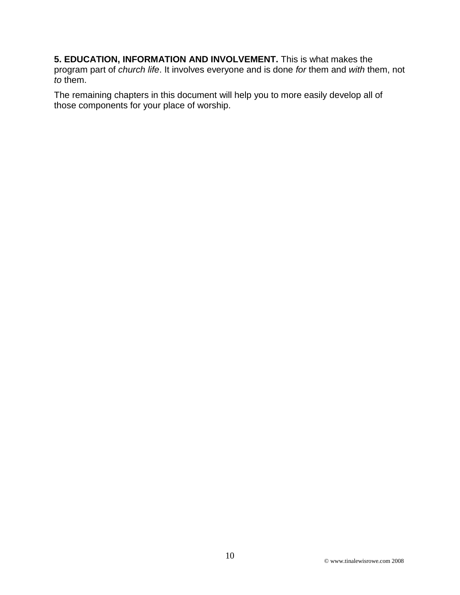**5. EDUCATION, INFORMATION AND INVOLVEMENT.** This is what makes the program part of *church life*. It involves everyone and is done *for* them and *with* them, not *to* them.

The remaining chapters in this document will help you to more easily develop all of those components for your place of worship.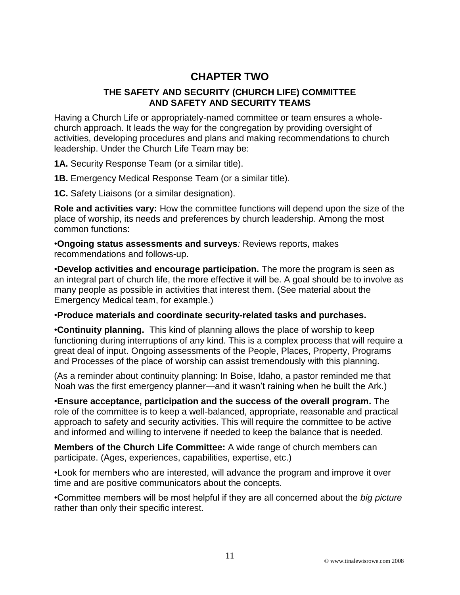# **CHAPTER TWO**

#### **THE SAFETY AND SECURITY (CHURCH LIFE) COMMITTEE AND SAFETY AND SECURITY TEAMS**

Having a Church Life or appropriately-named committee or team ensures a wholechurch approach. It leads the way for the congregation by providing oversight of activities, developing procedures and plans and making recommendations to church leadership. Under the Church Life Team may be:

**1A.** Security Response Team (or a similar title).

**1B.** Emergency Medical Response Team (or a similar title).

**1C.** Safety Liaisons (or a similar designation).

**Role and activities vary:** How the committee functions will depend upon the size of the place of worship, its needs and preferences by church leadership. Among the most common functions:

•**Ongoing status assessments and surveys***:* Reviews reports, makes recommendations and follows-up.

•**Develop activities and encourage participation.** The more the program is seen as an integral part of church life, the more effective it will be. A goal should be to involve as many people as possible in activities that interest them. (See material about the Emergency Medical team, for example.)

#### •**Produce materials and coordinate security-related tasks and purchases.**

•**Continuity planning.** This kind of planning allows the place of worship to keep functioning during interruptions of any kind. This is a complex process that will require a great deal of input. Ongoing assessments of the People, Places, Property, Programs and Processes of the place of worship can assist tremendously with this planning.

(As a reminder about continuity planning: In Boise, Idaho, a pastor reminded me that Noah was the first emergency planner—and it wasn't raining when he built the Ark.)

•**Ensure acceptance, participation and the success of the overall program.** The role of the committee is to keep a well-balanced, appropriate, reasonable and practical approach to safety and security activities. This will require the committee to be active and informed and willing to intervene if needed to keep the balance that is needed.

**Members of the Church Life Committee:** A wide range of church members can participate. (Ages, experiences, capabilities, expertise, etc.)

•Look for members who are interested, will advance the program and improve it over time and are positive communicators about the concepts.

•Committee members will be most helpful if they are all concerned about the *big picture* rather than only their specific interest.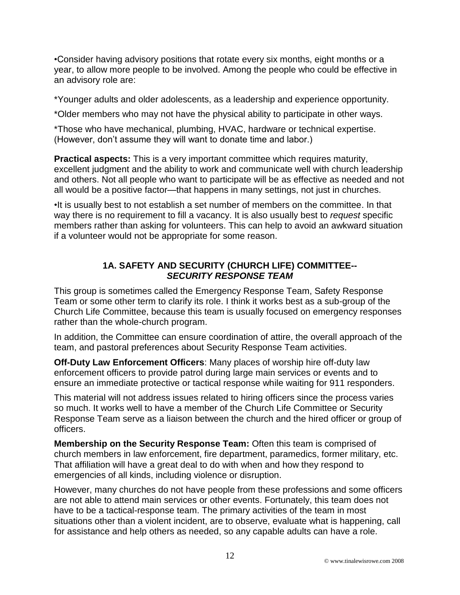•Consider having advisory positions that rotate every six months, eight months or a year, to allow more people to be involved. Among the people who could be effective in an advisory role are:

\*Younger adults and older adolescents, as a leadership and experience opportunity.

\*Older members who may not have the physical ability to participate in other ways.

\*Those who have mechanical, plumbing, HVAC, hardware or technical expertise. (However, don't assume they will want to donate time and labor.)

**Practical aspects:** This is a very important committee which requires maturity, excellent judgment and the ability to work and communicate well with church leadership and others. Not all people who want to participate will be as effective as needed and not all would be a positive factor—that happens in many settings, not just in churches.

•It is usually best to not establish a set number of members on the committee. In that way there is no requirement to fill a vacancy. It is also usually best to *request* specific members rather than asking for volunteers. This can help to avoid an awkward situation if a volunteer would not be appropriate for some reason.

#### **1A. SAFETY AND SECURITY (CHURCH LIFE) COMMITTEE--** *SECURITY RESPONSE TEAM*

This group is sometimes called the Emergency Response Team, Safety Response Team or some other term to clarify its role. I think it works best as a sub-group of the Church Life Committee, because this team is usually focused on emergency responses rather than the whole-church program.

In addition, the Committee can ensure coordination of attire, the overall approach of the team, and pastoral preferences about Security Response Team activities.

**Off-Duty Law Enforcement Officers**: Many places of worship hire off-duty law enforcement officers to provide patrol during large main services or events and to ensure an immediate protective or tactical response while waiting for 911 responders.

This material will not address issues related to hiring officers since the process varies so much. It works well to have a member of the Church Life Committee or Security Response Team serve as a liaison between the church and the hired officer or group of officers.

**Membership on the Security Response Team:** Often this team is comprised of church members in law enforcement, fire department, paramedics, former military, etc. That affiliation will have a great deal to do with when and how they respond to emergencies of all kinds, including violence or disruption.

However, many churches do not have people from these professions and some officers are not able to attend main services or other events. Fortunately, this team does not have to be a tactical-response team. The primary activities of the team in most situations other than a violent incident, are to observe, evaluate what is happening, call for assistance and help others as needed, so any capable adults can have a role.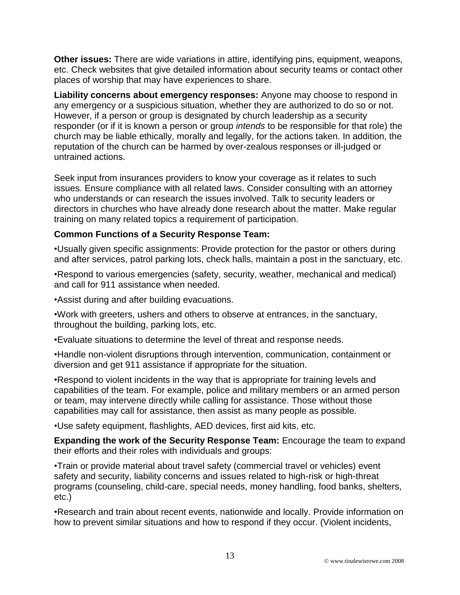**Other issues:** There are wide variations in attire, identifying pins, equipment, weapons, etc. Check websites that give detailed information about security teams or contact other places of worship that may have experiences to share.

**Liability concerns about emergency responses:** Anyone may choose to respond in any emergency or a suspicious situation, whether they are authorized to do so or not. However, if a person or group is designated by church leadership as a security responder (or if it is known a person or group *intends* to be responsible for that role) the church may be liable ethically, morally and legally, for the actions taken. In addition, the reputation of the church can be harmed by over-zealous responses or ill-judged or untrained actions.

Seek input from insurances providers to know your coverage as it relates to such issues. Ensure compliance with all related laws. Consider consulting with an attorney who understands or can research the issues involved. Talk to security leaders or directors in churches who have already done research about the matter. Make regular training on many related topics a requirement of participation.

#### **Common Functions of a Security Response Team:**

•Usually given specific assignments: Provide protection for the pastor or others during and after services, patrol parking lots, check halls, maintain a post in the sanctuary, etc.

•Respond to various emergencies (safety, security, weather, mechanical and medical) and call for 911 assistance when needed.

•Assist during and after building evacuations.

•Work with greeters, ushers and others to observe at entrances, in the sanctuary, throughout the building, parking lots, etc.

•Evaluate situations to determine the level of threat and response needs.

•Handle non-violent disruptions through intervention, communication, containment or diversion and get 911 assistance if appropriate for the situation.

•Respond to violent incidents in the way that is appropriate for training levels and capabilities of the team. For example, police and military members or an armed person or team, may intervene directly while calling for assistance. Those without those capabilities may call for assistance, then assist as many people as possible.

•Use safety equipment, flashlights, AED devices, first aid kits, etc.

**Expanding the work of the Security Response Team:** Encourage the team to expand their efforts and their roles with individuals and groups:

•Train or provide material about travel safety (commercial travel or vehicles) event safety and security, liability concerns and issues related to high-risk or high-threat programs (counseling, child-care, special needs, money handling, food banks, shelters, etc.)

•Research and train about recent events, nationwide and locally. Provide information on how to prevent similar situations and how to respond if they occur. (Violent incidents,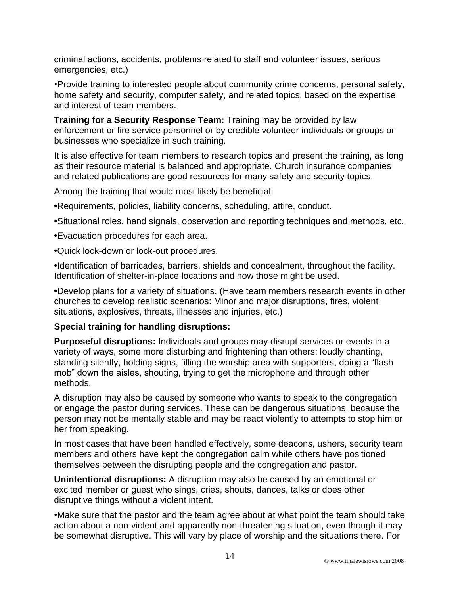criminal actions, accidents, problems related to staff and volunteer issues, serious emergencies, etc.)

•Provide training to interested people about community crime concerns, personal safety, home safety and security, computer safety, and related topics, based on the expertise and interest of team members.

**Training for a Security Response Team:** Training may be provided by law enforcement or fire service personnel or by credible volunteer individuals or groups or businesses who specialize in such training.

It is also effective for team members to research topics and present the training, as long as their resource material is balanced and appropriate. Church insurance companies and related publications are good resources for many safety and security topics.

Among the training that would most likely be beneficial:

**•**Requirements, policies, liability concerns, scheduling, attire, conduct.

- **•**Situational roles, hand signals, observation and reporting techniques and methods, etc.
- **•**Evacuation procedures for each area.

**•**Quick lock-down or lock-out procedures.

**•**Identification of barricades, barriers, shields and concealment, throughout the facility. Identification of shelter-in-place locations and how those might be used.

**•**Develop plans for a variety of situations. (Have team members research events in other churches to develop realistic scenarios: Minor and major disruptions, fires, violent situations, explosives, threats, illnesses and injuries, etc.)

#### **Special training for handling disruptions:**

**Purposeful disruptions:** Individuals and groups may disrupt services or events in a variety of ways, some more disturbing and frightening than others: loudly chanting, standing silently, holding signs, filling the worship area with supporters, doing a "flash mob" down the aisles, shouting, trying to get the microphone and through other methods.

A disruption may also be caused by someone who wants to speak to the congregation or engage the pastor during services. These can be dangerous situations, because the person may not be mentally stable and may be react violently to attempts to stop him or her from speaking.

In most cases that have been handled effectively, some deacons, ushers, security team members and others have kept the congregation calm while others have positioned themselves between the disrupting people and the congregation and pastor.

**Unintentional disruptions:** A disruption may also be caused by an emotional or excited member or guest who sings, cries, shouts, dances, talks or does other disruptive things without a violent intent.

•Make sure that the pastor and the team agree about at what point the team should take action about a non-violent and apparently non-threatening situation, even though it may be somewhat disruptive. This will vary by place of worship and the situations there. For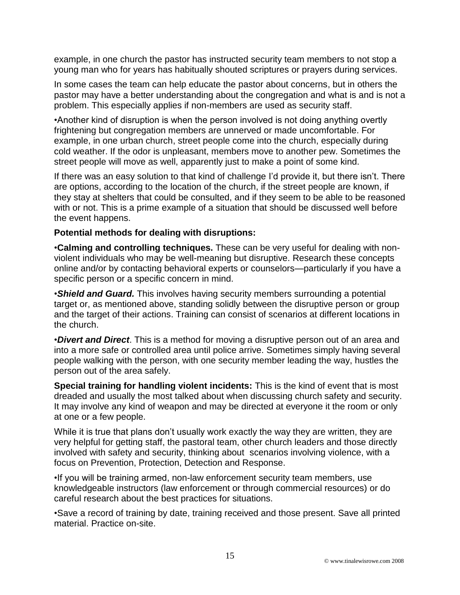example, in one church the pastor has instructed security team members to not stop a young man who for years has habitually shouted scriptures or prayers during services.

In some cases the team can help educate the pastor about concerns, but in others the pastor may have a better understanding about the congregation and what is and is not a problem. This especially applies if non-members are used as security staff.

•Another kind of disruption is when the person involved is not doing anything overtly frightening but congregation members are unnerved or made uncomfortable. For example, in one urban church, street people come into the church, especially during cold weather. If the odor is unpleasant, members move to another pew. Sometimes the street people will move as well, apparently just to make a point of some kind.

If there was an easy solution to that kind of challenge I'd provide it, but there isn't. There are options, according to the location of the church, if the street people are known, if they stay at shelters that could be consulted, and if they seem to be able to be reasoned with or not. This is a prime example of a situation that should be discussed well before the event happens.

#### **Potential methods for dealing with disruptions:**

•**Calming and controlling techniques.** These can be very useful for dealing with nonviolent individuals who may be well-meaning but disruptive. Research these concepts online and/or by contacting behavioral experts or counselors—particularly if you have a specific person or a specific concern in mind.

•*Shield and Guard.* This involves having security members surrounding a potential target or, as mentioned above, standing solidly between the disruptive person or group and the target of their actions. Training can consist of scenarios at different locations in the church.

•*Divert and Direct*. This is a method for moving a disruptive person out of an area and into a more safe or controlled area until police arrive. Sometimes simply having several people walking with the person, with one security member leading the way, hustles the person out of the area safely.

**Special training for handling violent incidents:** This is the kind of event that is most dreaded and usually the most talked about when discussing church safety and security. It may involve any kind of weapon and may be directed at everyone it the room or only at one or a few people.

While it is true that plans don't usually work exactly the way they are written, they are very helpful for getting staff, the pastoral team, other church leaders and those directly involved with safety and security, thinking about scenarios involving violence, with a focus on Prevention, Protection, Detection and Response.

•If you will be training armed, non-law enforcement security team members, use knowledgeable instructors (law enforcement or through commercial resources) or do careful research about the best practices for situations.

•Save a record of training by date, training received and those present. Save all printed material. Practice on-site.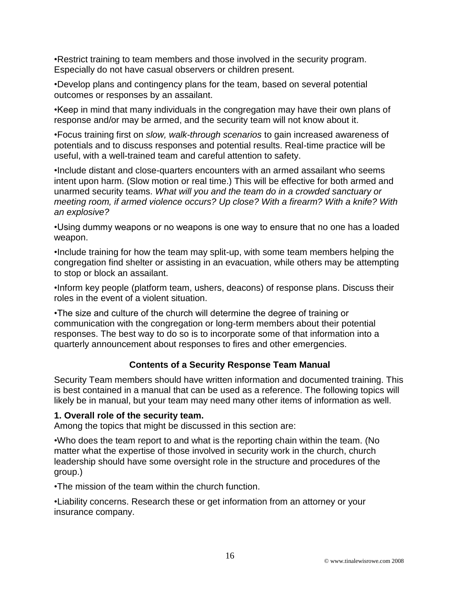•Restrict training to team members and those involved in the security program. Especially do not have casual observers or children present.

•Develop plans and contingency plans for the team, based on several potential outcomes or responses by an assailant.

•Keep in mind that many individuals in the congregation may have their own plans of response and/or may be armed, and the security team will not know about it.

•Focus training first on *slow, walk-through scenarios* to gain increased awareness of potentials and to discuss responses and potential results. Real-time practice will be useful, with a well-trained team and careful attention to safety.

•Include distant and close-quarters encounters with an armed assailant who seems intent upon harm. (Slow motion or real time.) This will be effective for both armed and unarmed security teams. *What will you and the team do in a crowded sanctuary or meeting room, if armed violence occurs? Up close? With a firearm? With a knife? With an explosive?*

•Using dummy weapons or no weapons is one way to ensure that no one has a loaded weapon.

•Include training for how the team may split-up, with some team members helping the congregation find shelter or assisting in an evacuation, while others may be attempting to stop or block an assailant.

•Inform key people (platform team, ushers, deacons) of response plans. Discuss their roles in the event of a violent situation.

•The size and culture of the church will determine the degree of training or communication with the congregation or long-term members about their potential responses. The best way to do so is to incorporate some of that information into a quarterly announcement about responses to fires and other emergencies.

#### **Contents of a Security Response Team Manual**

Security Team members should have written information and documented training. This is best contained in a manual that can be used as a reference. The following topics will likely be in manual, but your team may need many other items of information as well.

#### **1. Overall role of the security team.**

Among the topics that might be discussed in this section are:

•Who does the team report to and what is the reporting chain within the team. (No matter what the expertise of those involved in security work in the church, church leadership should have some oversight role in the structure and procedures of the group.)

•The mission of the team within the church function.

•Liability concerns. Research these or get information from an attorney or your insurance company.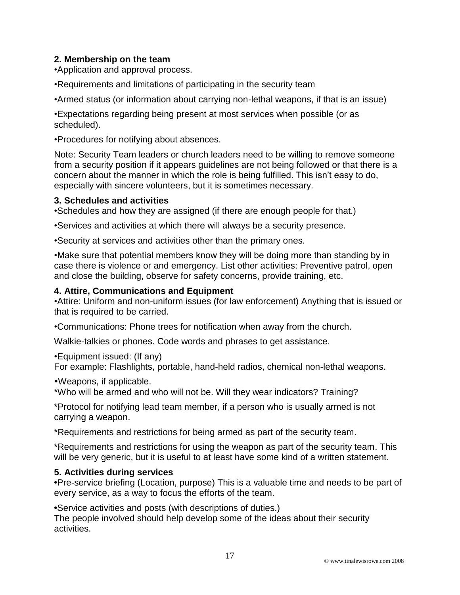#### **2. Membership on the team**

•Application and approval process.

•Requirements and limitations of participating in the security team

•Armed status (or information about carrying non-lethal weapons, if that is an issue)

•Expectations regarding being present at most services when possible (or as scheduled).

•Procedures for notifying about absences.

Note: Security Team leaders or church leaders need to be willing to remove someone from a security position if it appears guidelines are not being followed or that there is a concern about the manner in which the role is being fulfilled. This isn't easy to do, especially with sincere volunteers, but it is sometimes necessary.

#### **3. Schedules and activities**

•Schedules and how they are assigned (if there are enough people for that.)

•Services and activities at which there will always be a security presence.

•Security at services and activities other than the primary ones.

•Make sure that potential members know they will be doing more than standing by in case there is violence or and emergency. List other activities: Preventive patrol, open and close the building, observe for safety concerns, provide training, etc.

#### **4. Attire, Communications and Equipment**

•Attire: Uniform and non-uniform issues (for law enforcement) Anything that is issued or that is required to be carried.

•Communications: Phone trees for notification when away from the church.

Walkie-talkies or phones. Code words and phrases to get assistance.

•Equipment issued: (If any)

For example: Flashlights, portable, hand-held radios, chemical non-lethal weapons.

Weapons, if applicable.

\*Who will be armed and who will not be. Will they wear indicators? Training?

\*Protocol for notifying lead team member, if a person who is usually armed is not carrying a weapon.

\*Requirements and restrictions for being armed as part of the security team.

\*Requirements and restrictions for using the weapon as part of the security team. This will be very generic, but it is useful to at least have some kind of a written statement.

#### **5. Activities during services**

**•**Pre-service briefing (Location, purpose) This is a valuable time and needs to be part of every service, as a way to focus the efforts of the team.

**•**Service activities and posts (with descriptions of duties.)

The people involved should help develop some of the ideas about their security activities.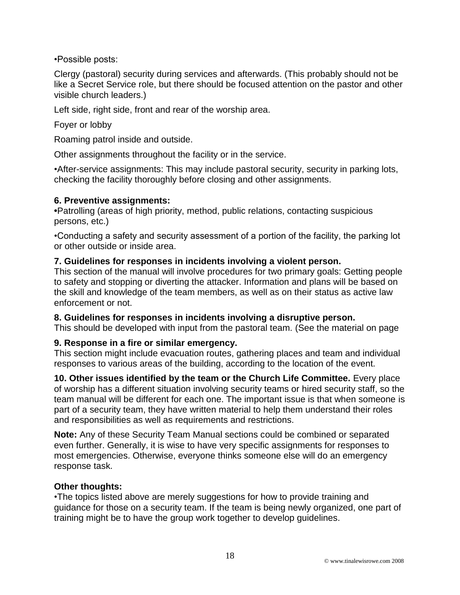•Possible posts:

Clergy (pastoral) security during services and afterwards. (This probably should not be like a Secret Service role, but there should be focused attention on the pastor and other visible church leaders.)

Left side, right side, front and rear of the worship area.

Foyer or lobby

Roaming patrol inside and outside.

Other assignments throughout the facility or in the service.

•After-service assignments: This may include pastoral security, security in parking lots, checking the facility thoroughly before closing and other assignments.

#### **6. Preventive assignments:**

**•**Patrolling (areas of high priority, method, public relations, contacting suspicious persons, etc.)

•Conducting a safety and security assessment of a portion of the facility, the parking lot or other outside or inside area.

#### **7. Guidelines for responses in incidents involving a violent person.**

This section of the manual will involve procedures for two primary goals: Getting people to safety and stopping or diverting the attacker. Information and plans will be based on the skill and knowledge of the team members, as well as on their status as active law enforcement or not.

**8. Guidelines for responses in incidents involving a disruptive person.** 

This should be developed with input from the pastoral team. (See the material on page

#### **9. Response in a fire or similar emergency.**

This section might include evacuation routes, gathering places and team and individual responses to various areas of the building, according to the location of the event.

**10. Other issues identified by the team or the Church Life Committee.** Every place of worship has a different situation involving security teams or hired security staff, so the team manual will be different for each one. The important issue is that when someone is part of a security team, they have written material to help them understand their roles and responsibilities as well as requirements and restrictions.

**Note:** Any of these Security Team Manual sections could be combined or separated even further. Generally, it is wise to have very specific assignments for responses to most emergencies. Otherwise, everyone thinks someone else will do an emergency response task.

#### **Other thoughts:**

•The topics listed above are merely suggestions for how to provide training and guidance for those on a security team. If the team is being newly organized, one part of training might be to have the group work together to develop guidelines.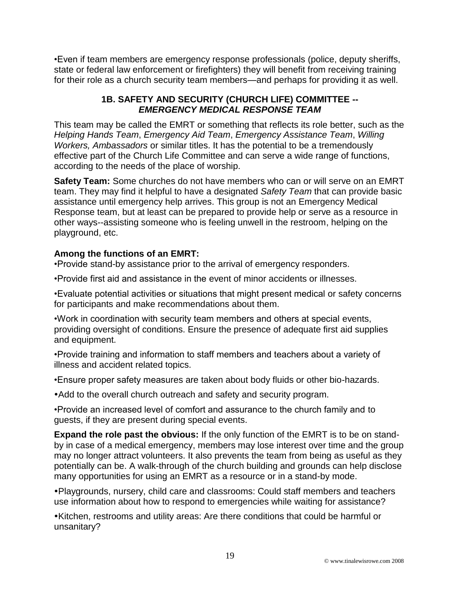•Even if team members are emergency response professionals (police, deputy sheriffs, state or federal law enforcement or firefighters) they will benefit from receiving training for their role as a church security team members—and perhaps for providing it as well.

#### **1B. SAFETY AND SECURITY (CHURCH LIFE) COMMITTEE --** *EMERGENCY MEDICAL RESPONSE TEAM*

This team may be called the EMRT or something that reflects its role better, such as the *Helping Hands Team*, *Emergency Aid Team*, *Emergency Assistance Team*, *Willing Workers, Ambassadors* or similar titles. It has the potential to be a tremendously effective part of the Church Life Committee and can serve a wide range of functions, according to the needs of the place of worship.

**Safety Team:** Some churches do not have members who can or will serve on an EMRT team. They may find it helpful to have a designated *Safety Team* that can provide basic assistance until emergency help arrives. This group is not an Emergency Medical Response team, but at least can be prepared to provide help or serve as a resource in other ways--assisting someone who is feeling unwell in the restroom, helping on the playground, etc.

#### **Among the functions of an EMRT:**

•Provide stand-by assistance prior to the arrival of emergency responders.

•Provide first aid and assistance in the event of minor accidents or illnesses.

•Evaluate potential activities or situations that might present medical or safety concerns for participants and make recommendations about them.

•Work in coordination with security team members and others at special events, providing oversight of conditions. Ensure the presence of adequate first aid supplies and equipment.

•Provide training and information to staff members and teachers about a variety of illness and accident related topics.

•Ensure proper safety measures are taken about body fluids or other bio-hazards.

Add to the overall church outreach and safety and security program.

•Provide an increased level of comfort and assurance to the church family and to guests, if they are present during special events.

**Expand the role past the obvious:** If the only function of the EMRT is to be on standby in case of a medical emergency, members may lose interest over time and the group may no longer attract volunteers. It also prevents the team from being as useful as they potentially can be. A walk-through of the church building and grounds can help disclose many opportunities for using an EMRT as a resource or in a stand-by mode.

Playgrounds, nursery, child care and classrooms: Could staff members and teachers use information about how to respond to emergencies while waiting for assistance?

Kitchen, restrooms and utility areas: Are there conditions that could be harmful or unsanitary?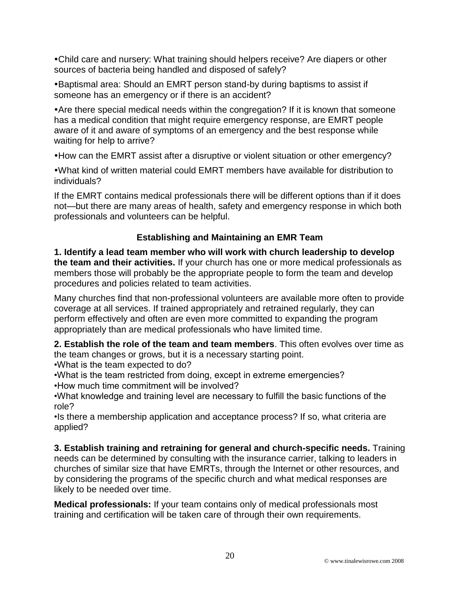Child care and nursery: What training should helpers receive? Are diapers or other sources of bacteria being handled and disposed of safely?

Baptismal area: Should an EMRT person stand-by during baptisms to assist if someone has an emergency or if there is an accident?

Are there special medical needs within the congregation? If it is known that someone has a medical condition that might require emergency response, are EMRT people aware of it and aware of symptoms of an emergency and the best response while waiting for help to arrive?

How can the EMRT assist after a disruptive or violent situation or other emergency?

What kind of written material could EMRT members have available for distribution to individuals?

If the EMRT contains medical professionals there will be different options than if it does not—but there are many areas of health, safety and emergency response in which both professionals and volunteers can be helpful.

## **Establishing and Maintaining an EMR Team**

**1. Identify a lead team member who will work with church leadership to develop the team and their activities.** If your church has one or more medical professionals as members those will probably be the appropriate people to form the team and develop procedures and policies related to team activities.

Many churches find that non-professional volunteers are available more often to provide coverage at all services. If trained appropriately and retrained regularly, they can perform effectively and often are even more committed to expanding the program appropriately than are medical professionals who have limited time.

**2. Establish the role of the team and team members**. This often evolves over time as the team changes or grows, but it is a necessary starting point.

•What is the team expected to do?

•What is the team restricted from doing, except in extreme emergencies? •How much time commitment will be involved?

•What knowledge and training level are necessary to fulfill the basic functions of the role?

•Is there a membership application and acceptance process? If so, what criteria are applied?

**3. Establish training and retraining for general and church-specific needs.** Training needs can be determined by consulting with the insurance carrier, talking to leaders in churches of similar size that have EMRTs, through the Internet or other resources, and by considering the programs of the specific church and what medical responses are likely to be needed over time.

**Medical professionals:** If your team contains only of medical professionals most training and certification will be taken care of through their own requirements.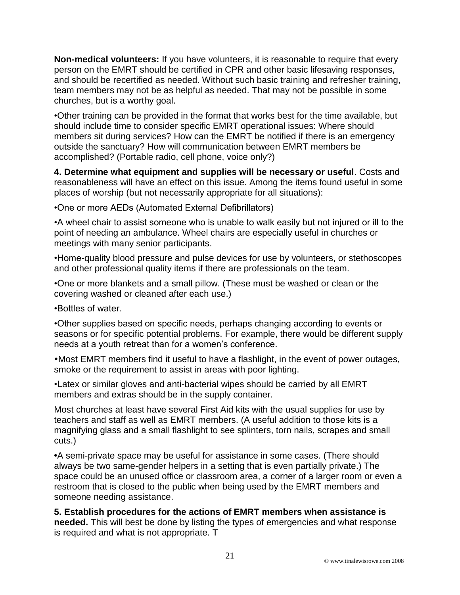**Non-medical volunteers:** If you have volunteers, it is reasonable to require that every person on the EMRT should be certified in CPR and other basic lifesaving responses, and should be recertified as needed. Without such basic training and refresher training, team members may not be as helpful as needed. That may not be possible in some churches, but is a worthy goal.

•Other training can be provided in the format that works best for the time available, but should include time to consider specific EMRT operational issues: Where should members sit during services? How can the EMRT be notified if there is an emergency outside the sanctuary? How will communication between EMRT members be accomplished? (Portable radio, cell phone, voice only?)

**4. Determine what equipment and supplies will be necessary or useful**. Costs and reasonableness will have an effect on this issue. Among the items found useful in some places of worship (but not necessarily appropriate for all situations):

•One or more AEDs (Automated External Defibrillators)

•A wheel chair to assist someone who is unable to walk easily but not injured or ill to the point of needing an ambulance. Wheel chairs are especially useful in churches or meetings with many senior participants.

•Home-quality blood pressure and pulse devices for use by volunteers, or stethoscopes and other professional quality items if there are professionals on the team.

•One or more blankets and a small pillow. (These must be washed or clean or the covering washed or cleaned after each use.)

•Bottles of water.

•Other supplies based on specific needs, perhaps changing according to events or seasons or for specific potential problems. For example, there would be different supply needs at a youth retreat than for a women's conference.

Most EMRT members find it useful to have a flashlight, in the event of power outages, smoke or the requirement to assist in areas with poor lighting.

•Latex or similar gloves and anti-bacterial wipes should be carried by all EMRT members and extras should be in the supply container.

Most churches at least have several First Aid kits with the usual supplies for use by teachers and staff as well as EMRT members. (A useful addition to those kits is a magnifying glass and a small flashlight to see splinters, torn nails, scrapes and small cuts.)

**•**A semi-private space may be useful for assistance in some cases. (There should always be two same-gender helpers in a setting that is even partially private.) The space could be an unused office or classroom area, a corner of a larger room or even a restroom that is closed to the public when being used by the EMRT members and someone needing assistance.

**5. Establish procedures for the actions of EMRT members when assistance is needed.** This will best be done by listing the types of emergencies and what response is required and what is not appropriate. T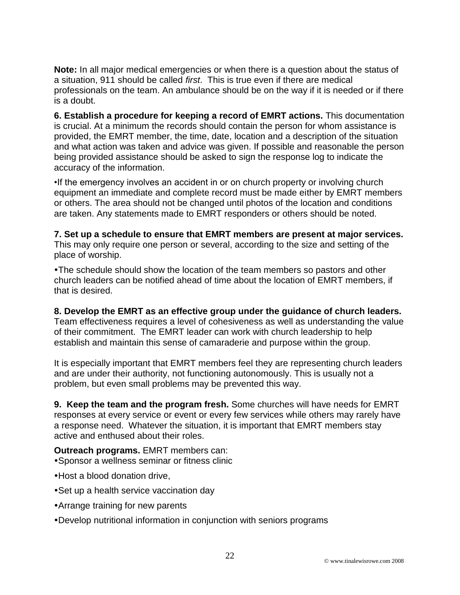**Note:** In all major medical emergencies or when there is a question about the status of a situation, 911 should be called *first*. This is true even if there are medical professionals on the team. An ambulance should be on the way if it is needed or if there is a doubt.

**6. Establish a procedure for keeping a record of EMRT actions.** This documentation is crucial. At a minimum the records should contain the person for whom assistance is provided, the EMRT member, the time, date, location and a description of the situation and what action was taken and advice was given. If possible and reasonable the person being provided assistance should be asked to sign the response log to indicate the accuracy of the information.

•If the emergency involves an accident in or on church property or involving church equipment an immediate and complete record must be made either by EMRT members or others. The area should not be changed until photos of the location and conditions are taken. Any statements made to EMRT responders or others should be noted.

**7. Set up a schedule to ensure that EMRT members are present at major services.**  This may only require one person or several, according to the size and setting of the place of worship.

The schedule should show the location of the team members so pastors and other church leaders can be notified ahead of time about the location of EMRT members, if that is desired.

**8. Develop the EMRT as an effective group under the guidance of church leaders.**  Team effectiveness requires a level of cohesiveness as well as understanding the value of their commitment. The EMRT leader can work with church leadership to help establish and maintain this sense of camaraderie and purpose within the group.

It is especially important that EMRT members feel they are representing church leaders and are under their authority, not functioning autonomously. This is usually not a problem, but even small problems may be prevented this way.

**9. Keep the team and the program fresh.** Some churches will have needs for EMRT responses at every service or event or every few services while others may rarely have a response need. Whatever the situation, it is important that EMRT members stay active and enthused about their roles.

**Outreach programs.** EMRT members can: Sponsor a wellness seminar or fitness clinic

- Host a blood donation drive,
- Set up a health service vaccination day
- Arrange training for new parents
- Develop nutritional information in conjunction with seniors programs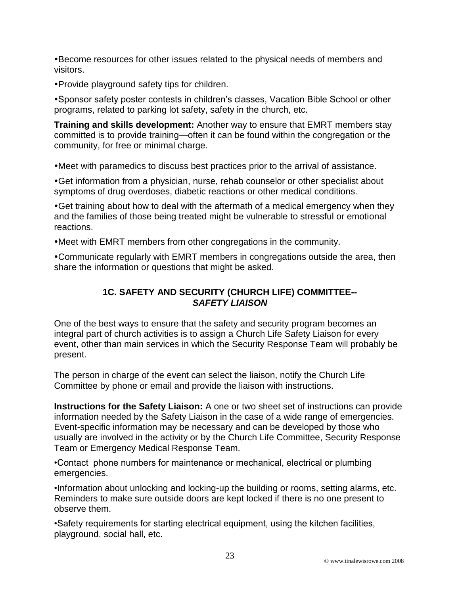Become resources for other issues related to the physical needs of members and visitors.

Provide playground safety tips for children.

Sponsor safety poster contests in children's classes, Vacation Bible School or other programs, related to parking lot safety, safety in the church, etc.

**Training and skills development:** Another way to ensure that EMRT members stay committed is to provide training—often it can be found within the congregation or the community, for free or minimal charge.

Meet with paramedics to discuss best practices prior to the arrival of assistance.

Get information from a physician, nurse, rehab counselor or other specialist about symptoms of drug overdoses, diabetic reactions or other medical conditions.

Get training about how to deal with the aftermath of a medical emergency when they and the families of those being treated might be vulnerable to stressful or emotional reactions.

Meet with EMRT members from other congregations in the community.

Communicate regularly with EMRT members in congregations outside the area, then share the information or questions that might be asked.

#### **1C. SAFETY AND SECURITY (CHURCH LIFE) COMMITTEE--** *SAFETY LIAISON*

One of the best ways to ensure that the safety and security program becomes an integral part of church activities is to assign a Church Life Safety Liaison for every event, other than main services in which the Security Response Team will probably be present.

The person in charge of the event can select the liaison, notify the Church Life Committee by phone or email and provide the liaison with instructions.

**Instructions for the Safety Liaison:** A one or two sheet set of instructions can provide information needed by the Safety Liaison in the case of a wide range of emergencies. Event-specific information may be necessary and can be developed by those who usually are involved in the activity or by the Church Life Committee, Security Response Team or Emergency Medical Response Team.

•Contact phone numbers for maintenance or mechanical, electrical or plumbing emergencies.

•Information about unlocking and locking-up the building or rooms, setting alarms, etc. Reminders to make sure outside doors are kept locked if there is no one present to observe them.

•Safety requirements for starting electrical equipment, using the kitchen facilities, playground, social hall, etc.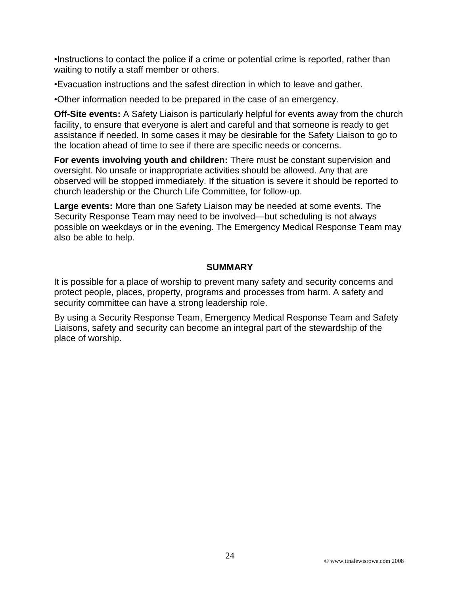•Instructions to contact the police if a crime or potential crime is reported, rather than waiting to notify a staff member or others.

•Evacuation instructions and the safest direction in which to leave and gather.

•Other information needed to be prepared in the case of an emergency.

**Off-Site events:** A Safety Liaison is particularly helpful for events away from the church facility, to ensure that everyone is alert and careful and that someone is ready to get assistance if needed. In some cases it may be desirable for the Safety Liaison to go to the location ahead of time to see if there are specific needs or concerns.

**For events involving youth and children:** There must be constant supervision and oversight. No unsafe or inappropriate activities should be allowed. Any that are observed will be stopped immediately. If the situation is severe it should be reported to church leadership or the Church Life Committee, for follow-up.

**Large events:** More than one Safety Liaison may be needed at some events. The Security Response Team may need to be involved—but scheduling is not always possible on weekdays or in the evening. The Emergency Medical Response Team may also be able to help.

#### **SUMMARY**

It is possible for a place of worship to prevent many safety and security concerns and protect people, places, property, programs and processes from harm. A safety and security committee can have a strong leadership role.

By using a Security Response Team, Emergency Medical Response Team and Safety Liaisons, safety and security can become an integral part of the stewardship of the place of worship.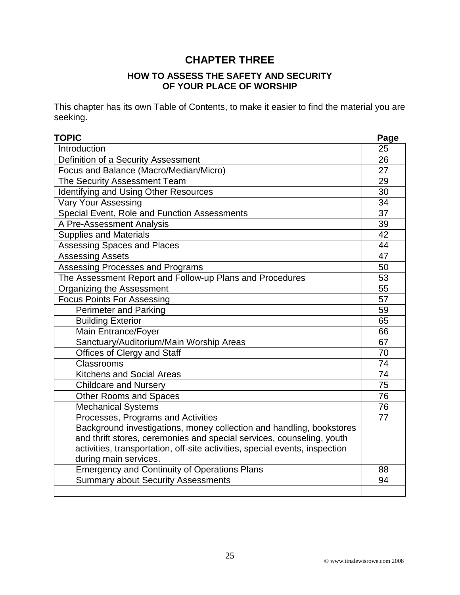# **CHAPTER THREE**

#### **HOW TO ASSESS THE SAFETY AND SECURITY OF YOUR PLACE OF WORSHIP**

This chapter has its own Table of Contents, to make it easier to find the material you are seeking.

| <b>TOPIC</b>                                                                | Page            |
|-----------------------------------------------------------------------------|-----------------|
| Introduction                                                                | 25              |
| Definition of a Security Assessment                                         | 26              |
| Focus and Balance (Macro/Median/Micro)                                      | 27              |
| The Security Assessment Team                                                | 29              |
| Identifying and Using Other Resources                                       | 30              |
| <b>Vary Your Assessing</b>                                                  | 34              |
| Special Event, Role and Function Assessments                                | 37              |
| A Pre-Assessment Analysis                                                   | 39              |
| <b>Supplies and Materials</b>                                               | 42              |
| Assessing Spaces and Places                                                 | 44              |
| <b>Assessing Assets</b>                                                     | 47              |
| Assessing Processes and Programs                                            | 50              |
| The Assessment Report and Follow-up Plans and Procedures                    | 53              |
| Organizing the Assessment                                                   | 55              |
| <b>Focus Points For Assessing</b>                                           | 57              |
| <b>Perimeter and Parking</b>                                                | 59              |
| <b>Building Exterior</b>                                                    | 65              |
| Main Entrance/Foyer                                                         | 66              |
| Sanctuary/Auditorium/Main Worship Areas                                     | 67              |
| Offices of Clergy and Staff                                                 | 70              |
| Classrooms                                                                  | 74              |
| <b>Kitchens and Social Areas</b>                                            | 74              |
| <b>Childcare and Nursery</b>                                                | $\overline{75}$ |
| <b>Other Rooms and Spaces</b>                                               | 76              |
| <b>Mechanical Systems</b>                                                   | 76              |
| Processes, Programs and Activities                                          | 77              |
| Background investigations, money collection and handling, bookstores        |                 |
| and thrift stores, ceremonies and special services, counseling, youth       |                 |
| activities, transportation, off-site activities, special events, inspection |                 |
| during main services.                                                       |                 |
| <b>Emergency and Continuity of Operations Plans</b>                         | 88              |
| <b>Summary about Security Assessments</b>                                   | 94              |
|                                                                             |                 |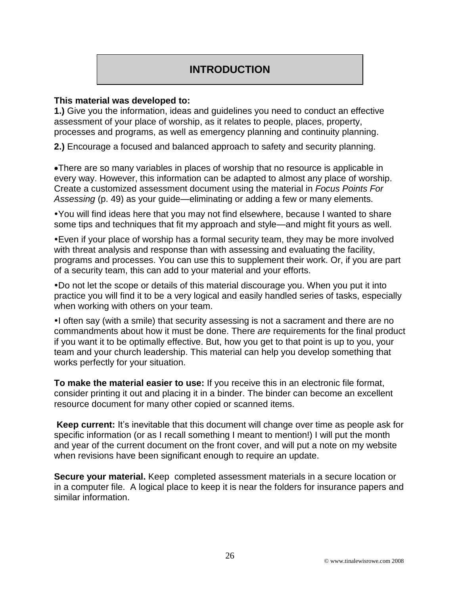# **INTRODUCTION**

#### **This material was developed to:**

**1.)** Give you the information, ideas and guidelines you need to conduct an effective assessment of your place of worship, as it relates to people, places, property, processes and programs, as well as emergency planning and continuity planning.

**2.)** Encourage a focused and balanced approach to safety and security planning.

There are so many variables in places of worship that no resource is applicable in every way. However, this information can be adapted to almost any place of worship. Create a customized assessment document using the material in *Focus Points For Assessing* (p. 49) as your guide—eliminating or adding a few or many elements.

You will find ideas here that you may not find elsewhere, because I wanted to share some tips and techniques that fit my approach and style—and might fit yours as well.

Even if your place of worship has a formal security team, they may be more involved with threat analysis and response than with assessing and evaluating the facility, programs and processes. You can use this to supplement their work. Or, if you are part of a security team, this can add to your material and your efforts.

Do not let the scope or details of this material discourage you. When you put it into practice you will find it to be a very logical and easily handled series of tasks, especially when working with others on your team.

•I often say (with a smile) that security assessing is not a sacrament and there are no commandments about how it must be done. There *are* requirements for the final product if you want it to be optimally effective. But, how you get to that point is up to you, your team and your church leadership. This material can help you develop something that works perfectly for your situation.

**To make the material easier to use:** If you receive this in an electronic file format, consider printing it out and placing it in a binder. The binder can become an excellent resource document for many other copied or scanned items.

**Keep current:** It's inevitable that this document will change over time as people ask for specific information (or as I recall something I meant to mention!) I will put the month and year of the current document on the front cover, and will put a note on my website when revisions have been significant enough to require an update.

**Secure your material.** Keep completed assessment materials in a secure location or in a computer file. A logical place to keep it is near the folders for insurance papers and similar information.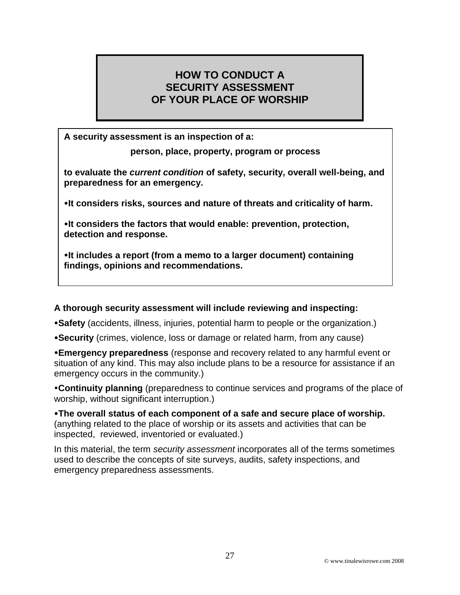# **HOW TO CONDUCT A SECURITY ASSESSMENT OF YOUR PLACE OF WORSHIP**

**A security assessment is an inspection of a:**

**person, place, property, program or process**

**to evaluate the** *current condition* **of safety, security, overall well-being, and preparedness for an emergency.** 

**It considers risks, sources and nature of threats and criticality of harm.** 

**It considers the factors that would enable: prevention, protection, detection and response.** 

**It includes a report (from a memo to a larger document) containing findings, opinions and recommendations.** 

#### **A thorough security assessment will include reviewing and inspecting:**

**Safety** (accidents, illness, injuries, potential harm to people or the organization.)

**Security** (crimes, violence, loss or damage or related harm, from any cause)

**Emergency preparedness** (response and recovery related to any harmful event or situation of any kind. This may also include plans to be a resource for assistance if an emergency occurs in the community.)

**Continuity planning** (preparedness to continue services and programs of the place of worship, without significant interruption.)

**The overall status of each component of a safe and secure place of worship.** (anything related to the place of worship or its assets and activities that can be inspected, reviewed, inventoried or evaluated.)

In this material, the term *security assessment* incorporates all of the terms sometimes used to describe the concepts of site surveys, audits, safety inspections, and emergency preparedness assessments.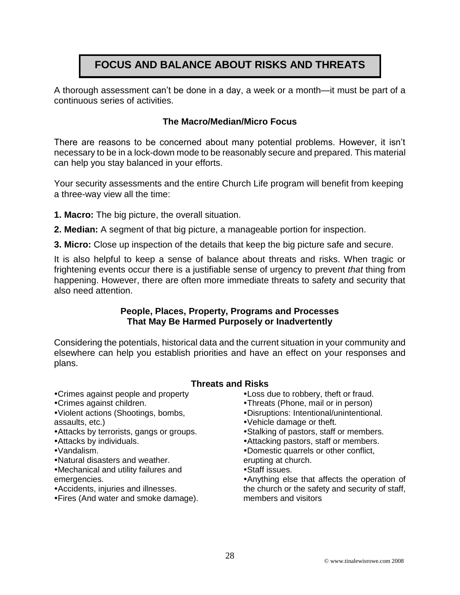# **FOCUS AND BALANCE ABOUT RISKS AND THREATS**

A thorough assessment can't be done in a day, a week or a month—it must be part of a continuous series of activities.

#### **The Macro/Median/Micro Focus**

There are reasons to be concerned about many potential problems. However, it isn't necessary to be in a lock-down mode to be reasonably secure and prepared. This material can help you stay balanced in your efforts.

Your security assessments and the entire Church Life program will benefit from keeping a three-way view all the time:

- **1. Macro:** The big picture, the overall situation.
- **2. Median:** A segment of that big picture, a manageable portion for inspection.
- **3. Micro:** Close up inspection of the details that keep the big picture safe and secure.

It is also helpful to keep a sense of balance about threats and risks. When tragic or frightening events occur there is a justifiable sense of urgency to prevent *that* thing from happening. However, there are often more immediate threats to safety and security that also need attention.

#### **People, Places, Property, Programs and Processes That May Be Harmed Purposely or Inadvertently**

Considering the potentials, historical data and the current situation in your community and elsewhere can help you establish priorities and have an effect on your responses and plans.

#### **Threats and Risks**

- Crimes against people and property
- Crimes against children.
- Violent actions (Shootings, bombs, assaults, etc.)
- Attacks by terrorists, gangs or groups.
- Attacks by individuals.
- Vandalism.
- Natural disasters and weather.
- Mechanical and utility failures and emergencies.
- Accidents, injuries and illnesses.
- Fires (And water and smoke damage).
- Loss due to robbery, theft or fraud.
- Threats (Phone, mail or in person)
- Disruptions: Intentional/unintentional.
- Vehicle damage or theft.
- Stalking of pastors, staff or members.
- Attacking pastors, staff or members.
- Domestic quarrels or other conflict,
- erupting at church.
- Staff issues.

Anything else that affects the operation of the church or the safety and security of staff, members and visitors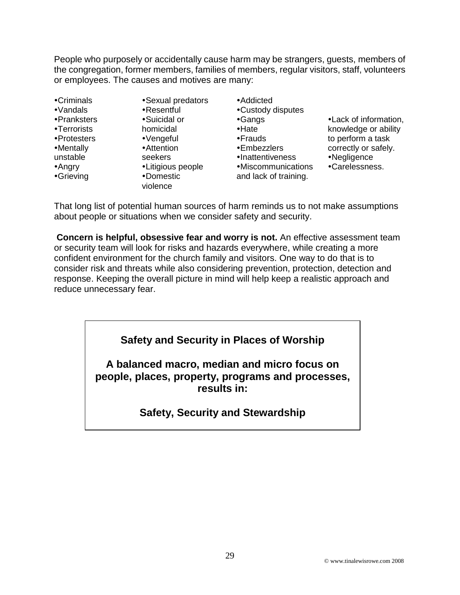People who purposely or accidentally cause harm may be strangers, guests, members of the congregation, former members, families of members, regular visitors, staff, volunteers or employees. The causes and motives are many:

Criminals Vandals Pranksters Terrorists Protesters Mentally unstable Angry Grieving

Sexual predators Resentful Suicidal or homicidal Vengeful Attention seekers Litigious people Domestic violence

Addicted Custody disputes Gangs •Hate Frauds Embezzlers **•Inattentiveness** Miscommunications

and lack of training.

Lack of information, knowledge or ability to perform a task correctly or safely. Negligence Carelessness.

That long list of potential human sources of harm reminds us to not make assumptions about people or situations when we consider safety and security.

**Concern is helpful, obsessive fear and worry is not.** An effective assessment team or security team will look for risks and hazards everywhere, while creating a more confident environment for the church family and visitors. One way to do that is to consider risk and threats while also considering prevention, protection, detection and response. Keeping the overall picture in mind will help keep a realistic approach and reduce unnecessary fear.

# **Safety and Security in Places of Worship**

**A balanced macro, median and micro focus on people, places, property, programs and processes, results in:** 

# **Safety, Security and Stewardship**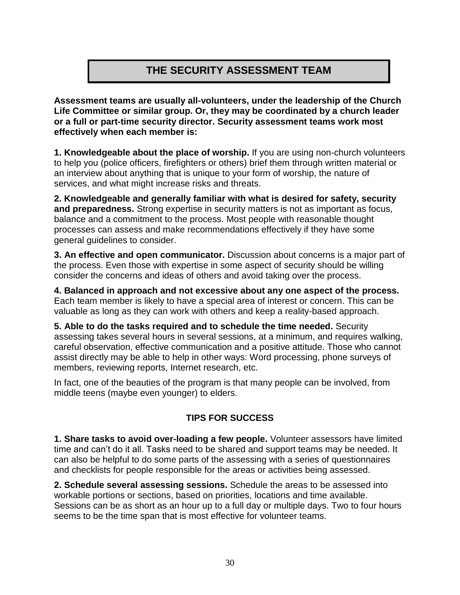# **THE SECURITY ASSESSMENT TEAM**

**Assessment teams are usually all-volunteers, under the leadership of the Church Life Committee or similar group. Or, they may be coordinated by a church leader or a full or part-time security director. Security assessment teams work most effectively when each member is:** 

**1. Knowledgeable about the place of worship.** If you are using non-church volunteers to help you (police officers, firefighters or others) brief them through written material or an interview about anything that is unique to your form of worship, the nature of services, and what might increase risks and threats.

**2. Knowledgeable and generally familiar with what is desired for safety, security and preparedness.** Strong expertise in security matters is not as important as focus, balance and a commitment to the process. Most people with reasonable thought processes can assess and make recommendations effectively if they have some general guidelines to consider.

**3. An effective and open communicator.** Discussion about concerns is a major part of the process. Even those with expertise in some aspect of security should be willing consider the concerns and ideas of others and avoid taking over the process.

**4. Balanced in approach and not excessive about any one aspect of the process.** Each team member is likely to have a special area of interest or concern. This can be valuable as long as they can work with others and keep a reality-based approach.

**5. Able to do the tasks required and to schedule the time needed.** Security assessing takes several hours in several sessions, at a minimum, and requires walking, careful observation, effective communication and a positive attitude. Those who cannot assist directly may be able to help in other ways: Word processing, phone surveys of members, reviewing reports, Internet research, etc.

In fact, one of the beauties of the program is that many people can be involved, from middle teens (maybe even younger) to elders.

## **TIPS FOR SUCCESS**

**1. Share tasks to avoid over-loading a few people.** Volunteer assessors have limited time and can't do it all. Tasks need to be shared and support teams may be needed. It can also be helpful to do some parts of the assessing with a series of questionnaires and checklists for people responsible for the areas or activities being assessed.

**2. Schedule several assessing sessions.** Schedule the areas to be assessed into workable portions or sections, based on priorities, locations and time available. Sessions can be as short as an hour up to a full day or multiple days. Two to four hours seems to be the time span that is most effective for volunteer teams.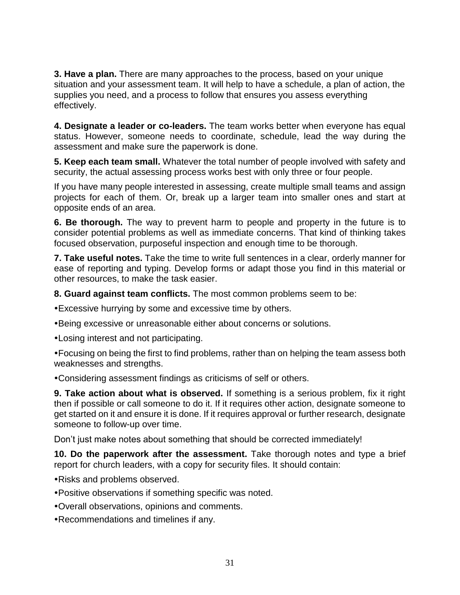**3. Have a plan.** There are many approaches to the process, based on your unique situation and your assessment team. It will help to have a schedule, a plan of action, the supplies you need, and a process to follow that ensures you assess everything effectively.

**4. Designate a leader or co-leaders.** The team works better when everyone has equal status. However, someone needs to coordinate, schedule, lead the way during the assessment and make sure the paperwork is done.

**5. Keep each team small.** Whatever the total number of people involved with safety and security, the actual assessing process works best with only three or four people.

If you have many people interested in assessing, create multiple small teams and assign projects for each of them. Or, break up a larger team into smaller ones and start at opposite ends of an area.

**6. Be thorough.** The way to prevent harm to people and property in the future is to consider potential problems as well as immediate concerns. That kind of thinking takes focused observation, purposeful inspection and enough time to be thorough.

**7. Take useful notes.** Take the time to write full sentences in a clear, orderly manner for ease of reporting and typing. Develop forms or adapt those you find in this material or other resources, to make the task easier.

**8. Guard against team conflicts.** The most common problems seem to be:

Excessive hurrying by some and excessive time by others.

Being excessive or unreasonable either about concerns or solutions.

Losing interest and not participating.

Focusing on being the first to find problems, rather than on helping the team assess both weaknesses and strengths.

Considering assessment findings as criticisms of self or others.

**9. Take action about what is observed.** If something is a serious problem, fix it right then if possible or call someone to do it. If it requires other action, designate someone to get started on it and ensure it is done. If it requires approval or further research, designate someone to follow-up over time.

Don't just make notes about something that should be corrected immediately!

**10. Do the paperwork after the assessment.** Take thorough notes and type a brief report for church leaders, with a copy for security files. It should contain:

Risks and problems observed.

- Positive observations if something specific was noted.
- Overall observations, opinions and comments.
- Recommendations and timelines if any.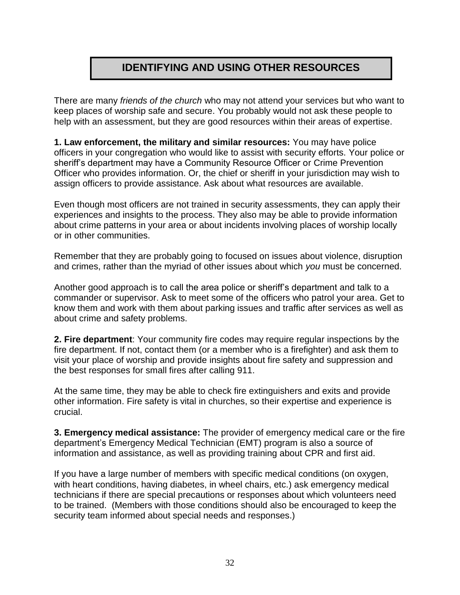# **IDENTIFYING AND USING OTHER RESOURCES**

There are many *friends of the church* who may not attend your services but who want to keep places of worship safe and secure. You probably would not ask these people to help with an assessment, but they are good resources within their areas of expertise.

**1. Law enforcement, the military and similar resources:** You may have police officers in your congregation who would like to assist with security efforts. Your police or sheriff's department may have a Community Resource Officer or Crime Prevention Officer who provides information. Or, the chief or sheriff in your jurisdiction may wish to assign officers to provide assistance. Ask about what resources are available.

Even though most officers are not trained in security assessments, they can apply their experiences and insights to the process. They also may be able to provide information about crime patterns in your area or about incidents involving places of worship locally or in other communities.

Remember that they are probably going to focused on issues about violence, disruption and crimes, rather than the myriad of other issues about which *you* must be concerned.

Another good approach is to call the area police or sheriff's department and talk to a commander or supervisor. Ask to meet some of the officers who patrol your area. Get to know them and work with them about parking issues and traffic after services as well as about crime and safety problems.

**2. Fire department**: Your community fire codes may require regular inspections by the fire department. If not, contact them (or a member who is a firefighter) and ask them to visit your place of worship and provide insights about fire safety and suppression and the best responses for small fires after calling 911.

At the same time, they may be able to check fire extinguishers and exits and provide other information. Fire safety is vital in churches, so their expertise and experience is crucial.

**3. Emergency medical assistance:** The provider of emergency medical care or the fire department's Emergency Medical Technician (EMT) program is also a source of information and assistance, as well as providing training about CPR and first aid.

If you have a large number of members with specific medical conditions (on oxygen, with heart conditions, having diabetes, in wheel chairs, etc.) ask emergency medical technicians if there are special precautions or responses about which volunteers need to be trained. (Members with those conditions should also be encouraged to keep the security team informed about special needs and responses.)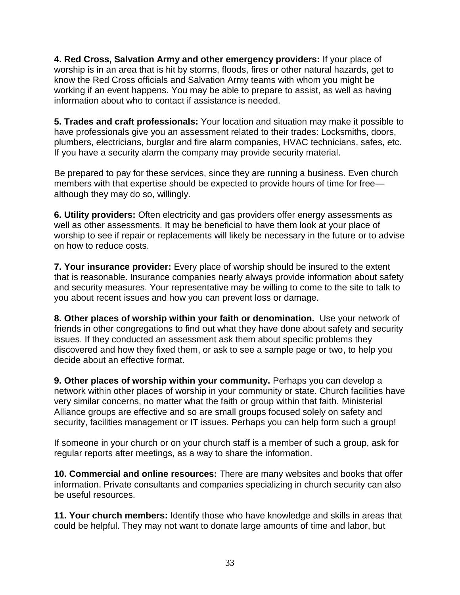**4. Red Cross, Salvation Army and other emergency providers:** If your place of worship is in an area that is hit by storms, floods, fires or other natural hazards, get to know the Red Cross officials and Salvation Army teams with whom you might be working if an event happens. You may be able to prepare to assist, as well as having information about who to contact if assistance is needed.

**5. Trades and craft professionals:** Your location and situation may make it possible to have professionals give you an assessment related to their trades: Locksmiths, doors, plumbers, electricians, burglar and fire alarm companies, HVAC technicians, safes, etc. If you have a security alarm the company may provide security material.

Be prepared to pay for these services, since they are running a business. Even church members with that expertise should be expected to provide hours of time for free although they may do so, willingly.

**6. Utility providers:** Often electricity and gas providers offer energy assessments as well as other assessments. It may be beneficial to have them look at your place of worship to see if repair or replacements will likely be necessary in the future or to advise on how to reduce costs.

**7. Your insurance provider:** Every place of worship should be insured to the extent that is reasonable. Insurance companies nearly always provide information about safety and security measures. Your representative may be willing to come to the site to talk to you about recent issues and how you can prevent loss or damage.

**8. Other places of worship within your faith or denomination.** Use your network of friends in other congregations to find out what they have done about safety and security issues. If they conducted an assessment ask them about specific problems they discovered and how they fixed them, or ask to see a sample page or two, to help you decide about an effective format.

**9. Other places of worship within your community.** Perhaps you can develop a network within other places of worship in your community or state. Church facilities have very similar concerns, no matter what the faith or group within that faith. Ministerial Alliance groups are effective and so are small groups focused solely on safety and security, facilities management or IT issues. Perhaps you can help form such a group!

If someone in your church or on your church staff is a member of such a group, ask for regular reports after meetings, as a way to share the information.

**10. Commercial and online resources:** There are many websites and books that offer information. Private consultants and companies specializing in church security can also be useful resources.

**11. Your church members:** Identify those who have knowledge and skills in areas that could be helpful. They may not want to donate large amounts of time and labor, but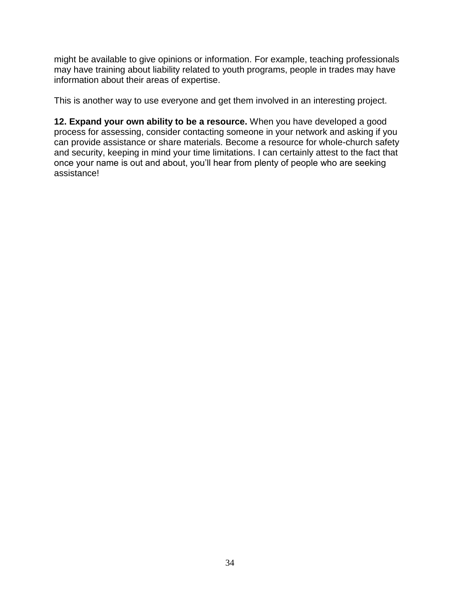might be available to give opinions or information. For example, teaching professionals may have training about liability related to youth programs, people in trades may have information about their areas of expertise.

This is another way to use everyone and get them involved in an interesting project.

**12. Expand your own ability to be a resource.** When you have developed a good process for assessing, consider contacting someone in your network and asking if you can provide assistance or share materials. Become a resource for whole-church safety and security, keeping in mind your time limitations. I can certainly attest to the fact that once your name is out and about, you'll hear from plenty of people who are seeking assistance!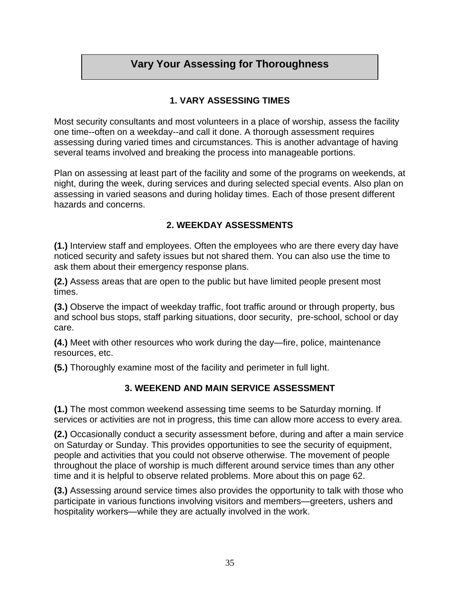# **Vary Your Assessing for Thoroughness**

### **1. VARY ASSESSING TIMES**

Most security consultants and most volunteers in a place of worship, assess the facility one time--often on a weekday--and call it done. A thorough assessment requires assessing during varied times and circumstances. This is another advantage of having several teams involved and breaking the process into manageable portions.

Plan on assessing at least part of the facility and some of the programs on weekends, at night, during the week, during services and during selected special events. Also plan on assessing in varied seasons and during holiday times. Each of those present different hazards and concerns.

#### **2. WEEKDAY ASSESSMENTS**

**(1.)** Interview staff and employees. Often the employees who are there every day have noticed security and safety issues but not shared them. You can also use the time to ask them about their emergency response plans.

**(2.)** Assess areas that are open to the public but have limited people present most times.

**(3.)** Observe the impact of weekday traffic, foot traffic around or through property, bus and school bus stops, staff parking situations, door security, pre-school, school or day care.

**(4.)** Meet with other resources who work during the day—fire, police, maintenance resources, etc.

**(5.)** Thoroughly examine most of the facility and perimeter in full light.

#### **3. WEEKEND AND MAIN SERVICE ASSESSMENT**

**(1.)** The most common weekend assessing time seems to be Saturday morning. If services or activities are not in progress, this time can allow more access to every area.

**(2.)** Occasionally conduct a security assessment before, during and after a main service on Saturday or Sunday. This provides opportunities to see the security of equipment, people and activities that you could not observe otherwise. The movement of people throughout the place of worship is much different around service times than any other time and it is helpful to observe related problems. More about this on page 62.

**(3.)** Assessing around service times also provides the opportunity to talk with those who participate in various functions involving visitors and members—greeters, ushers and hospitality workers—while they are actually involved in the work.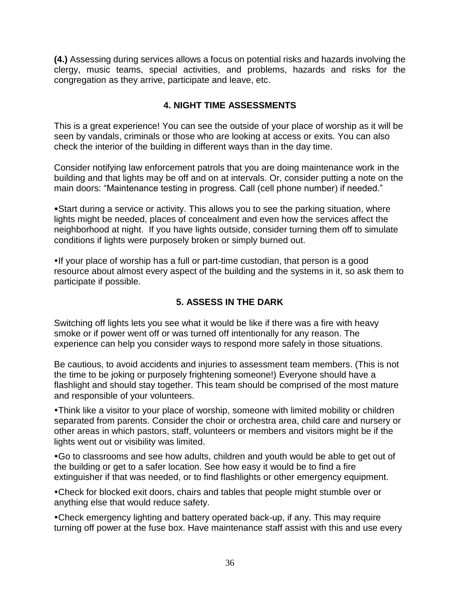**(4.)** Assessing during services allows a focus on potential risks and hazards involving the clergy, music teams, special activities, and problems, hazards and risks for the congregation as they arrive, participate and leave, etc.

## **4. NIGHT TIME ASSESSMENTS**

This is a great experience! You can see the outside of your place of worship as it will be seen by vandals, criminals or those who are looking at access or exits. You can also check the interior of the building in different ways than in the day time.

Consider notifying law enforcement patrols that you are doing maintenance work in the building and that lights may be off and on at intervals. Or, consider putting a note on the main doors: "Maintenance testing in progress. Call (cell phone number) if needed."

Start during a service or activity. This allows you to see the parking situation, where lights might be needed, places of concealment and even how the services affect the neighborhood at night. If you have lights outside, consider turning them off to simulate conditions if lights were purposely broken or simply burned out.

If your place of worship has a full or part-time custodian, that person is a good resource about almost every aspect of the building and the systems in it, so ask them to participate if possible.

## **5. ASSESS IN THE DARK**

Switching off lights lets you see what it would be like if there was a fire with heavy smoke or if power went off or was turned off intentionally for any reason. The experience can help you consider ways to respond more safely in those situations.

Be cautious, to avoid accidents and injuries to assessment team members. (This is not the time to be joking or purposely frightening someone!) Everyone should have a flashlight and should stay together. This team should be comprised of the most mature and responsible of your volunteers.

Think like a visitor to your place of worship, someone with limited mobility or children separated from parents. Consider the choir or orchestra area, child care and nursery or other areas in which pastors, staff, volunteers or members and visitors might be if the lights went out or visibility was limited.

Go to classrooms and see how adults, children and youth would be able to get out of the building or get to a safer location. See how easy it would be to find a fire extinguisher if that was needed, or to find flashlights or other emergency equipment.

Check for blocked exit doors, chairs and tables that people might stumble over or anything else that would reduce safety.

Check emergency lighting and battery operated back-up, if any. This may require turning off power at the fuse box. Have maintenance staff assist with this and use every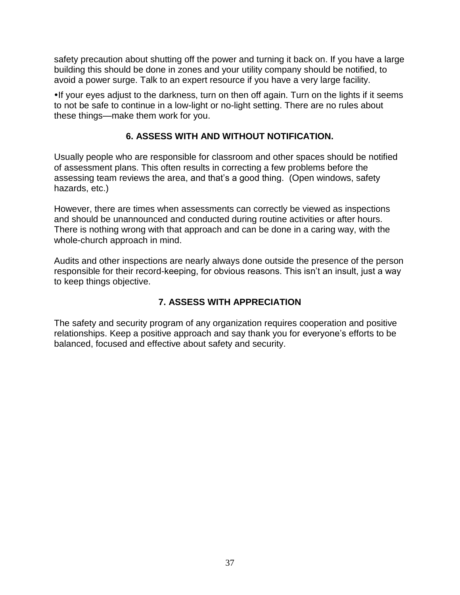safety precaution about shutting off the power and turning it back on. If you have a large building this should be done in zones and your utility company should be notified, to avoid a power surge. Talk to an expert resource if you have a very large facility.

•If your eyes adjust to the darkness, turn on then off again. Turn on the lights if it seems to not be safe to continue in a low-light or no-light setting. There are no rules about these things—make them work for you.

## **6. ASSESS WITH AND WITHOUT NOTIFICATION.**

Usually people who are responsible for classroom and other spaces should be notified of assessment plans. This often results in correcting a few problems before the assessing team reviews the area, and that's a good thing. (Open windows, safety hazards, etc.)

However, there are times when assessments can correctly be viewed as inspections and should be unannounced and conducted during routine activities or after hours. There is nothing wrong with that approach and can be done in a caring way, with the whole-church approach in mind.

Audits and other inspections are nearly always done outside the presence of the person responsible for their record-keeping, for obvious reasons. This isn't an insult, just a way to keep things objective.

# **7. ASSESS WITH APPRECIATION**

The safety and security program of any organization requires cooperation and positive relationships. Keep a positive approach and say thank you for everyone's efforts to be balanced, focused and effective about safety and security.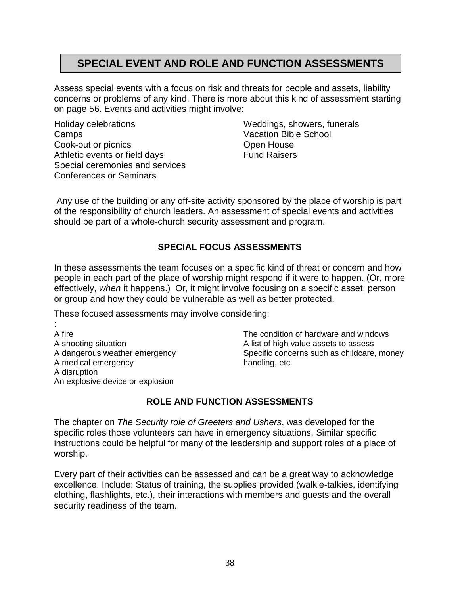# **SPECIAL EVENT AND ROLE AND FUNCTION ASSESSMENTS**

Assess special events with a focus on risk and threats for people and assets, liability concerns or problems of any kind. There is more about this kind of assessment starting on page 56. Events and activities might involve:

Holiday celebrations Camps Cook-out or picnics Athletic events or field days Special ceremonies and services Conferences or Seminars

Weddings, showers, funerals Vacation Bible School Open House Fund Raisers

Any use of the building or any off-site activity sponsored by the place of worship is part of the responsibility of church leaders. An assessment of special events and activities should be part of a whole-church security assessment and program.

#### **SPECIAL FOCUS ASSESSMENTS**

In these assessments the team focuses on a specific kind of threat or concern and how people in each part of the place of worship might respond if it were to happen. (Or, more effectively, *when* it happens.) Or, it might involve focusing on a specific asset, person or group and how they could be vulnerable as well as better protected.

These focused assessments may involve considering:

: A fire A shooting situation A dangerous weather emergency A medical emergency A disruption An explosive device or explosion

The condition of hardware and windows A list of high value assets to assess Specific concerns such as childcare, money handling, etc.

## **ROLE AND FUNCTION ASSESSMENTS**

The chapter on *The Security role of Greeters and Ushers*, was developed for the specific roles those volunteers can have in emergency situations. Similar specific instructions could be helpful for many of the leadership and support roles of a place of worship.

Every part of their activities can be assessed and can be a great way to acknowledge excellence. Include: Status of training, the supplies provided (walkie-talkies, identifying clothing, flashlights, etc.), their interactions with members and guests and the overall security readiness of the team.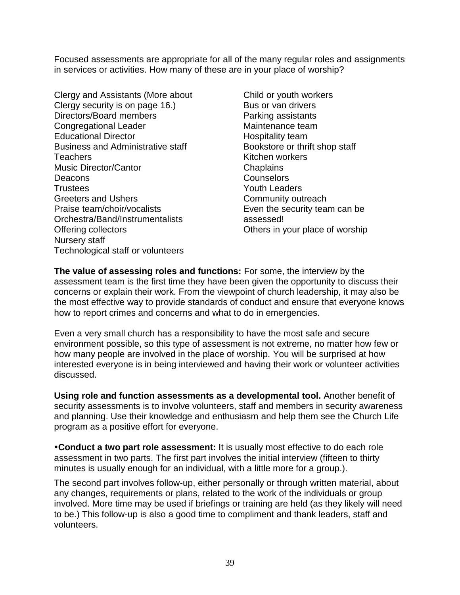Focused assessments are appropriate for all of the many regular roles and assignments in services or activities. How many of these are in your place of worship?

Clergy and Assistants (More about Clergy security is on page 16.) Directors/Board members Congregational Leader Educational Director Business and Administrative staff **Teachers** Music Director/Cantor **Deacons** Trustees Greeters and Ushers Praise team/choir/vocalists Orchestra/Band/Instrumentalists Offering collectors Nursery staff Technological staff or volunteers

Child or youth workers Bus or van drivers Parking assistants Maintenance team Hospitality team Bookstore or thrift shop staff Kitchen workers Chaplains **Counselors** Youth Leaders Community outreach Even the security team can be assessed! Others in your place of worship

**The value of assessing roles and functions:** For some, the interview by the assessment team is the first time they have been given the opportunity to discuss their concerns or explain their work. From the viewpoint of church leadership, it may also be the most effective way to provide standards of conduct and ensure that everyone knows how to report crimes and concerns and what to do in emergencies.

Even a very small church has a responsibility to have the most safe and secure environment possible, so this type of assessment is not extreme, no matter how few or how many people are involved in the place of worship. You will be surprised at how interested everyone is in being interviewed and having their work or volunteer activities discussed.

**Using role and function assessments as a developmental tool.** Another benefit of security assessments is to involve volunteers, staff and members in security awareness and planning. Use their knowledge and enthusiasm and help them see the Church Life program as a positive effort for everyone.

**Conduct a two part role assessment:** It is usually most effective to do each role assessment in two parts. The first part involves the initial interview (fifteen to thirty minutes is usually enough for an individual, with a little more for a group.).

The second part involves follow-up, either personally or through written material, about any changes, requirements or plans, related to the work of the individuals or group involved. More time may be used if briefings or training are held (as they likely will need to be.) This follow-up is also a good time to compliment and thank leaders, staff and volunteers.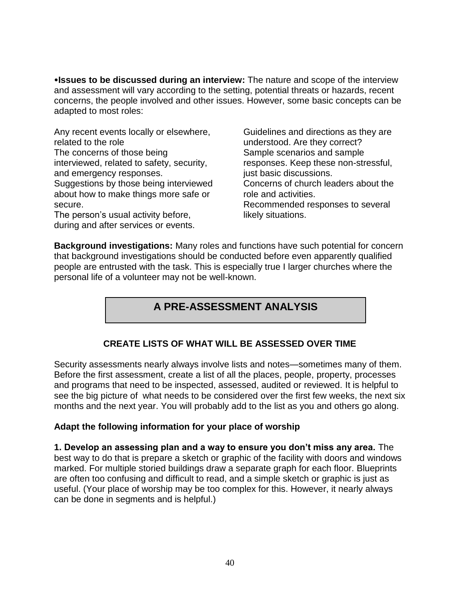**Issues to be discussed during an interview:** The nature and scope of the interview and assessment will vary according to the setting, potential threats or hazards, recent concerns, the people involved and other issues. However, some basic concepts can be adapted to most roles:

Any recent events locally or elsewhere, related to the role The concerns of those being interviewed, related to safety, security, and emergency responses. Suggestions by those being interviewed about how to make things more safe or secure.

The person's usual activity before, during and after services or events. Guidelines and directions as they are understood. Are they correct? Sample scenarios and sample responses. Keep these non-stressful, just basic discussions. Concerns of church leaders about the role and activities. Recommended responses to several likely situations.

**Background investigations:** Many roles and functions have such potential for concern that background investigations should be conducted before even apparently qualified people are entrusted with the task. This is especially true I larger churches where the personal life of a volunteer may not be well-known.

# **A PRE-ASSESSMENT ANALYSIS**

## **CREATE LISTS OF WHAT WILL BE ASSESSED OVER TIME**

Security assessments nearly always involve lists and notes—sometimes many of them. Before the first assessment, create a list of all the places, people, property, processes and programs that need to be inspected, assessed, audited or reviewed. It is helpful to see the big picture of what needs to be considered over the first few weeks, the next six months and the next year. You will probably add to the list as you and others go along.

#### **Adapt the following information for your place of worship**

**1. Develop an assessing plan and a way to ensure you don't miss any area.** The best way to do that is prepare a sketch or graphic of the facility with doors and windows marked. For multiple storied buildings draw a separate graph for each floor. Blueprints are often too confusing and difficult to read, and a simple sketch or graphic is just as useful. (Your place of worship may be too complex for this. However, it nearly always can be done in segments and is helpful.)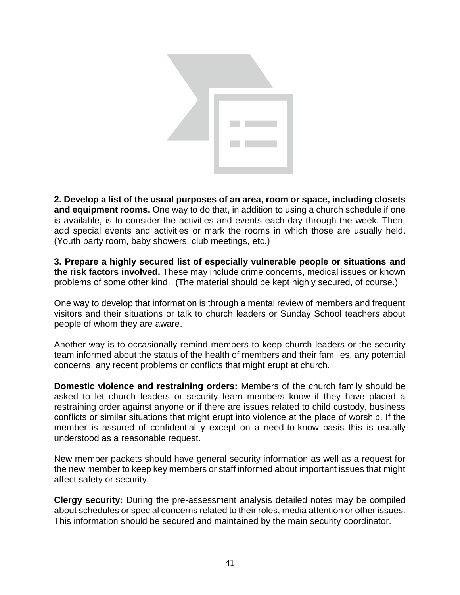

**2. Develop a list of the usual purposes of an area, room or space, including closets and equipment rooms.** One way to do that, in addition to using a church schedule if one is available, is to consider the activities and events each day through the week. Then, add special events and activities or mark the rooms in which those are usually held. (Youth party room, baby showers, club meetings, etc.)

**3. Prepare a highly secured list of especially vulnerable people or situations and the risk factors involved.** These may include crime concerns, medical issues or known problems of some other kind. (The material should be kept highly secured, of course.)

One way to develop that information is through a mental review of members and frequent visitors and their situations or talk to church leaders or Sunday School teachers about people of whom they are aware.

Another way is to occasionally remind members to keep church leaders or the security team informed about the status of the health of members and their families, any potential concerns, any recent problems or conflicts that might erupt at church.

**Domestic violence and restraining orders:** Members of the church family should be asked to let church leaders or security team members know if they have placed a restraining order against anyone or if there are issues related to child custody, business conflicts or similar situations that might erupt into violence at the place of worship. If the member is assured of confidentiality except on a need-to-know basis this is usually understood as a reasonable request.

New member packets should have general security information as well as a request for the new member to keep key members or staff informed about important issues that might affect safety or security.

**Clergy security:** During the pre-assessment analysis detailed notes may be compiled about schedules or special concerns related to their roles, media attention or other issues. This information should be secured and maintained by the main security coordinator.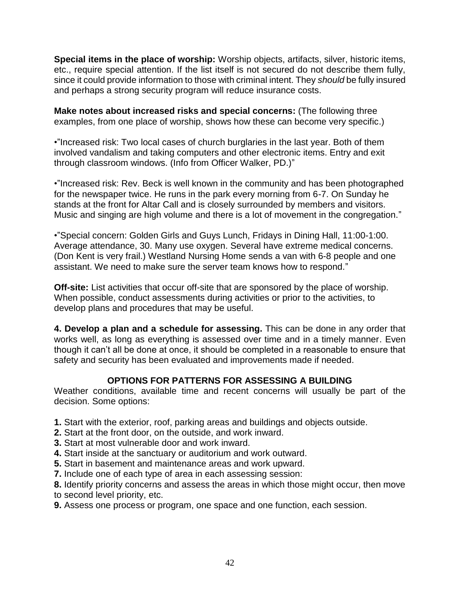**Special items in the place of worship:** Worship objects, artifacts, silver, historic items, etc., require special attention. If the list itself is not secured do not describe them fully, since it could provide information to those with criminal intent. They *should* be fully insured and perhaps a strong security program will reduce insurance costs.

**Make notes about increased risks and special concerns:** (The following three examples, from one place of worship, shows how these can become very specific.)

•"Increased risk: Two local cases of church burglaries in the last year. Both of them involved vandalism and taking computers and other electronic items. Entry and exit through classroom windows. (Info from Officer Walker, PD.)"

•"Increased risk: Rev. Beck is well known in the community and has been photographed for the newspaper twice. He runs in the park every morning from 6-7. On Sunday he stands at the front for Altar Call and is closely surrounded by members and visitors. Music and singing are high volume and there is a lot of movement in the congregation."

•"Special concern: Golden Girls and Guys Lunch, Fridays in Dining Hall, 11:00-1:00. Average attendance, 30. Many use oxygen. Several have extreme medical concerns. (Don Kent is very frail.) Westland Nursing Home sends a van with 6-8 people and one assistant. We need to make sure the server team knows how to respond."

**Off-site:** List activities that occur off-site that are sponsored by the place of worship. When possible, conduct assessments during activities or prior to the activities, to develop plans and procedures that may be useful.

**4. Develop a plan and a schedule for assessing.** This can be done in any order that works well, as long as everything is assessed over time and in a timely manner. Even though it can't all be done at once, it should be completed in a reasonable to ensure that safety and security has been evaluated and improvements made if needed.

## **OPTIONS FOR PATTERNS FOR ASSESSING A BUILDING**

Weather conditions, available time and recent concerns will usually be part of the decision. Some options:

- **1.** Start with the exterior, roof, parking areas and buildings and objects outside.
- **2.** Start at the front door, on the outside, and work inward.
- **3.** Start at most vulnerable door and work inward.
- **4.** Start inside at the sanctuary or auditorium and work outward.
- **5.** Start in basement and maintenance areas and work upward.
- **7.** Include one of each type of area in each assessing session:
- **8.** Identify priority concerns and assess the areas in which those might occur, then move to second level priority, etc.
- **9.** Assess one process or program, one space and one function, each session.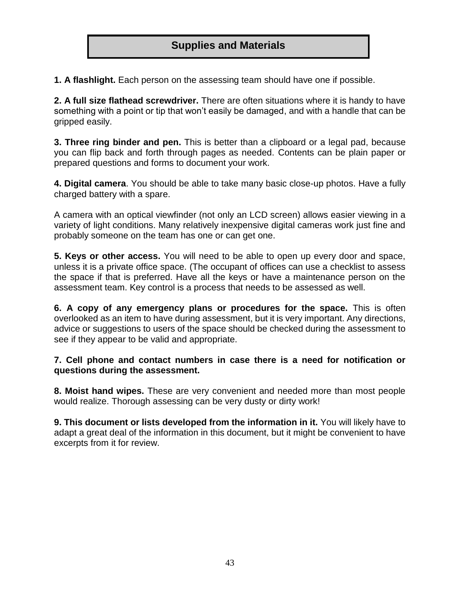# **Supplies and Materials**

**1. A flashlight.** Each person on the assessing team should have one if possible.

**2. A full size flathead screwdriver.** There are often situations where it is handy to have something with a point or tip that won't easily be damaged, and with a handle that can be gripped easily.

**3. Three ring binder and pen.** This is better than a clipboard or a legal pad, because you can flip back and forth through pages as needed. Contents can be plain paper or prepared questions and forms to document your work.

**4. Digital camera**. You should be able to take many basic close-up photos. Have a fully charged battery with a spare.

A camera with an optical viewfinder (not only an LCD screen) allows easier viewing in a variety of light conditions. Many relatively inexpensive digital cameras work just fine and probably someone on the team has one or can get one.

**5. Keys or other access.** You will need to be able to open up every door and space, unless it is a private office space. (The occupant of offices can use a checklist to assess the space if that is preferred. Have all the keys or have a maintenance person on the assessment team. Key control is a process that needs to be assessed as well.

**6. A copy of any emergency plans or procedures for the space.** This is often overlooked as an item to have during assessment, but it is very important. Any directions, advice or suggestions to users of the space should be checked during the assessment to see if they appear to be valid and appropriate.

**7. Cell phone and contact numbers in case there is a need for notification or questions during the assessment.** 

**8. Moist hand wipes.** These are very convenient and needed more than most people would realize. Thorough assessing can be very dusty or dirty work!

**9. This document or lists developed from the information in it.** You will likely have to adapt a great deal of the information in this document, but it might be convenient to have excerpts from it for review.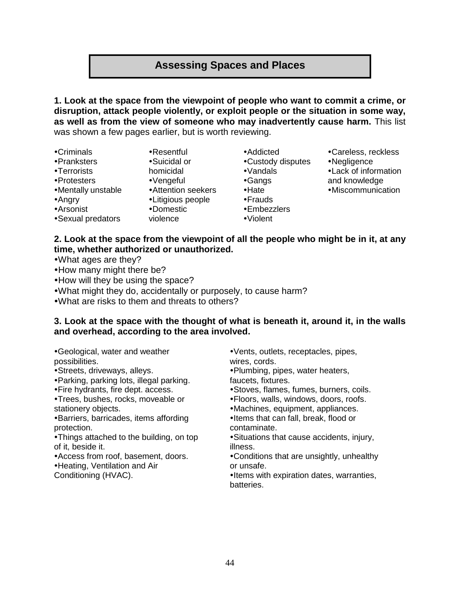# **Assessing Spaces and Places**

**1. Look at the space from the viewpoint of people who want to commit a crime, or disruption, attack people violently, or exploit people or the situation in some way, as well as from the view of someone who may inadvertently cause harm.** This list was shown a few pages earlier, but is worth reviewing.

- Criminals
- Pranksters
- Terrorists
- Protesters
- Mentally unstable
- Angry
- Arsonist
- Sexual predators
- homicidal Vengeful

Resentful Suicidal or

- Attention seekers
- Litigious people
- Domestic
- violence
- Addicted
- Custody disputes
- Vandals
- Gangs
- •Hate
- Frauds
- Embezzlers
- Violent
- Careless, reckless
- Negligence
- Lack of information
- and knowledge
- Miscommunication
- **2. Look at the space from the viewpoint of all the people who might be in it, at any time, whether authorized or unauthorized.**
- What ages are they?
- How many might there be?
- How will they be using the space?
- What might they do, accidentally or purposely, to cause harm?
- What are risks to them and threats to others?

#### **3. Look at the space with the thought of what is beneath it, around it, in the walls and overhead, according to the area involved.**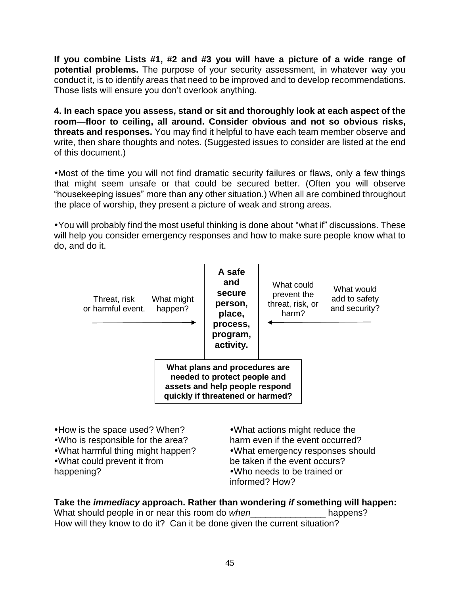**If you combine Lists #1, #2 and #3 you will have a picture of a wide range of potential problems.** The purpose of your security assessment, in whatever way you conduct it, is to identify areas that need to be improved and to develop recommendations. Those lists will ensure you don't overlook anything.

**4. In each space you assess, stand or sit and thoroughly look at each aspect of the room—floor to ceiling, all around. Consider obvious and not so obvious risks, threats and responses.** You may find it helpful to have each team member observe and write, then share thoughts and notes. (Suggested issues to consider are listed at the end of this document.)

Most of the time you will not find dramatic security failures or flaws, only a few things that might seem unsafe or that could be secured better. (Often you will observe "housekeeping issues" more than any other situation.) When all are combined throughout the place of worship, they present a picture of weak and strong areas.

You will probably find the most useful thinking is done about "what if" discussions. These will help you consider emergency responses and how to make sure people know what to do, and do it.



happening?

Who needs to be trained or informed? How?

# **Take the** *immediacy* **approach. Rather than wondering** *if* **something will happen:**

What should people in or near this room do *when* happens? How will they know to do it? Can it be done given the current situation?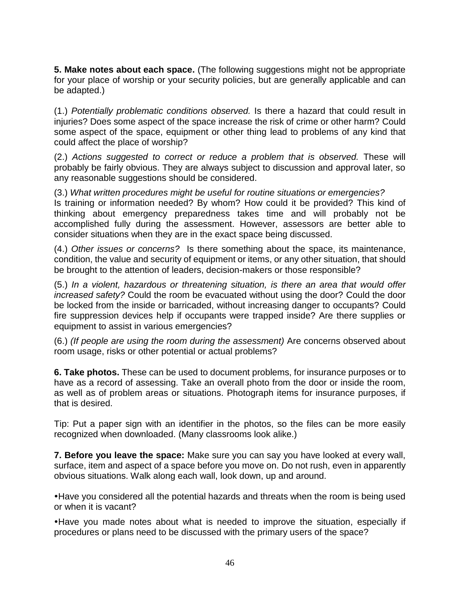**5. Make notes about each space.** (The following suggestions might not be appropriate for your place of worship or your security policies, but are generally applicable and can be adapted.)

(1.) *Potentially problematic conditions observed.* Is there a hazard that could result in injuries? Does some aspect of the space increase the risk of crime or other harm? Could some aspect of the space, equipment or other thing lead to problems of any kind that could affect the place of worship?

(2.) *Actions suggested to correct or reduce a problem that is observed.* These will probably be fairly obvious. They are always subject to discussion and approval later, so any reasonable suggestions should be considered.

(3.) *What written procedures might be useful for routine situations or emergencies?* Is training or information needed? By whom? How could it be provided? This kind of thinking about emergency preparedness takes time and will probably not be accomplished fully during the assessment. However, assessors are better able to consider situations when they are in the exact space being discussed.

(4.) *Other issues or concerns?* Is there something about the space, its maintenance, condition, the value and security of equipment or items, or any other situation, that should be brought to the attention of leaders, decision-makers or those responsible?

(5.) *In a violent, hazardous or threatening situation, is there an area that would offer increased safety?* Could the room be evacuated without using the door? Could the door be locked from the inside or barricaded, without increasing danger to occupants? Could fire suppression devices help if occupants were trapped inside? Are there supplies or equipment to assist in various emergencies?

(6.) *(If people are using the room during the assessment)* Are concerns observed about room usage, risks or other potential or actual problems?

**6. Take photos.** These can be used to document problems, for insurance purposes or to have as a record of assessing. Take an overall photo from the door or inside the room, as well as of problem areas or situations. Photograph items for insurance purposes, if that is desired.

Tip: Put a paper sign with an identifier in the photos, so the files can be more easily recognized when downloaded. (Many classrooms look alike.)

**7. Before you leave the space:** Make sure you can say you have looked at every wall, surface, item and aspect of a space before you move on. Do not rush, even in apparently obvious situations. Walk along each wall, look down, up and around.

Have you considered all the potential hazards and threats when the room is being used or when it is vacant?

Have you made notes about what is needed to improve the situation, especially if procedures or plans need to be discussed with the primary users of the space?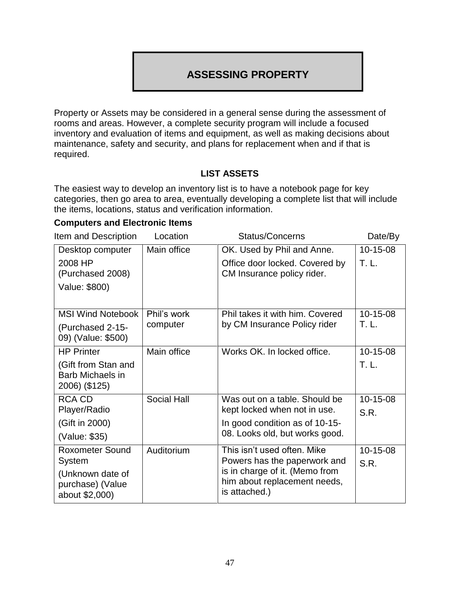# **ASSESSING PROPERTY**

Property or Assets may be considered in a general sense during the assessment of rooms and areas. However, a complete security program will include a focused inventory and evaluation of items and equipment, as well as making decisions about maintenance, safety and security, and plans for replacement when and if that is required.

## **LIST ASSETS**

The easiest way to develop an inventory list is to have a notebook page for key categories, then go area to area, eventually developing a complete list that will include the items, locations, status and verification information.

# **Computers and Electronic Items**

Item and Description Location Status/Concerns Date/By

|                                                                 |                    |                                                                                 | レ いいし リ  |
|-----------------------------------------------------------------|--------------------|---------------------------------------------------------------------------------|----------|
| Desktop computer                                                | Main office        | OK. Used by Phil and Anne.                                                      | 10-15-08 |
| 2008 HP<br>(Purchased 2008)<br>Value: \$800)                    |                    | Office door locked. Covered by<br>CM Insurance policy rider.                    | T. L.    |
|                                                                 |                    |                                                                                 |          |
| <b>MSI Wind Notebook</b>                                        | Phil's work        | Phil takes it with him. Covered                                                 | 10-15-08 |
| (Purchased 2-15-<br>09) (Value: \$500)                          | computer           | by CM Insurance Policy rider                                                    | T. L.    |
| <b>HP Printer</b>                                               | Main office        | Works OK. In locked office.                                                     | 10-15-08 |
| (Gift from Stan and<br><b>Barb Michaels in</b><br>2006) (\$125) |                    |                                                                                 | T. L.    |
| <b>RCA CD</b>                                                   | <b>Social Hall</b> | Was out on a table. Should be                                                   | 10-15-08 |
| Player/Radio                                                    |                    | kept locked when not in use.                                                    | S.R.     |
| (Gift in 2000)                                                  |                    | In good condition as of 10-15-                                                  |          |
| (Value: \$35)                                                   |                    | 08. Looks old, but works good.                                                  |          |
| <b>Roxometer Sound</b>                                          | Auditorium         | This isn't used often. Mike                                                     | 10-15-08 |
| System                                                          |                    | Powers has the paperwork and                                                    | S.R.     |
| (Unknown date of<br>purchase) (Value<br>about \$2,000)          |                    | is in charge of it. (Memo from<br>him about replacement needs,<br>is attached.) |          |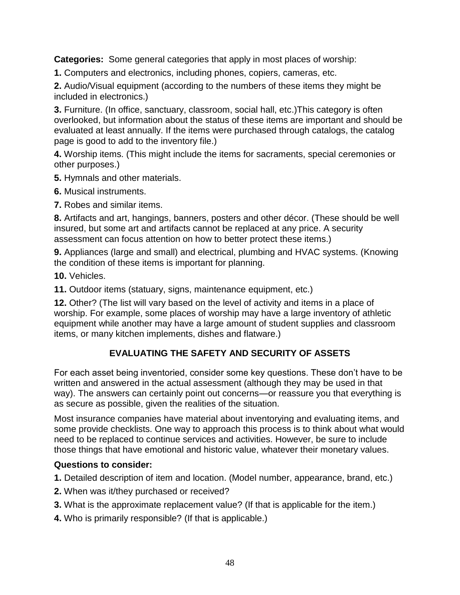**Categories:** Some general categories that apply in most places of worship:

**1.** Computers and electronics, including phones, copiers, cameras, etc.

**2.** Audio/Visual equipment (according to the numbers of these items they might be included in electronics.)

**3.** Furniture. (In office, sanctuary, classroom, social hall, etc.)This category is often overlooked, but information about the status of these items are important and should be evaluated at least annually. If the items were purchased through catalogs, the catalog page is good to add to the inventory file.)

**4.** Worship items. (This might include the items for sacraments, special ceremonies or other purposes.)

**5.** Hymnals and other materials.

**6.** Musical instruments.

**7.** Robes and similar items.

**8.** Artifacts and art, hangings, banners, posters and other décor. (These should be well insured, but some art and artifacts cannot be replaced at any price. A security assessment can focus attention on how to better protect these items.)

**9.** Appliances (large and small) and electrical, plumbing and HVAC systems. (Knowing the condition of these items is important for planning.

**10.** Vehicles.

**11.** Outdoor items (statuary, signs, maintenance equipment, etc.)

**12.** Other? (The list will vary based on the level of activity and items in a place of worship. For example, some places of worship may have a large inventory of athletic equipment while another may have a large amount of student supplies and classroom items, or many kitchen implements, dishes and flatware.)

# **EVALUATING THE SAFETY AND SECURITY OF ASSETS**

For each asset being inventoried, consider some key questions. These don't have to be written and answered in the actual assessment (although they may be used in that way). The answers can certainly point out concerns—or reassure you that everything is as secure as possible, given the realities of the situation.

Most insurance companies have material about inventorying and evaluating items, and some provide checklists. One way to approach this process is to think about what would need to be replaced to continue services and activities. However, be sure to include those things that have emotional and historic value, whatever their monetary values.

## **Questions to consider:**

**1.** Detailed description of item and location. (Model number, appearance, brand, etc.)

- **2.** When was it/they purchased or received?
- **3.** What is the approximate replacement value? (If that is applicable for the item.)
- **4.** Who is primarily responsible? (If that is applicable.)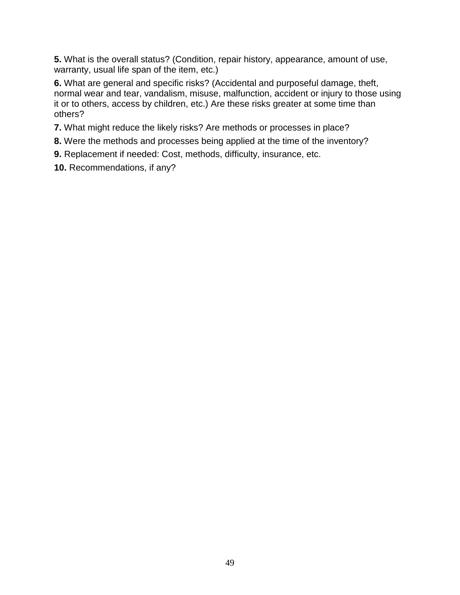**5.** What is the overall status? (Condition, repair history, appearance, amount of use, warranty, usual life span of the item, etc.)

**6.** What are general and specific risks? (Accidental and purposeful damage, theft, normal wear and tear, vandalism, misuse, malfunction, accident or injury to those using it or to others, access by children, etc.) Are these risks greater at some time than others?

**7.** What might reduce the likely risks? Are methods or processes in place?

- **8.** Were the methods and processes being applied at the time of the inventory?
- **9.** Replacement if needed: Cost, methods, difficulty, insurance, etc.
- **10.** Recommendations, if any?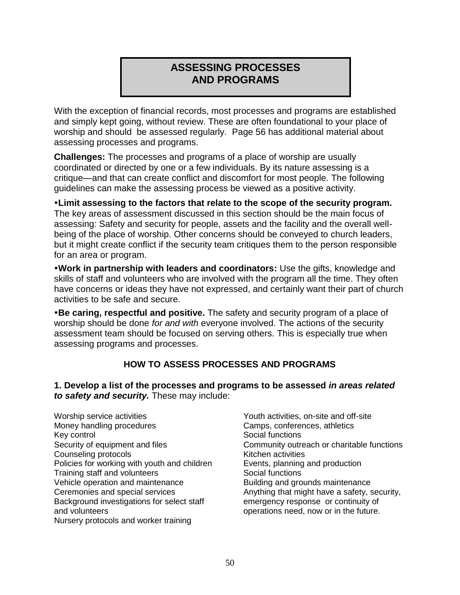# **ASSESSING PROCESSES AND PROGRAMS**

With the exception of financial records, most processes and programs are established and simply kept going, without review. These are often foundational to your place of worship and should be assessed regularly. Page 56 has additional material about assessing processes and programs.

**Challenges:** The processes and programs of a place of worship are usually coordinated or directed by one or a few individuals. By its nature assessing is a critique—and that can create conflict and discomfort for most people. The following guidelines can make the assessing process be viewed as a positive activity.

**Limit assessing to the factors that relate to the scope of the security program.** The key areas of assessment discussed in this section should be the main focus of assessing: Safety and security for people, assets and the facility and the overall wellbeing of the place of worship. Other concerns should be conveyed to church leaders, but it might create conflict if the security team critiques them to the person responsible for an area or program.

**Work in partnership with leaders and coordinators:** Use the gifts, knowledge and skills of staff and volunteers who are involved with the program all the time. They often have concerns or ideas they have not expressed, and certainly want their part of church activities to be safe and secure.

**Be caring, respectful and positive.** The safety and security program of a place of worship should be done *for and with* everyone involved. The actions of the security assessment team should be focused on serving others. This is especially true when assessing programs and processes.

## **HOW TO ASSESS PROCESSES AND PROGRAMS**

**1. Develop a list of the processes and programs to be assessed** *in areas related to safety and security.* These may include:

- Worship service activities Money handling procedures Key control Security of equipment and files Counseling protocols Policies for working with youth and children Training staff and volunteers Vehicle operation and maintenance Ceremonies and special services Background investigations for select staff and volunteers Nursery protocols and worker training
- Youth activities, on-site and off-site Camps, conferences, athletics Social functions Community outreach or charitable functions Kitchen activities Events, planning and production Social functions Building and grounds maintenance Anything that might have a safety, security, emergency response or continuity of operations need, now or in the future.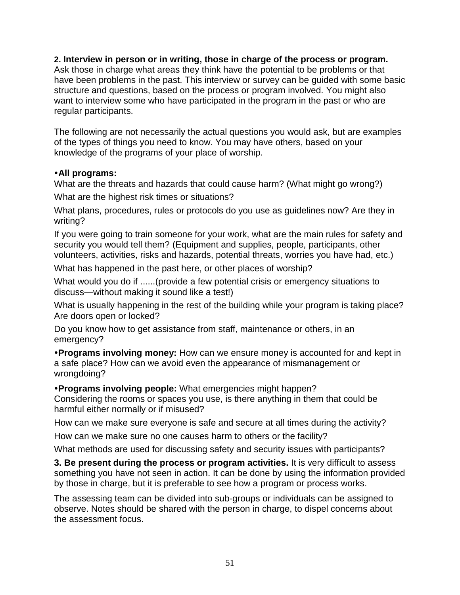#### **2. Interview in person or in writing, those in charge of the process or program.**

Ask those in charge what areas they think have the potential to be problems or that have been problems in the past. This interview or survey can be guided with some basic structure and questions, based on the process or program involved. You might also want to interview some who have participated in the program in the past or who are regular participants.

The following are not necessarily the actual questions you would ask, but are examples of the types of things you need to know. You may have others, based on your knowledge of the programs of your place of worship.

#### **All programs:**

What are the threats and hazards that could cause harm? (What might go wrong?)

What are the highest risk times or situations?

What plans, procedures, rules or protocols do you use as guidelines now? Are they in writing?

If you were going to train someone for your work, what are the main rules for safety and security you would tell them? (Equipment and supplies, people, participants, other volunteers, activities, risks and hazards, potential threats, worries you have had, etc.)

What has happened in the past here, or other places of worship?

What would you do if ......(provide a few potential crisis or emergency situations to discuss—without making it sound like a test!)

What is usually happening in the rest of the building while your program is taking place? Are doors open or locked?

Do you know how to get assistance from staff, maintenance or others, in an emergency?

**Programs involving money:** How can we ensure money is accounted for and kept in a safe place? How can we avoid even the appearance of mismanagement or wrongdoing?

**Programs involving people:** What emergencies might happen?

Considering the rooms or spaces you use, is there anything in them that could be harmful either normally or if misused?

How can we make sure everyone is safe and secure at all times during the activity?

How can we make sure no one causes harm to others or the facility?

What methods are used for discussing safety and security issues with participants?

**3. Be present during the process or program activities.** It is very difficult to assess something you have not seen in action. It can be done by using the information provided by those in charge, but it is preferable to see how a program or process works.

The assessing team can be divided into sub-groups or individuals can be assigned to observe. Notes should be shared with the person in charge, to dispel concerns about the assessment focus.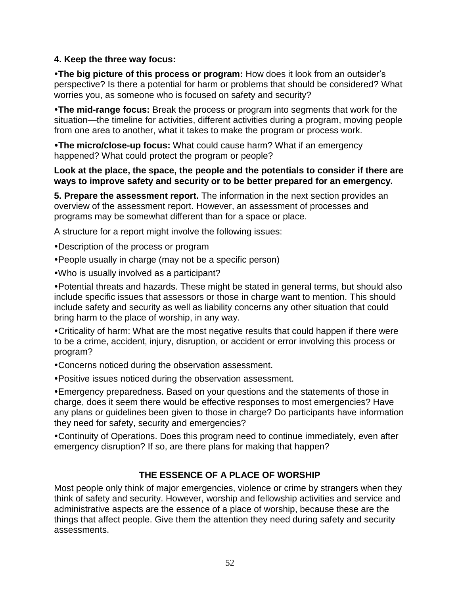## **4. Keep the three way focus:**

**The big picture of this process or program:** How does it look from an outsider's perspective? Is there a potential for harm or problems that should be considered? What worries you, as someone who is focused on safety and security?

**The mid-range focus:** Break the process or program into segments that work for the situation—the timeline for activities, different activities during a program, moving people from one area to another, what it takes to make the program or process work.

**The micro/close-up focus:** What could cause harm? What if an emergency happened? What could protect the program or people?

#### **Look at the place, the space, the people and the potentials to consider if there are ways to improve safety and security or to be better prepared for an emergency.**

**5. Prepare the assessment report.** The information in the next section provides an overview of the assessment report. However, an assessment of processes and programs may be somewhat different than for a space or place.

A structure for a report might involve the following issues:

Description of the process or program

- People usually in charge (may not be a specific person)
- Who is usually involved as a participant?

Potential threats and hazards. These might be stated in general terms, but should also include specific issues that assessors or those in charge want to mention. This should include safety and security as well as liability concerns any other situation that could bring harm to the place of worship, in any way.

Criticality of harm: What are the most negative results that could happen if there were to be a crime, accident, injury, disruption, or accident or error involving this process or program?

Concerns noticed during the observation assessment.

Positive issues noticed during the observation assessment.

Emergency preparedness. Based on your questions and the statements of those in charge, does it seem there would be effective responses to most emergencies? Have any plans or guidelines been given to those in charge? Do participants have information they need for safety, security and emergencies?

Continuity of Operations. Does this program need to continue immediately, even after emergency disruption? If so, are there plans for making that happen?

## **THE ESSENCE OF A PLACE OF WORSHIP**

Most people only think of major emergencies, violence or crime by strangers when they think of safety and security. However, worship and fellowship activities and service and administrative aspects are the essence of a place of worship, because these are the things that affect people. Give them the attention they need during safety and security assessments.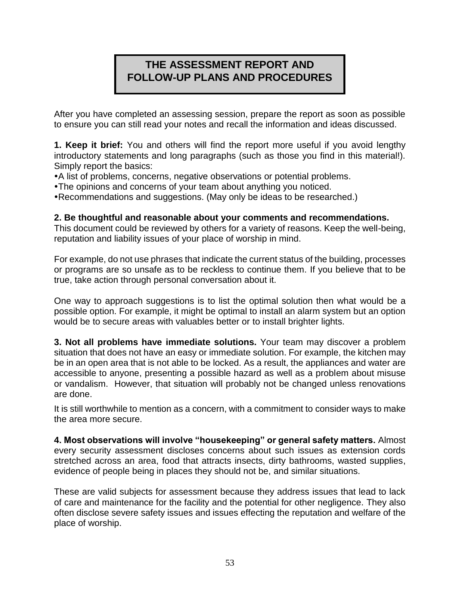# **THE ASSESSMENT REPORT AND FOLLOW-UP PLANS AND PROCEDURES**

After you have completed an assessing session, prepare the report as soon as possible to ensure you can still read your notes and recall the information and ideas discussed.

**1. Keep it brief:** You and others will find the report more useful if you avoid lengthy introductory statements and long paragraphs (such as those you find in this material!). Simply report the basics:

A list of problems, concerns, negative observations or potential problems.

The opinions and concerns of your team about anything you noticed.

Recommendations and suggestions. (May only be ideas to be researched.)

#### **2. Be thoughtful and reasonable about your comments and recommendations.**

This document could be reviewed by others for a variety of reasons. Keep the well-being, reputation and liability issues of your place of worship in mind.

For example, do not use phrases that indicate the current status of the building, processes or programs are so unsafe as to be reckless to continue them. If you believe that to be true, take action through personal conversation about it.

One way to approach suggestions is to list the optimal solution then what would be a possible option. For example, it might be optimal to install an alarm system but an option would be to secure areas with valuables better or to install brighter lights.

**3. Not all problems have immediate solutions.** Your team may discover a problem situation that does not have an easy or immediate solution. For example, the kitchen may be in an open area that is not able to be locked. As a result, the appliances and water are accessible to anyone, presenting a possible hazard as well as a problem about misuse or vandalism. However, that situation will probably not be changed unless renovations are done.

It is still worthwhile to mention as a concern, with a commitment to consider ways to make the area more secure.

**4. Most observations will involve "housekeeping" or general safety matters.** Almost every security assessment discloses concerns about such issues as extension cords stretched across an area, food that attracts insects, dirty bathrooms, wasted supplies, evidence of people being in places they should not be, and similar situations.

These are valid subjects for assessment because they address issues that lead to lack of care and maintenance for the facility and the potential for other negligence. They also often disclose severe safety issues and issues effecting the reputation and welfare of the place of worship.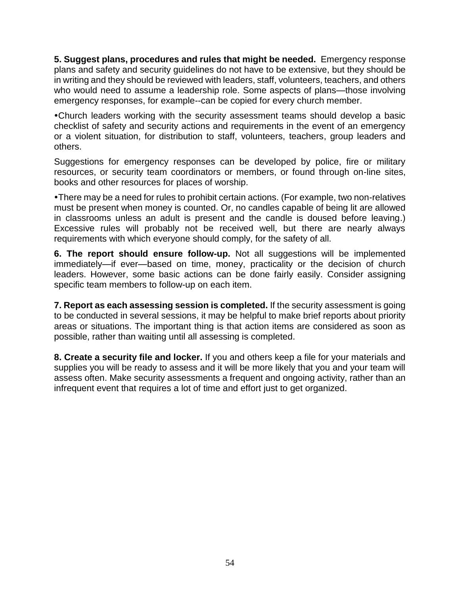**5. Suggest plans, procedures and rules that might be needed.** Emergency response plans and safety and security guidelines do not have to be extensive, but they should be in writing and they should be reviewed with leaders, staff, volunteers, teachers, and others who would need to assume a leadership role. Some aspects of plans—those involving emergency responses, for example--can be copied for every church member.

Church leaders working with the security assessment teams should develop a basic checklist of safety and security actions and requirements in the event of an emergency or a violent situation, for distribution to staff, volunteers, teachers, group leaders and others.

Suggestions for emergency responses can be developed by police, fire or military resources, or security team coordinators or members, or found through on-line sites, books and other resources for places of worship.

There may be a need for rules to prohibit certain actions. (For example, two non-relatives must be present when money is counted. Or, no candles capable of being lit are allowed in classrooms unless an adult is present and the candle is doused before leaving.) Excessive rules will probably not be received well, but there are nearly always requirements with which everyone should comply, for the safety of all.

**6. The report should ensure follow-up.** Not all suggestions will be implemented immediately—if ever—based on time, money, practicality or the decision of church leaders. However, some basic actions can be done fairly easily. Consider assigning specific team members to follow-up on each item.

**7. Report as each assessing session is completed.** If the security assessment is going to be conducted in several sessions, it may be helpful to make brief reports about priority areas or situations. The important thing is that action items are considered as soon as possible, rather than waiting until all assessing is completed.

**8. Create a security file and locker.** If you and others keep a file for your materials and supplies you will be ready to assess and it will be more likely that you and your team will assess often. Make security assessments a frequent and ongoing activity, rather than an infrequent event that requires a lot of time and effort just to get organized.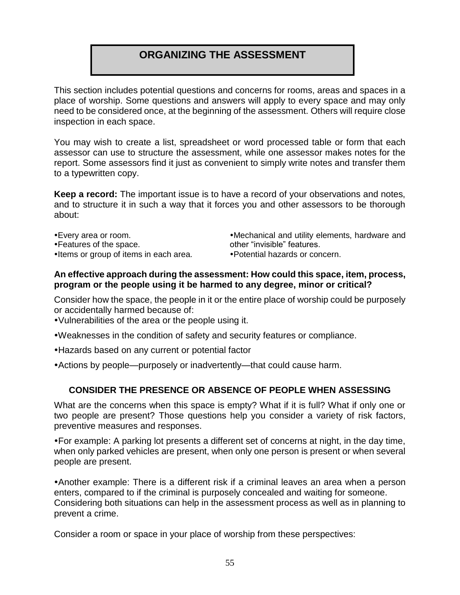# **ORGANIZING THE ASSESSMENT**

This section includes potential questions and concerns for rooms, areas and spaces in a place of worship. Some questions and answers will apply to every space and may only need to be considered once, at the beginning of the assessment. Others will require close inspection in each space.

You may wish to create a list, spreadsheet or word processed table or form that each assessor can use to structure the assessment, while one assessor makes notes for the report. Some assessors find it just as convenient to simply write notes and transfer them to a typewritten copy.

**Keep a record:** The important issue is to have a record of your observations and notes, and to structure it in such a way that it forces you and other assessors to be thorough about:

- Every area or room. Features of the space.
- •Items or group of items in each area.

Mechanical and utility elements, hardware and other "invisible" features.

Potential hazards or concern.

#### **An effective approach during the assessment: How could this space, item, process, program or the people using it be harmed to any degree, minor or critical?**

Consider how the space, the people in it or the entire place of worship could be purposely or accidentally harmed because of:

- Vulnerabilities of the area or the people using it.
- Weaknesses in the condition of safety and security features or compliance.
- Hazards based on any current or potential factor
- Actions by people—purposely or inadvertently—that could cause harm.

## **CONSIDER THE PRESENCE OR ABSENCE OF PEOPLE WHEN ASSESSING**

What are the concerns when this space is empty? What if it is full? What if only one or two people are present? Those questions help you consider a variety of risk factors, preventive measures and responses.

For example: A parking lot presents a different set of concerns at night, in the day time, when only parked vehicles are present, when only one person is present or when several people are present.

Another example: There is a different risk if a criminal leaves an area when a person enters, compared to if the criminal is purposely concealed and waiting for someone. Considering both situations can help in the assessment process as well as in planning to prevent a crime.

Consider a room or space in your place of worship from these perspectives: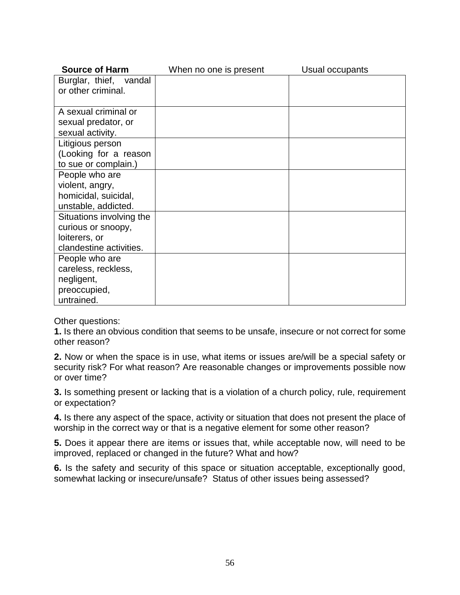| <b>Source of Harm</b>    | When no one is present | Usual occupants |
|--------------------------|------------------------|-----------------|
| Burglar, thief, vandal   |                        |                 |
| or other criminal.       |                        |                 |
|                          |                        |                 |
| A sexual criminal or     |                        |                 |
| sexual predator, or      |                        |                 |
| sexual activity.         |                        |                 |
| Litigious person         |                        |                 |
| (Looking for a reason    |                        |                 |
| to sue or complain.)     |                        |                 |
| People who are           |                        |                 |
| violent, angry,          |                        |                 |
| homicidal, suicidal,     |                        |                 |
| unstable, addicted.      |                        |                 |
| Situations involving the |                        |                 |
| curious or snoopy,       |                        |                 |
| loiterers, or            |                        |                 |
| clandestine activities.  |                        |                 |
| People who are           |                        |                 |
| careless, reckless,      |                        |                 |
| negligent,               |                        |                 |
| preoccupied,             |                        |                 |
| untrained.               |                        |                 |

Other questions:

**1.** Is there an obvious condition that seems to be unsafe, insecure or not correct for some other reason?

**2.** Now or when the space is in use, what items or issues are/will be a special safety or security risk? For what reason? Are reasonable changes or improvements possible now or over time?

**3.** Is something present or lacking that is a violation of a church policy, rule, requirement or expectation?

**4.** Is there any aspect of the space, activity or situation that does not present the place of worship in the correct way or that is a negative element for some other reason?

**5.** Does it appear there are items or issues that, while acceptable now, will need to be improved, replaced or changed in the future? What and how?

**6.** Is the safety and security of this space or situation acceptable, exceptionally good, somewhat lacking or insecure/unsafe? Status of other issues being assessed?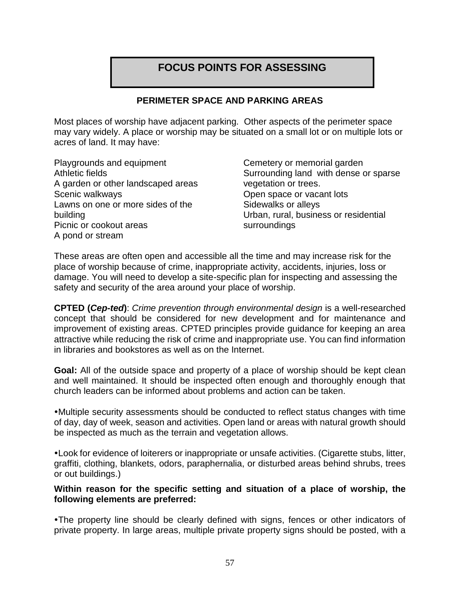# **FOCUS POINTS FOR ASSESSING**

#### **PERIMETER SPACE AND PARKING AREAS**

Most places of worship have adjacent parking. Other aspects of the perimeter space may vary widely. A place or worship may be situated on a small lot or on multiple lots or acres of land. It may have:

Playgrounds and equipment Athletic fields A garden or other landscaped areas Scenic walkways Lawns on one or more sides of the building Picnic or cookout areas A pond or stream

Cemetery or memorial garden Surrounding land with dense or sparse vegetation or trees. Open space or vacant lots Sidewalks or alleys Urban, rural, business or residential surroundings

These areas are often open and accessible all the time and may increase risk for the place of worship because of crime, inappropriate activity, accidents, injuries, loss or damage. You will need to develop a site-specific plan for inspecting and assessing the safety and security of the area around your place of worship.

**CPTED (***Cep-ted***)**: *Crime prevention through environmental design* is a well-researched concept that should be considered for new development and for maintenance and improvement of existing areas. CPTED principles provide guidance for keeping an area attractive while reducing the risk of crime and inappropriate use. You can find information in libraries and bookstores as well as on the Internet.

**Goal:** All of the outside space and property of a place of worship should be kept clean and well maintained. It should be inspected often enough and thoroughly enough that church leaders can be informed about problems and action can be taken.

Multiple security assessments should be conducted to reflect status changes with time of day, day of week, season and activities. Open land or areas with natural growth should be inspected as much as the terrain and vegetation allows.

Look for evidence of loiterers or inappropriate or unsafe activities. (Cigarette stubs, litter, graffiti, clothing, blankets, odors, paraphernalia, or disturbed areas behind shrubs, trees or out buildings.)

#### **Within reason for the specific setting and situation of a place of worship, the following elements are preferred:**

The property line should be clearly defined with signs, fences or other indicators of private property. In large areas, multiple private property signs should be posted, with a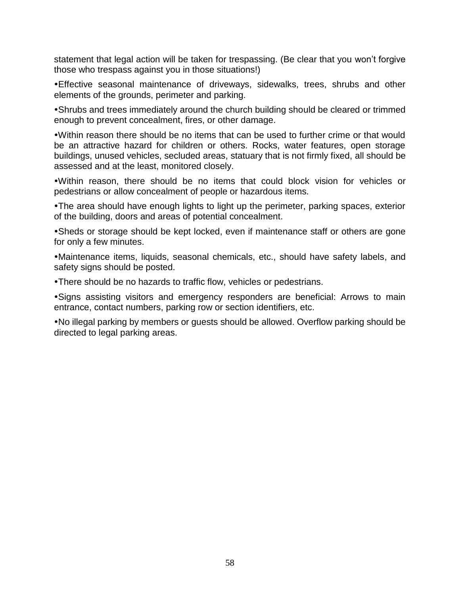statement that legal action will be taken for trespassing. (Be clear that you won't forgive those who trespass against you in those situations!)

Effective seasonal maintenance of driveways, sidewalks, trees, shrubs and other elements of the grounds, perimeter and parking.

Shrubs and trees immediately around the church building should be cleared or trimmed enough to prevent concealment, fires, or other damage.

Within reason there should be no items that can be used to further crime or that would be an attractive hazard for children or others. Rocks, water features, open storage buildings, unused vehicles, secluded areas, statuary that is not firmly fixed, all should be assessed and at the least, monitored closely.

Within reason, there should be no items that could block vision for vehicles or pedestrians or allow concealment of people or hazardous items.

The area should have enough lights to light up the perimeter, parking spaces, exterior of the building, doors and areas of potential concealment.

Sheds or storage should be kept locked, even if maintenance staff or others are gone for only a few minutes.

Maintenance items, liquids, seasonal chemicals, etc., should have safety labels, and safety signs should be posted.

There should be no hazards to traffic flow, vehicles or pedestrians.

Signs assisting visitors and emergency responders are beneficial: Arrows to main entrance, contact numbers, parking row or section identifiers, etc.

No illegal parking by members or guests should be allowed. Overflow parking should be directed to legal parking areas.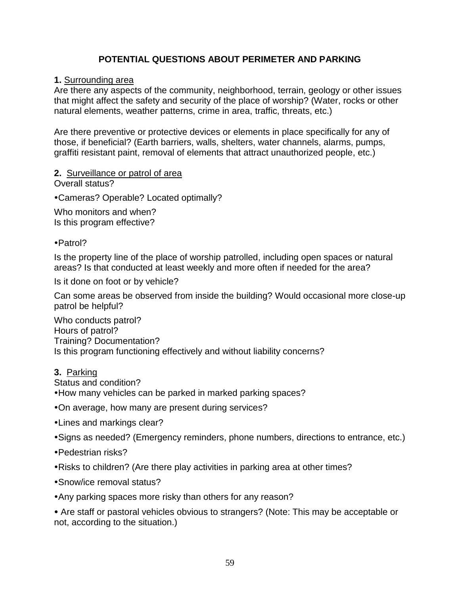## **POTENTIAL QUESTIONS ABOUT PERIMETER AND PARKING**

#### **1.** Surrounding area

Are there any aspects of the community, neighborhood, terrain, geology or other issues that might affect the safety and security of the place of worship? (Water, rocks or other natural elements, weather patterns, crime in area, traffic, threats, etc.)

Are there preventive or protective devices or elements in place specifically for any of those, if beneficial? (Earth barriers, walls, shelters, water channels, alarms, pumps, graffiti resistant paint, removal of elements that attract unauthorized people, etc.)

#### **2.** Surveillance or patrol of area

Overall status?

Cameras? Operable? Located optimally?

Who monitors and when? Is this program effective?

Patrol?

Is the property line of the place of worship patrolled, including open spaces or natural areas? Is that conducted at least weekly and more often if needed for the area?

Is it done on foot or by vehicle?

Can some areas be observed from inside the building? Would occasional more close-up patrol be helpful?

Who conducts patrol? Hours of patrol? Training? Documentation? Is this program functioning effectively and without liability concerns?

## **3.** Parking

Status and condition?

How many vehicles can be parked in marked parking spaces?

On average, how many are present during services?

Lines and markings clear?

Signs as needed? (Emergency reminders, phone numbers, directions to entrance, etc.)

Pedestrian risks?

Risks to children? (Are there play activities in parking area at other times?

Snow/ice removal status?

Any parking spaces more risky than others for any reason?

 Are staff or pastoral vehicles obvious to strangers? (Note: This may be acceptable or not, according to the situation.)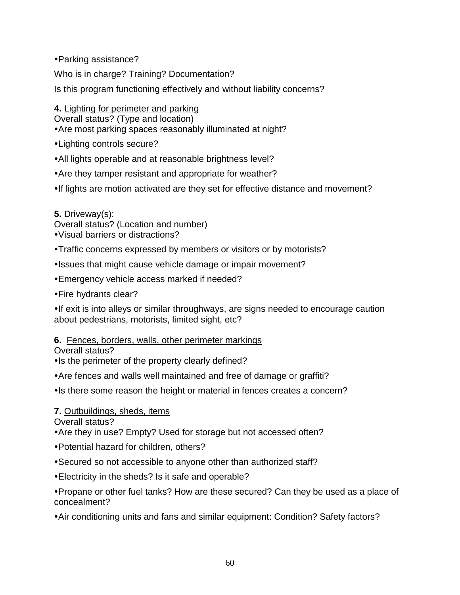Parking assistance?

Who is in charge? Training? Documentation?

Is this program functioning effectively and without liability concerns?

**4.** Lighting for perimeter and parking

Overall status? (Type and location)

Are most parking spaces reasonably illuminated at night?

Lighting controls secure?

All lights operable and at reasonable brightness level?

Are they tamper resistant and appropriate for weather?

•If lights are motion activated are they set for effective distance and movement?

**5.** Driveway(s):

Overall status? (Location and number)

Visual barriers or distractions?

- Traffic concerns expressed by members or visitors or by motorists?
- . Issues that might cause vehicle damage or impair movement?

Emergency vehicle access marked if needed?

Fire hydrants clear?

• If exit is into alleys or similar throughways, are signs needed to encourage caution about pedestrians, motorists, limited sight, etc?

## **6.** Fences, borders, walls, other perimeter markings

Overall status?

• Is the perimeter of the property clearly defined?

Are fences and walls well maintained and free of damage or graffiti?

• Is there some reason the height or material in fences creates a concern?

## **7.** Outbuildings, sheds, items

Overall status?

Are they in use? Empty? Used for storage but not accessed often?

Potential hazard for children, others?

Secured so not accessible to anyone other than authorized staff?

Electricity in the sheds? Is it safe and operable?

Propane or other fuel tanks? How are these secured? Can they be used as a place of concealment?

Air conditioning units and fans and similar equipment: Condition? Safety factors?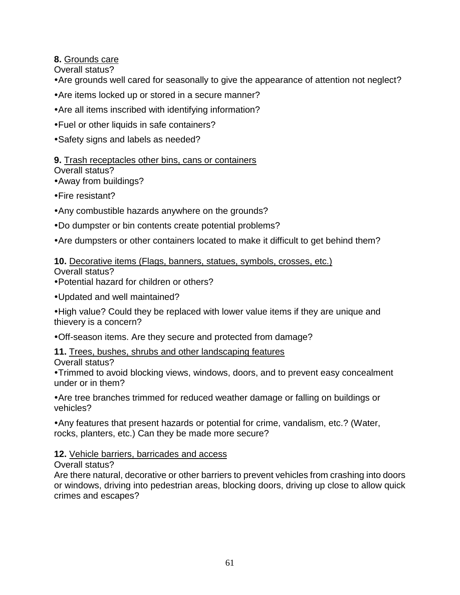**8.** Grounds care

Overall status?

- Are grounds well cared for seasonally to give the appearance of attention not neglect?
- Are items locked up or stored in a secure manner?
- Are all items inscribed with identifying information?
- Fuel or other liquids in safe containers?
- Safety signs and labels as needed?

# **9.** Trash receptacles other bins, cans or containers

## Overall status?

Away from buildings?

- Fire resistant?
- Any combustible hazards anywhere on the grounds?
- Do dumpster or bin contents create potential problems?
- Are dumpsters or other containers located to make it difficult to get behind them?

# **10.** Decorative items (Flags, banners, statues, symbols, crosses, etc.)

Overall status?

Potential hazard for children or others?

Updated and well maintained?

High value? Could they be replaced with lower value items if they are unique and thievery is a concern?

Off-season items. Are they secure and protected from damage?

**11.** Trees, bushes, shrubs and other landscaping features Overall status?

Trimmed to avoid blocking views, windows, doors, and to prevent easy concealment under or in them?

Are tree branches trimmed for reduced weather damage or falling on buildings or vehicles?

Any features that present hazards or potential for crime, vandalism, etc.? (Water, rocks, planters, etc.) Can they be made more secure?

## **12.** Vehicle barriers, barricades and access

Overall status?

Are there natural, decorative or other barriers to prevent vehicles from crashing into doors or windows, driving into pedestrian areas, blocking doors, driving up close to allow quick crimes and escapes?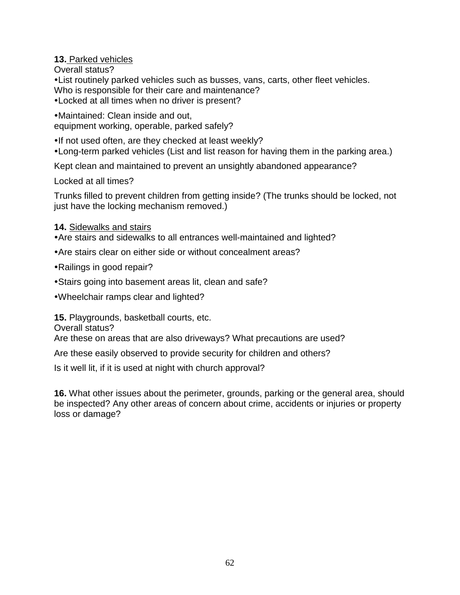## **13.** Parked vehicles

Overall status?

List routinely parked vehicles such as busses, vans, carts, other fleet vehicles. Who is responsible for their care and maintenance?

Locked at all times when no driver is present?

Maintained: Clean inside and out, equipment working, operable, parked safely?

. If not used often, are they checked at least weekly?

Long-term parked vehicles (List and list reason for having them in the parking area.)

Kept clean and maintained to prevent an unsightly abandoned appearance?

Locked at all times?

Trunks filled to prevent children from getting inside? (The trunks should be locked, not just have the locking mechanism removed.)

#### **14.** Sidewalks and stairs

Are stairs and sidewalks to all entrances well-maintained and lighted?

- Are stairs clear on either side or without concealment areas?
- Railings in good repair?
- Stairs going into basement areas lit, clean and safe?

Wheelchair ramps clear and lighted?

**15.** Playgrounds, basketball courts, etc.

Overall status?

Are these on areas that are also driveways? What precautions are used?

Are these easily observed to provide security for children and others?

Is it well lit, if it is used at night with church approval?

**16.** What other issues about the perimeter, grounds, parking or the general area, should be inspected? Any other areas of concern about crime, accidents or injuries or property loss or damage?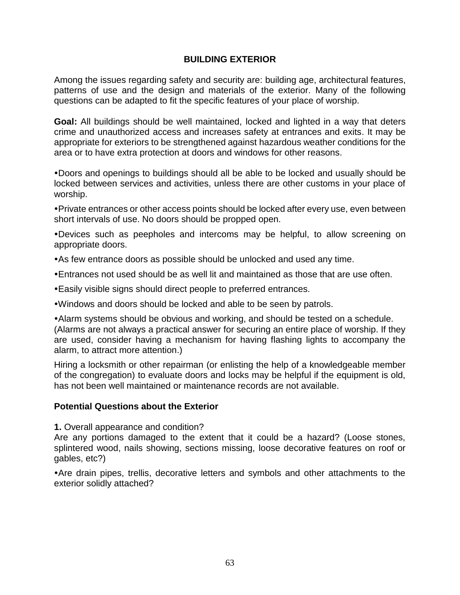#### **BUILDING EXTERIOR**

Among the issues regarding safety and security are: building age, architectural features, patterns of use and the design and materials of the exterior. Many of the following questions can be adapted to fit the specific features of your place of worship.

**Goal:** All buildings should be well maintained, locked and lighted in a way that deters crime and unauthorized access and increases safety at entrances and exits. It may be appropriate for exteriors to be strengthened against hazardous weather conditions for the area or to have extra protection at doors and windows for other reasons.

Doors and openings to buildings should all be able to be locked and usually should be locked between services and activities, unless there are other customs in your place of worship.

Private entrances or other access points should be locked after every use, even between short intervals of use. No doors should be propped open.

Devices such as peepholes and intercoms may be helpful, to allow screening on appropriate doors.

- As few entrance doors as possible should be unlocked and used any time.
- Entrances not used should be as well lit and maintained as those that are use often.
- Easily visible signs should direct people to preferred entrances.
- Windows and doors should be locked and able to be seen by patrols.

Alarm systems should be obvious and working, and should be tested on a schedule. (Alarms are not always a practical answer for securing an entire place of worship. If they are used, consider having a mechanism for having flashing lights to accompany the alarm, to attract more attention.)

Hiring a locksmith or other repairman (or enlisting the help of a knowledgeable member of the congregation) to evaluate doors and locks may be helpful if the equipment is old, has not been well maintained or maintenance records are not available.

#### **Potential Questions about the Exterior**

**1.** Overall appearance and condition?

Are any portions damaged to the extent that it could be a hazard? (Loose stones, splintered wood, nails showing, sections missing, loose decorative features on roof or gables, etc?)

Are drain pipes, trellis, decorative letters and symbols and other attachments to the exterior solidly attached?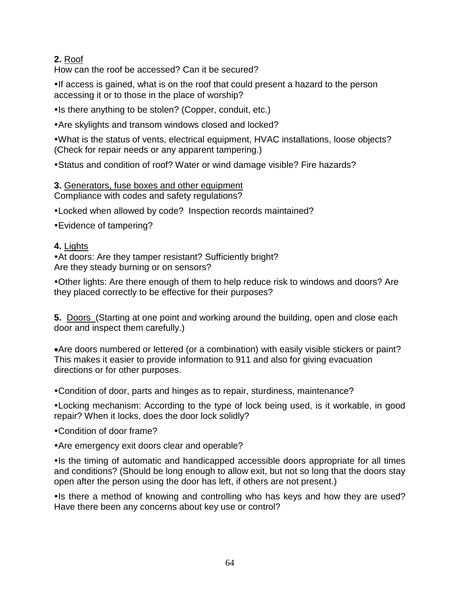## **2.** Roof

How can the roof be accessed? Can it be secured?

If access is gained, what is on the roof that could present a hazard to the person accessing it or to those in the place of worship?

• Is there anything to be stolen? (Copper, conduit, etc.)

Are skylights and transom windows closed and locked?

What is the status of vents, electrical equipment, HVAC installations, loose objects? (Check for repair needs or any apparent tampering.)

Status and condition of roof? Water or wind damage visible? Fire hazards?

# **3.** Generators, fuse boxes and other equipment

Compliance with codes and safety regulations?

Locked when allowed by code? Inspection records maintained?

Evidence of tampering?

#### **4.** Lights

At doors: Are they tamper resistant? Sufficiently bright? Are they steady burning or on sensors?

Other lights: Are there enough of them to help reduce risk to windows and doors? Are they placed correctly to be effective for their purposes?

**5.** Doors (Starting at one point and working around the building, open and close each door and inspect them carefully.)

Are doors numbered or lettered (or a combination) with easily visible stickers or paint? This makes it easier to provide information to 911 and also for giving evacuation directions or for other purposes.

Condition of door, parts and hinges as to repair, sturdiness, maintenance?

Locking mechanism: According to the type of lock being used, is it workable, in good repair? When it locks, does the door lock solidly?

Condition of door frame?

Are emergency exit doors clear and operable?

• Is the timing of automatic and handicapped accessible doors appropriate for all times and conditions? (Should be long enough to allow exit, but not so long that the doors stay open after the person using the door has left, if others are not present.)

• Is there a method of knowing and controlling who has keys and how they are used? Have there been any concerns about key use or control?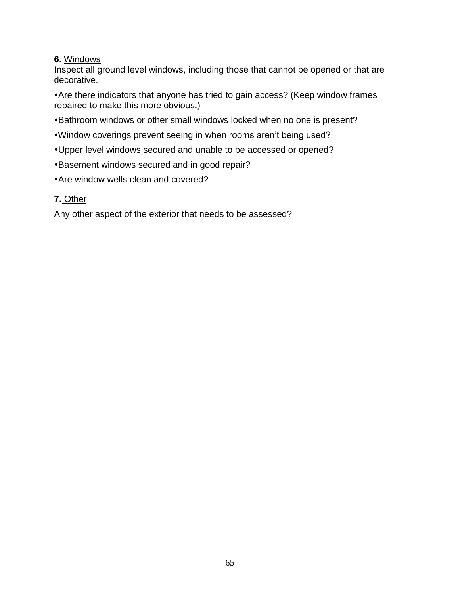#### **6.** Windows

Inspect all ground level windows, including those that cannot be opened or that are decorative.

Are there indicators that anyone has tried to gain access? (Keep window frames repaired to make this more obvious.)

- Bathroom windows or other small windows locked when no one is present?
- Window coverings prevent seeing in when rooms aren't being used?
- Upper level windows secured and unable to be accessed or opened?
- Basement windows secured and in good repair?
- Are window wells clean and covered?

## **7.** Other

Any other aspect of the exterior that needs to be assessed?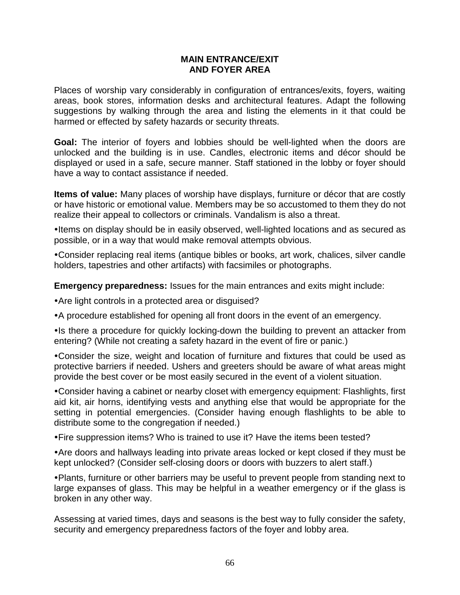#### **MAIN ENTRANCE/EXIT AND FOYER AREA**

Places of worship vary considerably in configuration of entrances/exits, foyers, waiting areas, book stores, information desks and architectural features. Adapt the following suggestions by walking through the area and listing the elements in it that could be harmed or effected by safety hazards or security threats.

**Goal:** The interior of foyers and lobbies should be well-lighted when the doors are unlocked and the building is in use. Candles, electronic items and décor should be displayed or used in a safe, secure manner. Staff stationed in the lobby or foyer should have a way to contact assistance if needed.

**Items of value:** Many places of worship have displays, furniture or décor that are costly or have historic or emotional value. Members may be so accustomed to them they do not realize their appeal to collectors or criminals. Vandalism is also a threat.

• Items on display should be in easily observed, well-lighted locations and as secured as possible, or in a way that would make removal attempts obvious.

Consider replacing real items (antique bibles or books, art work, chalices, silver candle holders, tapestries and other artifacts) with facsimiles or photographs.

**Emergency preparedness:** Issues for the main entrances and exits might include:

Are light controls in a protected area or disguised?

A procedure established for opening all front doors in the event of an emergency.

• Is there a procedure for quickly locking-down the building to prevent an attacker from entering? (While not creating a safety hazard in the event of fire or panic.)

Consider the size, weight and location of furniture and fixtures that could be used as protective barriers if needed. Ushers and greeters should be aware of what areas might provide the best cover or be most easily secured in the event of a violent situation.

Consider having a cabinet or nearby closet with emergency equipment: Flashlights, first aid kit, air horns, identifying vests and anything else that would be appropriate for the setting in potential emergencies. (Consider having enough flashlights to be able to distribute some to the congregation if needed.)

Fire suppression items? Who is trained to use it? Have the items been tested?

Are doors and hallways leading into private areas locked or kept closed if they must be kept unlocked? (Consider self-closing doors or doors with buzzers to alert staff.)

Plants, furniture or other barriers may be useful to prevent people from standing next to large expanses of glass. This may be helpful in a weather emergency or if the glass is broken in any other way.

Assessing at varied times, days and seasons is the best way to fully consider the safety, security and emergency preparedness factors of the foyer and lobby area.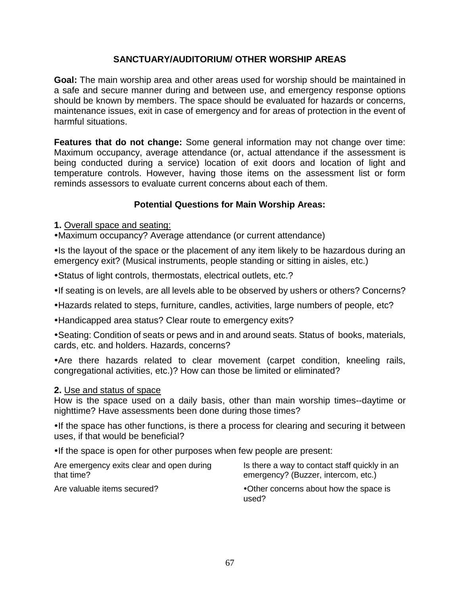## **SANCTUARY/AUDITORIUM/ OTHER WORSHIP AREAS**

**Goal:** The main worship area and other areas used for worship should be maintained in a safe and secure manner during and between use, and emergency response options should be known by members. The space should be evaluated for hazards or concerns, maintenance issues, exit in case of emergency and for areas of protection in the event of harmful situations.

**Features that do not change:** Some general information may not change over time: Maximum occupancy, average attendance (or, actual attendance if the assessment is being conducted during a service) location of exit doors and location of light and temperature controls. However, having those items on the assessment list or form reminds assessors to evaluate current concerns about each of them.

## **Potential Questions for Main Worship Areas:**

**1.** Overall space and seating:

Maximum occupancy? Average attendance (or current attendance)

• Is the layout of the space or the placement of any item likely to be hazardous during an emergency exit? (Musical instruments, people standing or sitting in aisles, etc.)

Status of light controls, thermostats, electrical outlets, etc.?

• If seating is on levels, are all levels able to be observed by ushers or others? Concerns?

Hazards related to steps, furniture, candles, activities, large numbers of people, etc?

Handicapped area status? Clear route to emergency exits?

Seating: Condition of seats or pews and in and around seats. Status of books, materials, cards, etc. and holders. Hazards, concerns?

Are there hazards related to clear movement (carpet condition, kneeling rails, congregational activities, etc.)? How can those be limited or eliminated?

#### **2.** Use and status of space

How is the space used on a daily basis, other than main worship times--daytime or nighttime? Have assessments been done during those times?

•If the space has other functions, is there a process for clearing and securing it between uses, if that would be beneficial?

. If the space is open for other purposes when few people are present:

| Are emergency exits clear and open during | Is there a way to contact staff quickly in an   |
|-------------------------------------------|-------------------------------------------------|
| that time?                                | emergency? (Buzzer, intercom, etc.)             |
| Are valuable items secured?               | •Other concerns about how the space is<br>used? |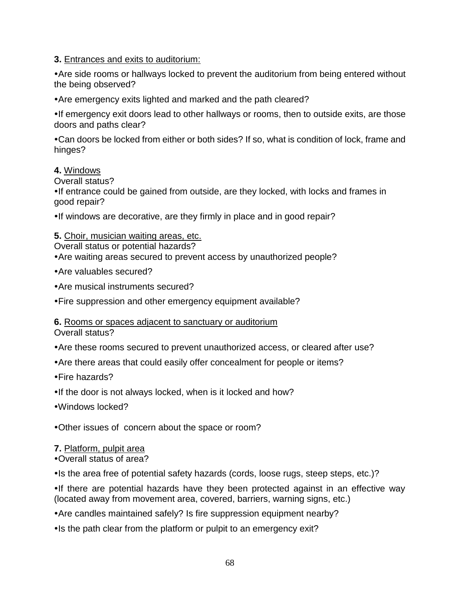**3.** Entrances and exits to auditorium:

Are side rooms or hallways locked to prevent the auditorium from being entered without the being observed?

Are emergency exits lighted and marked and the path cleared?

If emergency exit doors lead to other hallways or rooms, then to outside exits, are those doors and paths clear?

Can doors be locked from either or both sides? If so, what is condition of lock, frame and hinges?

#### **4.** Windows

Overall status?

•If entrance could be gained from outside, are they locked, with locks and frames in good repair?

•If windows are decorative, are they firmly in place and in good repair?

#### **5.** Choir, musician waiting areas, etc.

Overall status or potential hazards?

Are waiting areas secured to prevent access by unauthorized people?

- Are valuables secured?
- Are musical instruments secured?

Fire suppression and other emergency equipment available?

**6.** Rooms or spaces adjacent to sanctuary or auditorium

Overall status?

- Are these rooms secured to prevent unauthorized access, or cleared after use?
- Are there areas that could easily offer concealment for people or items?
- Fire hazards?
- . If the door is not always locked, when is it locked and how?
- Windows locked?

Other issues of concern about the space or room?

## **7.** Platform, pulpit area

Overall status of area?

• Is the area free of potential safety hazards (cords, loose rugs, steep steps, etc.)?

•If there are potential hazards have they been protected against in an effective way (located away from movement area, covered, barriers, warning signs, etc.)

Are candles maintained safely? Is fire suppression equipment nearby?

• Is the path clear from the platform or pulpit to an emergency exit?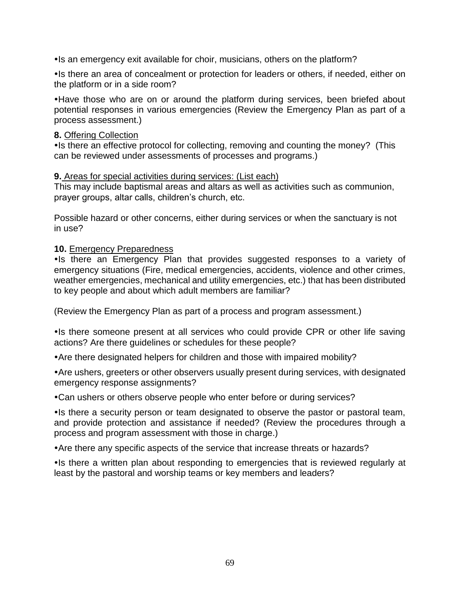Is an emergency exit available for choir, musicians, others on the platform?

• Is there an area of concealment or protection for leaders or others, if needed, either on the platform or in a side room?

Have those who are on or around the platform during services, been briefed about potential responses in various emergencies (Review the Emergency Plan as part of a process assessment.)

#### **8.** Offering Collection

• Is there an effective protocol for collecting, removing and counting the money? (This can be reviewed under assessments of processes and programs.)

#### **9.** Areas for special activities during services: (List each)

This may include baptismal areas and altars as well as activities such as communion, prayer groups, altar calls, children's church, etc.

Possible hazard or other concerns, either during services or when the sanctuary is not in use?

#### **10.** Emergency Preparedness

• Is there an Emergency Plan that provides suggested responses to a variety of emergency situations (Fire, medical emergencies, accidents, violence and other crimes, weather emergencies, mechanical and utility emergencies, etc.) that has been distributed to key people and about which adult members are familiar?

(Review the Emergency Plan as part of a process and program assessment.)

• Is there someone present at all services who could provide CPR or other life saving actions? Are there guidelines or schedules for these people?

Are there designated helpers for children and those with impaired mobility?

Are ushers, greeters or other observers usually present during services, with designated emergency response assignments?

Can ushers or others observe people who enter before or during services?

• Is there a security person or team designated to observe the pastor or pastoral team, and provide protection and assistance if needed? (Review the procedures through a process and program assessment with those in charge.)

Are there any specific aspects of the service that increase threats or hazards?

• Is there a written plan about responding to emergencies that is reviewed regularly at least by the pastoral and worship teams or key members and leaders?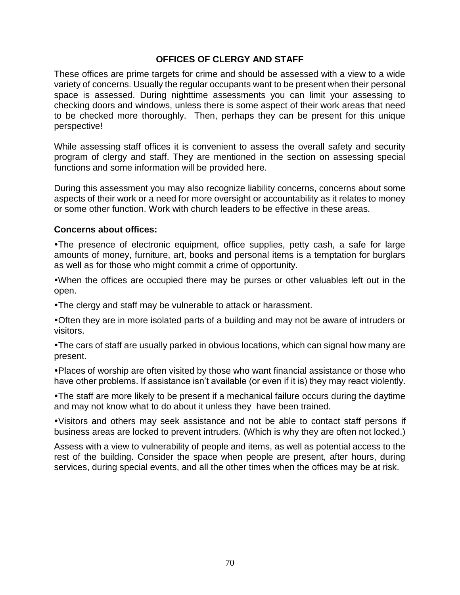#### **OFFICES OF CLERGY AND STAFF**

These offices are prime targets for crime and should be assessed with a view to a wide variety of concerns. Usually the regular occupants want to be present when their personal space is assessed. During nighttime assessments you can limit your assessing to checking doors and windows, unless there is some aspect of their work areas that need to be checked more thoroughly. Then, perhaps they can be present for this unique perspective!

While assessing staff offices it is convenient to assess the overall safety and security program of clergy and staff. They are mentioned in the section on assessing special functions and some information will be provided here.

During this assessment you may also recognize liability concerns, concerns about some aspects of their work or a need for more oversight or accountability as it relates to money or some other function. Work with church leaders to be effective in these areas.

#### **Concerns about offices:**

The presence of electronic equipment, office supplies, petty cash, a safe for large amounts of money, furniture, art, books and personal items is a temptation for burglars as well as for those who might commit a crime of opportunity.

When the offices are occupied there may be purses or other valuables left out in the open.

The clergy and staff may be vulnerable to attack or harassment.

Often they are in more isolated parts of a building and may not be aware of intruders or visitors.

The cars of staff are usually parked in obvious locations, which can signal how many are present.

Places of worship are often visited by those who want financial assistance or those who have other problems. If assistance isn't available (or even if it is) they may react violently.

The staff are more likely to be present if a mechanical failure occurs during the daytime and may not know what to do about it unless they have been trained.

Visitors and others may seek assistance and not be able to contact staff persons if business areas are locked to prevent intruders. (Which is why they are often not locked.)

Assess with a view to vulnerability of people and items, as well as potential access to the rest of the building. Consider the space when people are present, after hours, during services, during special events, and all the other times when the offices may be at risk.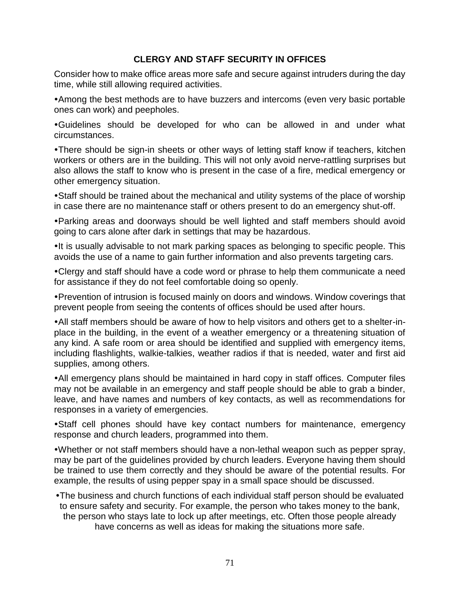#### **CLERGY AND STAFF SECURITY IN OFFICES**

Consider how to make office areas more safe and secure against intruders during the day time, while still allowing required activities.

Among the best methods are to have buzzers and intercoms (even very basic portable ones can work) and peepholes.

Guidelines should be developed for who can be allowed in and under what circumstances.

There should be sign-in sheets or other ways of letting staff know if teachers, kitchen workers or others are in the building. This will not only avoid nerve-rattling surprises but also allows the staff to know who is present in the case of a fire, medical emergency or other emergency situation.

Staff should be trained about the mechanical and utility systems of the place of worship in case there are no maintenance staff or others present to do an emergency shut-off.

Parking areas and doorways should be well lighted and staff members should avoid going to cars alone after dark in settings that may be hazardous.

•It is usually advisable to not mark parking spaces as belonging to specific people. This avoids the use of a name to gain further information and also prevents targeting cars.

Clergy and staff should have a code word or phrase to help them communicate a need for assistance if they do not feel comfortable doing so openly.

Prevention of intrusion is focused mainly on doors and windows. Window coverings that prevent people from seeing the contents of offices should be used after hours.

All staff members should be aware of how to help visitors and others get to a shelter-inplace in the building, in the event of a weather emergency or a threatening situation of any kind. A safe room or area should be identified and supplied with emergency items, including flashlights, walkie-talkies, weather radios if that is needed, water and first aid supplies, among others.

All emergency plans should be maintained in hard copy in staff offices. Computer files may not be available in an emergency and staff people should be able to grab a binder, leave, and have names and numbers of key contacts, as well as recommendations for responses in a variety of emergencies.

Staff cell phones should have key contact numbers for maintenance, emergency response and church leaders, programmed into them.

Whether or not staff members should have a non-lethal weapon such as pepper spray, may be part of the guidelines provided by church leaders. Everyone having them should be trained to use them correctly and they should be aware of the potential results. For example, the results of using pepper spay in a small space should be discussed.

The business and church functions of each individual staff person should be evaluated to ensure safety and security. For example, the person who takes money to the bank, the person who stays late to lock up after meetings, etc. Often those people already have concerns as well as ideas for making the situations more safe.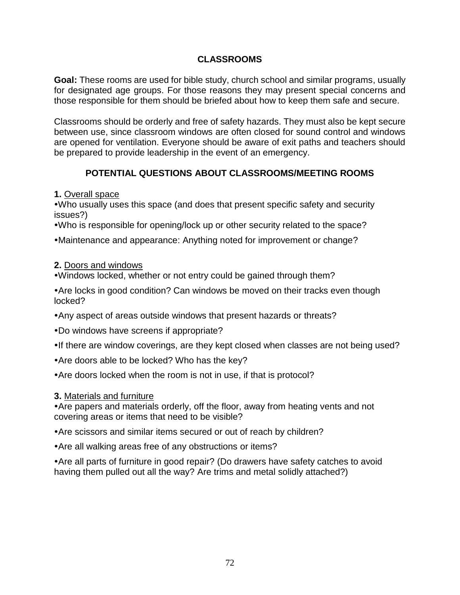### **CLASSROOMS**

**Goal:** These rooms are used for bible study, church school and similar programs, usually for designated age groups. For those reasons they may present special concerns and those responsible for them should be briefed about how to keep them safe and secure.

Classrooms should be orderly and free of safety hazards. They must also be kept secure between use, since classroom windows are often closed for sound control and windows are opened for ventilation. Everyone should be aware of exit paths and teachers should be prepared to provide leadership in the event of an emergency.

### **POTENTIAL QUESTIONS ABOUT CLASSROOMS/MEETING ROOMS**

#### **1.** Overall space

Who usually uses this space (and does that present specific safety and security issues?)

Who is responsible for opening/lock up or other security related to the space?

Maintenance and appearance: Anything noted for improvement or change?

#### **2.** Doors and windows

Windows locked, whether or not entry could be gained through them?

Are locks in good condition? Can windows be moved on their tracks even though locked?

- Any aspect of areas outside windows that present hazards or threats?
- Do windows have screens if appropriate?
- •If there are window coverings, are they kept closed when classes are not being used?
- Are doors able to be locked? Who has the key?
- Are doors locked when the room is not in use, if that is protocol?

#### **3.** Materials and furniture

Are papers and materials orderly, off the floor, away from heating vents and not covering areas or items that need to be visible?

- Are scissors and similar items secured or out of reach by children?
- Are all walking areas free of any obstructions or items?

Are all parts of furniture in good repair? (Do drawers have safety catches to avoid having them pulled out all the way? Are trims and metal solidly attached?)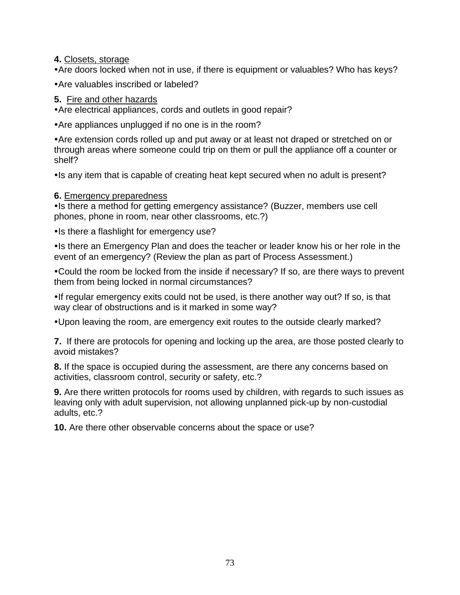**4.** Closets, storage

Are doors locked when not in use, if there is equipment or valuables? Who has keys?

Are valuables inscribed or labeled?

### **5.** Fire and other hazards

Are electrical appliances, cords and outlets in good repair?

Are appliances unplugged if no one is in the room?

Are extension cords rolled up and put away or at least not draped or stretched on or through areas where someone could trip on them or pull the appliance off a counter or shelf?

Is any item that is capable of creating heat kept secured when no adult is present?

### **6.** Emergency preparedness

• Is there a method for getting emergency assistance? (Buzzer, members use cell phones, phone in room, near other classrooms, etc.?)

• Is there a flashlight for emergency use?

Is there an Emergency Plan and does the teacher or leader know his or her role in the event of an emergency? (Review the plan as part of Process Assessment.)

Could the room be locked from the inside if necessary? If so, are there ways to prevent them from being locked in normal circumstances?

•If regular emergency exits could not be used, is there another way out? If so, is that way clear of obstructions and is it marked in some way?

Upon leaving the room, are emergency exit routes to the outside clearly marked?

**7.** If there are protocols for opening and locking up the area, are those posted clearly to avoid mistakes?

**8.** If the space is occupied during the assessment, are there any concerns based on activities, classroom control, security or safety, etc.?

**9.** Are there written protocols for rooms used by children, with regards to such issues as leaving only with adult supervision, not allowing unplanned pick-up by non-custodial adults, etc.?

**10.** Are there other observable concerns about the space or use?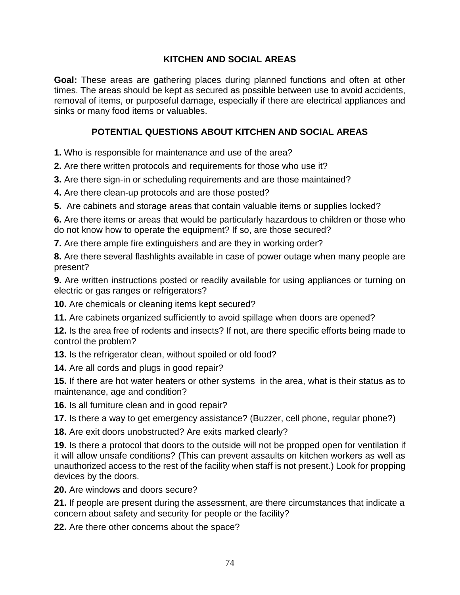### **KITCHEN AND SOCIAL AREAS**

**Goal:** These areas are gathering places during planned functions and often at other times. The areas should be kept as secured as possible between use to avoid accidents, removal of items, or purposeful damage, especially if there are electrical appliances and sinks or many food items or valuables.

### **POTENTIAL QUESTIONS ABOUT KITCHEN AND SOCIAL AREAS**

**1.** Who is responsible for maintenance and use of the area?

**2.** Are there written protocols and requirements for those who use it?

**3.** Are there sign-in or scheduling requirements and are those maintained?

**4.** Are there clean-up protocols and are those posted?

**5.** Are cabinets and storage areas that contain valuable items or supplies locked?

**6.** Are there items or areas that would be particularly hazardous to children or those who do not know how to operate the equipment? If so, are those secured?

**7.** Are there ample fire extinguishers and are they in working order?

**8.** Are there several flashlights available in case of power outage when many people are present?

**9.** Are written instructions posted or readily available for using appliances or turning on electric or gas ranges or refrigerators?

**10.** Are chemicals or cleaning items kept secured?

**11.** Are cabinets organized sufficiently to avoid spillage when doors are opened?

**12.** Is the area free of rodents and insects? If not, are there specific efforts being made to control the problem?

**13.** Is the refrigerator clean, without spoiled or old food?

**14.** Are all cords and plugs in good repair?

**15.** If there are hot water heaters or other systems in the area, what is their status as to maintenance, age and condition?

**16.** Is all furniture clean and in good repair?

**17.** Is there a way to get emergency assistance? (Buzzer, cell phone, regular phone?)

**18.** Are exit doors unobstructed? Are exits marked clearly?

**19.** Is there a protocol that doors to the outside will not be propped open for ventilation if it will allow unsafe conditions? (This can prevent assaults on kitchen workers as well as unauthorized access to the rest of the facility when staff is not present.) Look for propping devices by the doors.

**20.** Are windows and doors secure?

**21.** If people are present during the assessment, are there circumstances that indicate a concern about safety and security for people or the facility?

**22.** Are there other concerns about the space?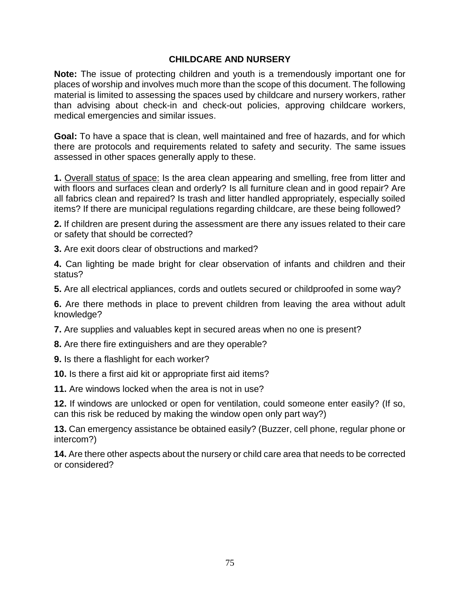#### **CHILDCARE AND NURSERY**

**Note:** The issue of protecting children and youth is a tremendously important one for places of worship and involves much more than the scope of this document. The following material is limited to assessing the spaces used by childcare and nursery workers, rather than advising about check-in and check-out policies, approving childcare workers, medical emergencies and similar issues.

**Goal:** To have a space that is clean, well maintained and free of hazards, and for which there are protocols and requirements related to safety and security. The same issues assessed in other spaces generally apply to these.

**1.** Overall status of space: Is the area clean appearing and smelling, free from litter and with floors and surfaces clean and orderly? Is all furniture clean and in good repair? Are all fabrics clean and repaired? Is trash and litter handled appropriately, especially soiled items? If there are municipal regulations regarding childcare, are these being followed?

**2.** If children are present during the assessment are there any issues related to their care or safety that should be corrected?

**3.** Are exit doors clear of obstructions and marked?

**4.** Can lighting be made bright for clear observation of infants and children and their status?

**5.** Are all electrical appliances, cords and outlets secured or childproofed in some way?

**6.** Are there methods in place to prevent children from leaving the area without adult knowledge?

**7.** Are supplies and valuables kept in secured areas when no one is present?

**8.** Are there fire extinguishers and are they operable?

- **9.** Is there a flashlight for each worker?
- **10.** Is there a first aid kit or appropriate first aid items?

**11.** Are windows locked when the area is not in use?

**12.** If windows are unlocked or open for ventilation, could someone enter easily? (If so, can this risk be reduced by making the window open only part way?)

**13.** Can emergency assistance be obtained easily? (Buzzer, cell phone, regular phone or intercom?)

**14.** Are there other aspects about the nursery or child care area that needs to be corrected or considered?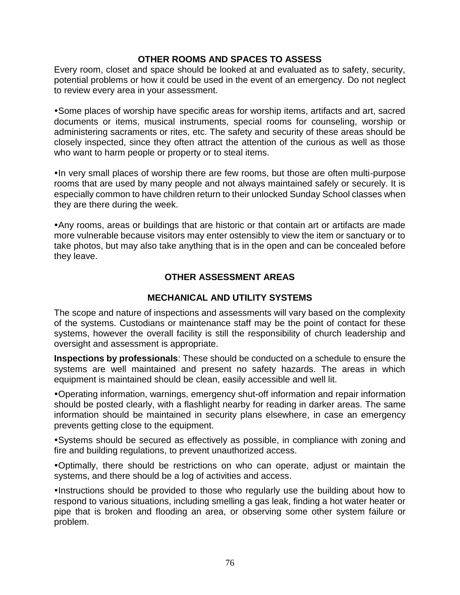#### **OTHER ROOMS AND SPACES TO ASSESS**

Every room, closet and space should be looked at and evaluated as to safety, security, potential problems or how it could be used in the event of an emergency. Do not neglect to review every area in your assessment.

Some places of worship have specific areas for worship items, artifacts and art, sacred documents or items, musical instruments, special rooms for counseling, worship or administering sacraments or rites, etc. The safety and security of these areas should be closely inspected, since they often attract the attention of the curious as well as those who want to harm people or property or to steal items.

• In very small places of worship there are few rooms, but those are often multi-purpose rooms that are used by many people and not always maintained safely or securely. It is especially common to have children return to their unlocked Sunday School classes when they are there during the week.

Any rooms, areas or buildings that are historic or that contain art or artifacts are made more vulnerable because visitors may enter ostensibly to view the item or sanctuary or to take photos, but may also take anything that is in the open and can be concealed before they leave.

### **OTHER ASSESSMENT AREAS**

#### **MECHANICAL AND UTILITY SYSTEMS**

The scope and nature of inspections and assessments will vary based on the complexity of the systems. Custodians or maintenance staff may be the point of contact for these systems, however the overall facility is still the responsibility of church leadership and oversight and assessment is appropriate.

**Inspections by professionals**: These should be conducted on a schedule to ensure the systems are well maintained and present no safety hazards. The areas in which equipment is maintained should be clean, easily accessible and well lit.

Operating information, warnings, emergency shut-off information and repair information should be posted clearly, with a flashlight nearby for reading in darker areas. The same information should be maintained in security plans elsewhere, in case an emergency prevents getting close to the equipment.

Systems should be secured as effectively as possible, in compliance with zoning and fire and building regulations, to prevent unauthorized access.

Optimally, there should be restrictions on who can operate, adjust or maintain the systems, and there should be a log of activities and access.

Instructions should be provided to those who regularly use the building about how to respond to various situations, including smelling a gas leak, finding a hot water heater or pipe that is broken and flooding an area, or observing some other system failure or problem.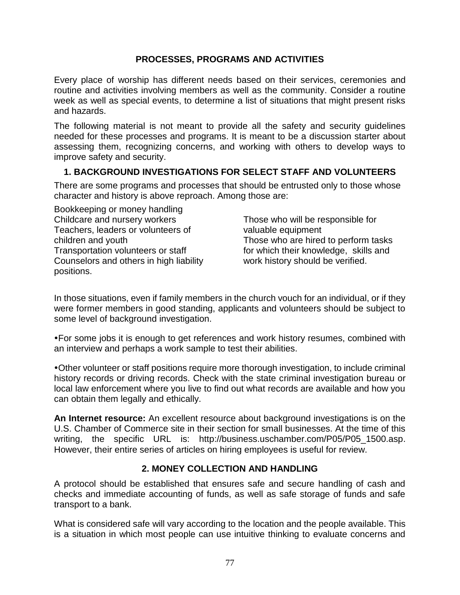### **PROCESSES, PROGRAMS AND ACTIVITIES**

Every place of worship has different needs based on their services, ceremonies and routine and activities involving members as well as the community. Consider a routine week as well as special events, to determine a list of situations that might present risks and hazards.

The following material is not meant to provide all the safety and security guidelines needed for these processes and programs. It is meant to be a discussion starter about assessing them, recognizing concerns, and working with others to develop ways to improve safety and security.

### **1. BACKGROUND INVESTIGATIONS FOR SELECT STAFF AND VOLUNTEERS**

There are some programs and processes that should be entrusted only to those whose character and history is above reproach. Among those are:

Bookkeeping or money handling Childcare and nursery workers Teachers, leaders or volunteers of children and youth Transportation volunteers or staff Counselors and others in high liability positions.

Those who will be responsible for valuable equipment Those who are hired to perform tasks for which their knowledge, skills and work history should be verified.

In those situations, even if family members in the church vouch for an individual, or if they were former members in good standing, applicants and volunteers should be subject to some level of background investigation.

For some jobs it is enough to get references and work history resumes, combined with an interview and perhaps a work sample to test their abilities.

Other volunteer or staff positions require more thorough investigation, to include criminal history records or driving records. Check with the state criminal investigation bureau or local law enforcement where you live to find out what records are available and how you can obtain them legally and ethically.

**An Internet resource:** An excellent resource about background investigations is on the U.S. Chamber of Commerce site in their section for small businesses. At the time of this writing, the specific URL is: http://business.uschamber.com/P05/P05\_1500.asp. However, their entire series of articles on hiring employees is useful for review.

### **2. MONEY COLLECTION AND HANDLING**

A protocol should be established that ensures safe and secure handling of cash and checks and immediate accounting of funds, as well as safe storage of funds and safe transport to a bank.

What is considered safe will vary according to the location and the people available. This is a situation in which most people can use intuitive thinking to evaluate concerns and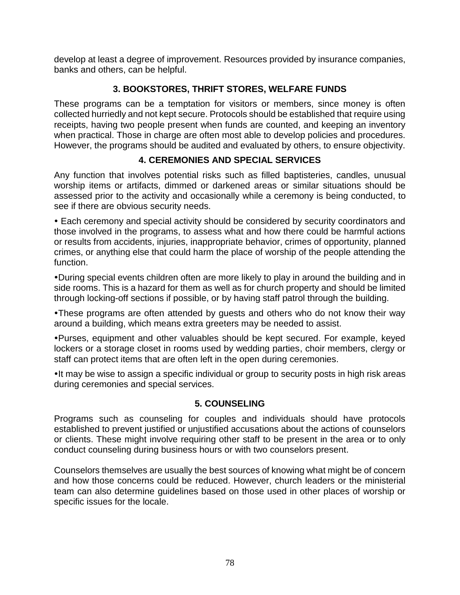develop at least a degree of improvement. Resources provided by insurance companies, banks and others, can be helpful.

# **3. BOOKSTORES, THRIFT STORES, WELFARE FUNDS**

These programs can be a temptation for visitors or members, since money is often collected hurriedly and not kept secure. Protocols should be established that require using receipts, having two people present when funds are counted, and keeping an inventory when practical. Those in charge are often most able to develop policies and procedures. However, the programs should be audited and evaluated by others, to ensure objectivity.

# **4. CEREMONIES AND SPECIAL SERVICES**

Any function that involves potential risks such as filled baptisteries, candles, unusual worship items or artifacts, dimmed or darkened areas or similar situations should be assessed prior to the activity and occasionally while a ceremony is being conducted, to see if there are obvious security needs.

 Each ceremony and special activity should be considered by security coordinators and those involved in the programs, to assess what and how there could be harmful actions or results from accidents, injuries, inappropriate behavior, crimes of opportunity, planned crimes, or anything else that could harm the place of worship of the people attending the function.

During special events children often are more likely to play in around the building and in side rooms. This is a hazard for them as well as for church property and should be limited through locking-off sections if possible, or by having staff patrol through the building.

These programs are often attended by guests and others who do not know their way around a building, which means extra greeters may be needed to assist.

Purses, equipment and other valuables should be kept secured. For example, keyed lockers or a storage closet in rooms used by wedding parties, choir members, clergy or staff can protect items that are often left in the open during ceremonies.

•It may be wise to assign a specific individual or group to security posts in high risk areas during ceremonies and special services.

### **5. COUNSELING**

Programs such as counseling for couples and individuals should have protocols established to prevent justified or unjustified accusations about the actions of counselors or clients. These might involve requiring other staff to be present in the area or to only conduct counseling during business hours or with two counselors present.

Counselors themselves are usually the best sources of knowing what might be of concern and how those concerns could be reduced. However, church leaders or the ministerial team can also determine guidelines based on those used in other places of worship or specific issues for the locale.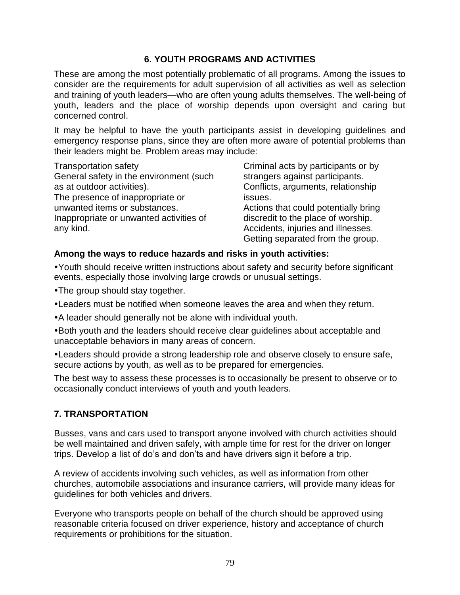### **6. YOUTH PROGRAMS AND ACTIVITIES**

These are among the most potentially problematic of all programs. Among the issues to consider are the requirements for adult supervision of all activities as well as selection and training of youth leaders—who are often young adults themselves. The well-being of youth, leaders and the place of worship depends upon oversight and caring but concerned control.

It may be helpful to have the youth participants assist in developing guidelines and emergency response plans, since they are often more aware of potential problems than their leaders might be. Problem areas may include:

Transportation safety General safety in the environment (such as at outdoor activities). The presence of inappropriate or unwanted items or substances. Inappropriate or unwanted activities of any kind.

Criminal acts by participants or by strangers against participants. Conflicts, arguments, relationship issues. Actions that could potentially bring discredit to the place of worship. Accidents, injuries and illnesses. Getting separated from the group.

### **Among the ways to reduce hazards and risks in youth activities:**

Youth should receive written instructions about safety and security before significant events, especially those involving large crowds or unusual settings.

The group should stay together.

Leaders must be notified when someone leaves the area and when they return.

A leader should generally not be alone with individual youth.

Both youth and the leaders should receive clear guidelines about acceptable and unacceptable behaviors in many areas of concern.

Leaders should provide a strong leadership role and observe closely to ensure safe, secure actions by youth, as well as to be prepared for emergencies.

The best way to assess these processes is to occasionally be present to observe or to occasionally conduct interviews of youth and youth leaders.

### **7. TRANSPORTATION**

Busses, vans and cars used to transport anyone involved with church activities should be well maintained and driven safely, with ample time for rest for the driver on longer trips. Develop a list of do's and don'ts and have drivers sign it before a trip.

A review of accidents involving such vehicles, as well as information from other churches, automobile associations and insurance carriers, will provide many ideas for guidelines for both vehicles and drivers.

Everyone who transports people on behalf of the church should be approved using reasonable criteria focused on driver experience, history and acceptance of church requirements or prohibitions for the situation.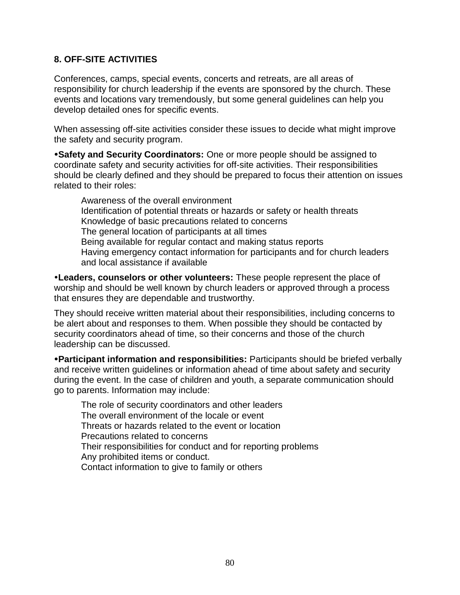### **8. OFF-SITE ACTIVITIES**

Conferences, camps, special events, concerts and retreats, are all areas of responsibility for church leadership if the events are sponsored by the church. These events and locations vary tremendously, but some general guidelines can help you develop detailed ones for specific events.

When assessing off-site activities consider these issues to decide what might improve the safety and security program.

**Safety and Security Coordinators:** One or more people should be assigned to coordinate safety and security activities for off-site activities. Their responsibilities should be clearly defined and they should be prepared to focus their attention on issues related to their roles:

Awareness of the overall environment Identification of potential threats or hazards or safety or health threats Knowledge of basic precautions related to concerns The general location of participants at all times Being available for regular contact and making status reports Having emergency contact information for participants and for church leaders and local assistance if available

**Leaders, counselors or other volunteers:** These people represent the place of worship and should be well known by church leaders or approved through a process that ensures they are dependable and trustworthy.

They should receive written material about their responsibilities, including concerns to be alert about and responses to them. When possible they should be contacted by security coordinators ahead of time, so their concerns and those of the church leadership can be discussed.

**Participant information and responsibilities:** Participants should be briefed verbally and receive written guidelines or information ahead of time about safety and security during the event. In the case of children and youth, a separate communication should go to parents. Information may include:

The role of security coordinators and other leaders The overall environment of the locale or event Threats or hazards related to the event or location Precautions related to concerns Their responsibilities for conduct and for reporting problems Any prohibited items or conduct. Contact information to give to family or others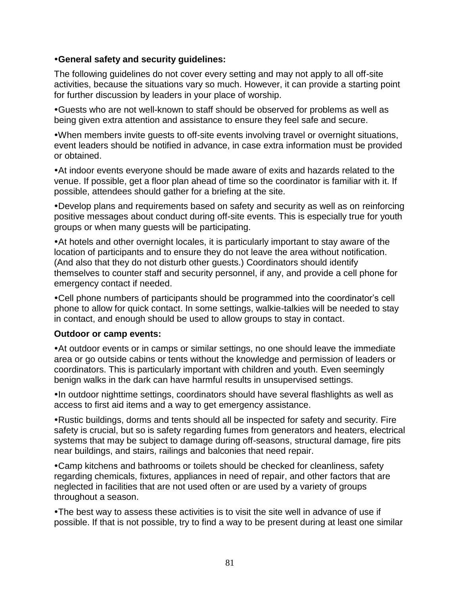#### **General safety and security guidelines:**

The following guidelines do not cover every setting and may not apply to all off-site activities, because the situations vary so much. However, it can provide a starting point for further discussion by leaders in your place of worship.

Guests who are not well-known to staff should be observed for problems as well as being given extra attention and assistance to ensure they feel safe and secure.

When members invite guests to off-site events involving travel or overnight situations, event leaders should be notified in advance, in case extra information must be provided or obtained.

At indoor events everyone should be made aware of exits and hazards related to the venue. If possible, get a floor plan ahead of time so the coordinator is familiar with it. If possible, attendees should gather for a briefing at the site.

Develop plans and requirements based on safety and security as well as on reinforcing positive messages about conduct during off-site events. This is especially true for youth groups or when many guests will be participating.

At hotels and other overnight locales, it is particularly important to stay aware of the location of participants and to ensure they do not leave the area without notification. (And also that they do not disturb other guests.) Coordinators should identify themselves to counter staff and security personnel, if any, and provide a cell phone for emergency contact if needed.

Cell phone numbers of participants should be programmed into the coordinator's cell phone to allow for quick contact. In some settings, walkie-talkies will be needed to stay in contact, and enough should be used to allow groups to stay in contact.

#### **Outdoor or camp events:**

At outdoor events or in camps or similar settings, no one should leave the immediate area or go outside cabins or tents without the knowledge and permission of leaders or coordinators. This is particularly important with children and youth. Even seemingly benign walks in the dark can have harmful results in unsupervised settings.

In outdoor nighttime settings, coordinators should have several flashlights as well as access to first aid items and a way to get emergency assistance.

Rustic buildings, dorms and tents should all be inspected for safety and security. Fire safety is crucial, but so is safety regarding fumes from generators and heaters, electrical systems that may be subject to damage during off-seasons, structural damage, fire pits near buildings, and stairs, railings and balconies that need repair.

Camp kitchens and bathrooms or toilets should be checked for cleanliness, safety regarding chemicals, fixtures, appliances in need of repair, and other factors that are neglected in facilities that are not used often or are used by a variety of groups throughout a season.

The best way to assess these activities is to visit the site well in advance of use if possible. If that is not possible, try to find a way to be present during at least one similar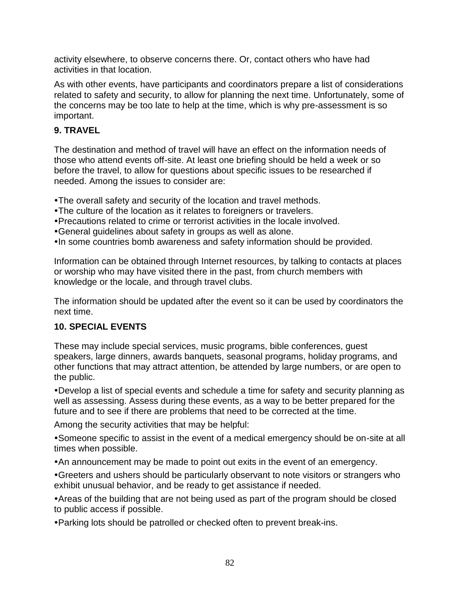activity elsewhere, to observe concerns there. Or, contact others who have had activities in that location.

As with other events, have participants and coordinators prepare a list of considerations related to safety and security, to allow for planning the next time. Unfortunately, some of the concerns may be too late to help at the time, which is why pre-assessment is so important.

### **9. TRAVEL**

The destination and method of travel will have an effect on the information needs of those who attend events off-site. At least one briefing should be held a week or so before the travel, to allow for questions about specific issues to be researched if needed. Among the issues to consider are:

The overall safety and security of the location and travel methods.

- The culture of the location as it relates to foreigners or travelers.
- Precautions related to crime or terrorist activities in the locale involved.
- General guidelines about safety in groups as well as alone.
- •In some countries bomb awareness and safety information should be provided.

Information can be obtained through Internet resources, by talking to contacts at places or worship who may have visited there in the past, from church members with knowledge or the locale, and through travel clubs.

The information should be updated after the event so it can be used by coordinators the next time.

### **10. SPECIAL EVENTS**

These may include special services, music programs, bible conferences, guest speakers, large dinners, awards banquets, seasonal programs, holiday programs, and other functions that may attract attention, be attended by large numbers, or are open to the public.

Develop a list of special events and schedule a time for safety and security planning as well as assessing. Assess during these events, as a way to be better prepared for the future and to see if there are problems that need to be corrected at the time.

Among the security activities that may be helpful:

Someone specific to assist in the event of a medical emergency should be on-site at all times when possible.

An announcement may be made to point out exits in the event of an emergency.

Greeters and ushers should be particularly observant to note visitors or strangers who exhibit unusual behavior, and be ready to get assistance if needed.

Areas of the building that are not being used as part of the program should be closed to public access if possible.

Parking lots should be patrolled or checked often to prevent break-ins.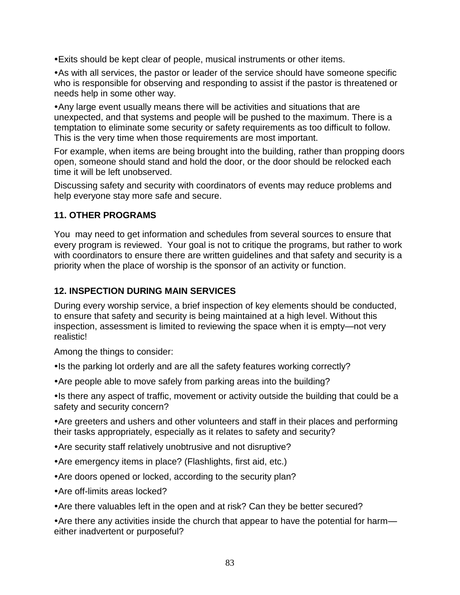Exits should be kept clear of people, musical instruments or other items.

As with all services, the pastor or leader of the service should have someone specific who is responsible for observing and responding to assist if the pastor is threatened or needs help in some other way.

Any large event usually means there will be activities and situations that are unexpected, and that systems and people will be pushed to the maximum. There is a temptation to eliminate some security or safety requirements as too difficult to follow. This is the very time when those requirements are most important.

For example, when items are being brought into the building, rather than propping doors open, someone should stand and hold the door, or the door should be relocked each time it will be left unobserved.

Discussing safety and security with coordinators of events may reduce problems and help everyone stay more safe and secure.

### **11. OTHER PROGRAMS**

You may need to get information and schedules from several sources to ensure that every program is reviewed. Your goal is not to critique the programs, but rather to work with coordinators to ensure there are written guidelines and that safety and security is a priority when the place of worship is the sponsor of an activity or function.

#### **12. INSPECTION DURING MAIN SERVICES**

During every worship service, a brief inspection of key elements should be conducted, to ensure that safety and security is being maintained at a high level. Without this inspection, assessment is limited to reviewing the space when it is empty—not very realistic!

Among the things to consider:

• Is the parking lot orderly and are all the safety features working correctly?

Are people able to move safely from parking areas into the building?

• Is there any aspect of traffic, movement or activity outside the building that could be a safety and security concern?

Are greeters and ushers and other volunteers and staff in their places and performing their tasks appropriately, especially as it relates to safety and security?

Are security staff relatively unobtrusive and not disruptive?

- Are emergency items in place? (Flashlights, first aid, etc.)
- Are doors opened or locked, according to the security plan?
- Are off-limits areas locked?
- Are there valuables left in the open and at risk? Can they be better secured?

• Are there any activities inside the church that appear to have the potential for harm either inadvertent or purposeful?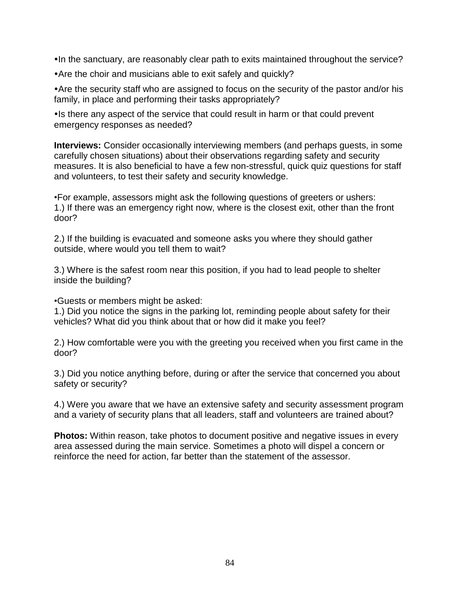•In the sanctuary, are reasonably clear path to exits maintained throughout the service?

Are the choir and musicians able to exit safely and quickly?

Are the security staff who are assigned to focus on the security of the pastor and/or his family, in place and performing their tasks appropriately?

• Is there any aspect of the service that could result in harm or that could prevent emergency responses as needed?

**Interviews:** Consider occasionally interviewing members (and perhaps guests, in some carefully chosen situations) about their observations regarding safety and security measures. It is also beneficial to have a few non-stressful, quick quiz questions for staff and volunteers, to test their safety and security knowledge.

•For example, assessors might ask the following questions of greeters or ushers: 1.) If there was an emergency right now, where is the closest exit, other than the front door?

2.) If the building is evacuated and someone asks you where they should gather outside, where would you tell them to wait?

3.) Where is the safest room near this position, if you had to lead people to shelter inside the building?

•Guests or members might be asked:

1.) Did you notice the signs in the parking lot, reminding people about safety for their vehicles? What did you think about that or how did it make you feel?

2.) How comfortable were you with the greeting you received when you first came in the door?

3.) Did you notice anything before, during or after the service that concerned you about safety or security?

4.) Were you aware that we have an extensive safety and security assessment program and a variety of security plans that all leaders, staff and volunteers are trained about?

**Photos:** Within reason, take photos to document positive and negative issues in every area assessed during the main service. Sometimes a photo will dispel a concern or reinforce the need for action, far better than the statement of the assessor.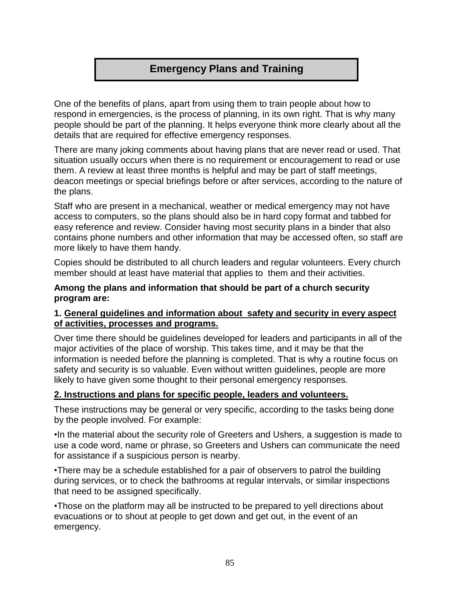# **Emergency Plans and Training**

One of the benefits of plans, apart from using them to train people about how to respond in emergencies, is the process of planning, in its own right. That is why many people should be part of the planning. It helps everyone think more clearly about all the details that are required for effective emergency responses.

There are many joking comments about having plans that are never read or used. That situation usually occurs when there is no requirement or encouragement to read or use them. A review at least three months is helpful and may be part of staff meetings, deacon meetings or special briefings before or after services, according to the nature of the plans.

Staff who are present in a mechanical, weather or medical emergency may not have access to computers, so the plans should also be in hard copy format and tabbed for easy reference and review. Consider having most security plans in a binder that also contains phone numbers and other information that may be accessed often, so staff are more likely to have them handy.

Copies should be distributed to all church leaders and regular volunteers. Every church member should at least have material that applies to them and their activities.

**Among the plans and information that should be part of a church security program are:** 

#### **1. General guidelines and information about safety and security in every aspect of activities, processes and programs.**

Over time there should be guidelines developed for leaders and participants in all of the major activities of the place of worship. This takes time, and it may be that the information is needed before the planning is completed. That is why a routine focus on safety and security is so valuable. Even without written guidelines, people are more likely to have given some thought to their personal emergency responses.

### **2. Instructions and plans for specific people, leaders and volunteers.**

These instructions may be general or very specific, according to the tasks being done by the people involved. For example:

•In the material about the security role of Greeters and Ushers, a suggestion is made to use a code word, name or phrase, so Greeters and Ushers can communicate the need for assistance if a suspicious person is nearby.

•There may be a schedule established for a pair of observers to patrol the building during services, or to check the bathrooms at regular intervals, or similar inspections that need to be assigned specifically.

•Those on the platform may all be instructed to be prepared to yell directions about evacuations or to shout at people to get down and get out, in the event of an emergency.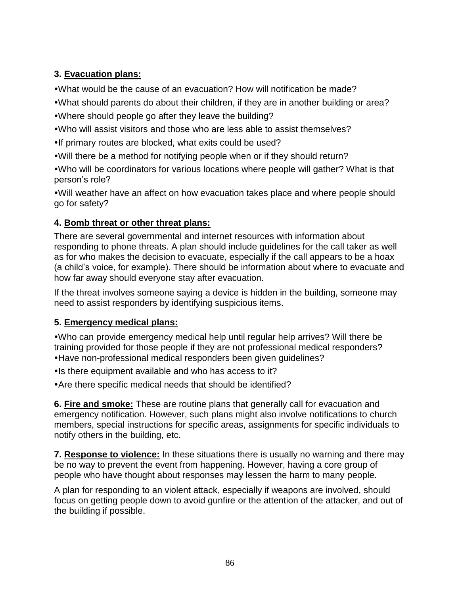# **3. Evacuation plans:**

What would be the cause of an evacuation? How will notification be made?

- What should parents do about their children, if they are in another building or area?
- Where should people go after they leave the building?
- Who will assist visitors and those who are less able to assist themselves?
- •If primary routes are blocked, what exits could be used?
- Will there be a method for notifying people when or if they should return?

Who will be coordinators for various locations where people will gather? What is that person's role?

Will weather have an affect on how evacuation takes place and where people should go for safety?

# **4. Bomb threat or other threat plans:**

There are several governmental and internet resources with information about responding to phone threats. A plan should include guidelines for the call taker as well as for who makes the decision to evacuate, especially if the call appears to be a hoax (a child's voice, for example). There should be information about where to evacuate and how far away should everyone stay after evacuation.

If the threat involves someone saying a device is hidden in the building, someone may need to assist responders by identifying suspicious items.

# **5. Emergency medical plans:**

Who can provide emergency medical help until regular help arrives? Will there be training provided for those people if they are not professional medical responders? Have non-professional medical responders been given guidelines?

• Is there equipment available and who has access to it?

Are there specific medical needs that should be identified?

**6. Fire and smoke:** These are routine plans that generally call for evacuation and emergency notification. However, such plans might also involve notifications to church members, special instructions for specific areas, assignments for specific individuals to notify others in the building, etc.

**7. Response to violence:** In these situations there is usually no warning and there may be no way to prevent the event from happening. However, having a core group of people who have thought about responses may lessen the harm to many people.

A plan for responding to an violent attack, especially if weapons are involved, should focus on getting people down to avoid gunfire or the attention of the attacker, and out of the building if possible.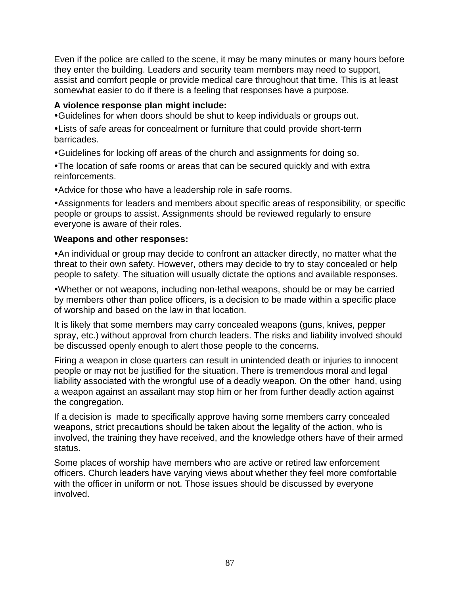Even if the police are called to the scene, it may be many minutes or many hours before they enter the building. Leaders and security team members may need to support, assist and comfort people or provide medical care throughout that time. This is at least somewhat easier to do if there is a feeling that responses have a purpose.

### **A violence response plan might include:**

Guidelines for when doors should be shut to keep individuals or groups out.

Lists of safe areas for concealment or furniture that could provide short-term barricades.

Guidelines for locking off areas of the church and assignments for doing so.

The location of safe rooms or areas that can be secured quickly and with extra reinforcements.

Advice for those who have a leadership role in safe rooms.

Assignments for leaders and members about specific areas of responsibility, or specific people or groups to assist. Assignments should be reviewed regularly to ensure everyone is aware of their roles.

#### **Weapons and other responses:**

An individual or group may decide to confront an attacker directly, no matter what the threat to their own safety. However, others may decide to try to stay concealed or help people to safety. The situation will usually dictate the options and available responses.

Whether or not weapons, including non-lethal weapons, should be or may be carried by members other than police officers, is a decision to be made within a specific place of worship and based on the law in that location.

It is likely that some members may carry concealed weapons (guns, knives, pepper spray, etc.) without approval from church leaders. The risks and liability involved should be discussed openly enough to alert those people to the concerns.

Firing a weapon in close quarters can result in unintended death or injuries to innocent people or may not be justified for the situation. There is tremendous moral and legal liability associated with the wrongful use of a deadly weapon. On the other hand, using a weapon against an assailant may stop him or her from further deadly action against the congregation.

If a decision is made to specifically approve having some members carry concealed weapons, strict precautions should be taken about the legality of the action, who is involved, the training they have received, and the knowledge others have of their armed status.

Some places of worship have members who are active or retired law enforcement officers. Church leaders have varying views about whether they feel more comfortable with the officer in uniform or not. Those issues should be discussed by everyone involved.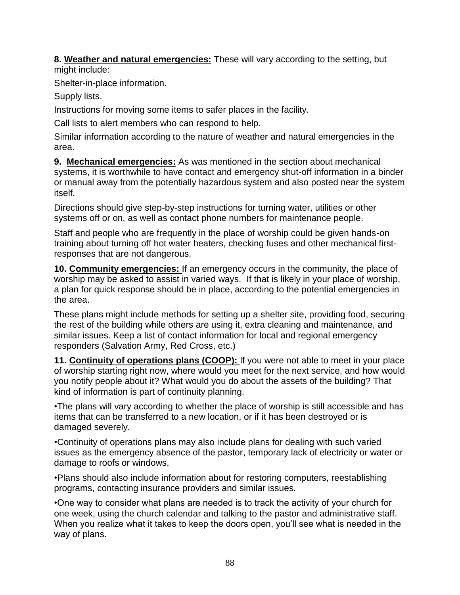**8. Weather and natural emergencies:** These will vary according to the setting, but might include:

Shelter-in-place information.

Supply lists.

Instructions for moving some items to safer places in the facility.

Call lists to alert members who can respond to help.

Similar information according to the nature of weather and natural emergencies in the area.

**9. Mechanical emergencies:** As was mentioned in the section about mechanical systems, it is worthwhile to have contact and emergency shut-off information in a binder or manual away from the potentially hazardous system and also posted near the system itself.

Directions should give step-by-step instructions for turning water, utilities or other systems off or on, as well as contact phone numbers for maintenance people.

Staff and people who are frequently in the place of worship could be given hands-on training about turning off hot water heaters, checking fuses and other mechanical firstresponses that are not dangerous.

**10. Community emergencies:** If an emergency occurs in the community, the place of worship may be asked to assist in varied ways. If that is likely in your place of worship, a plan for quick response should be in place, according to the potential emergencies in the area.

These plans might include methods for setting up a shelter site, providing food, securing the rest of the building while others are using it, extra cleaning and maintenance, and similar issues. Keep a list of contact information for local and regional emergency responders (Salvation Army, Red Cross, etc.)

**11. Continuity of operations plans (COOP):** If you were not able to meet in your place of worship starting right now, where would you meet for the next service, and how would you notify people about it? What would you do about the assets of the building? That kind of information is part of continuity planning.

•The plans will vary according to whether the place of worship is still accessible and has items that can be transferred to a new location, or if it has been destroyed or is damaged severely.

•Continuity of operations plans may also include plans for dealing with such varied issues as the emergency absence of the pastor, temporary lack of electricity or water or damage to roofs or windows,

•Plans should also include information about for restoring computers, reestablishing programs, contacting insurance providers and similar issues.

•One way to consider what plans are needed is to track the activity of your church for one week, using the church calendar and talking to the pastor and administrative staff. When you realize what it takes to keep the doors open, you'll see what is needed in the way of plans.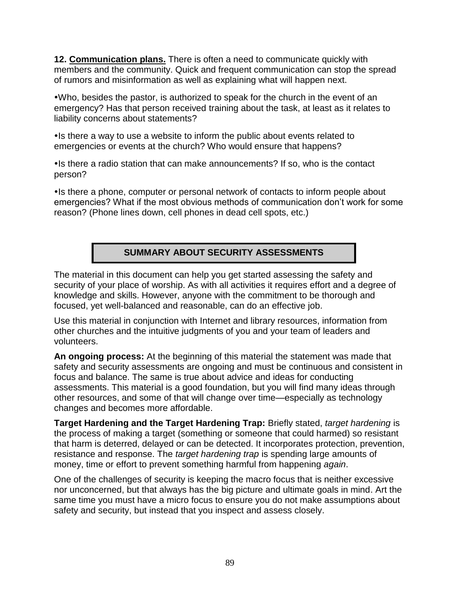**12. Communication plans.** There is often a need to communicate quickly with members and the community. Quick and frequent communication can stop the spread of rumors and misinformation as well as explaining what will happen next.

Who, besides the pastor, is authorized to speak for the church in the event of an emergency? Has that person received training about the task, at least as it relates to liability concerns about statements?

• Is there a way to use a website to inform the public about events related to emergencies or events at the church? Who would ensure that happens?

Is there a radio station that can make announcements? If so, who is the contact person?

• Is there a phone, computer or personal network of contacts to inform people about emergencies? What if the most obvious methods of communication don't work for some reason? (Phone lines down, cell phones in dead cell spots, etc.)

### **SUMMARY ABOUT SECURITY ASSESSMENTS**

The material in this document can help you get started assessing the safety and security of your place of worship. As with all activities it requires effort and a degree of knowledge and skills. However, anyone with the commitment to be thorough and focused, yet well-balanced and reasonable, can do an effective job.

Use this material in conjunction with Internet and library resources, information from other churches and the intuitive judgments of you and your team of leaders and volunteers.

**An ongoing process:** At the beginning of this material the statement was made that safety and security assessments are ongoing and must be continuous and consistent in focus and balance. The same is true about advice and ideas for conducting assessments. This material is a good foundation, but you will find many ideas through other resources, and some of that will change over time—especially as technology changes and becomes more affordable.

**Target Hardening and the Target Hardening Trap:** Briefly stated, *target hardening* is the process of making a target (something or someone that could harmed) so resistant that harm is deterred, delayed or can be detected. It incorporates protection, prevention, resistance and response. The *target hardening trap* is spending large amounts of money, time or effort to prevent something harmful from happening *again*.

One of the challenges of security is keeping the macro focus that is neither excessive nor unconcerned, but that always has the big picture and ultimate goals in mind. Art the same time you must have a micro focus to ensure you do not make assumptions about safety and security, but instead that you inspect and assess closely.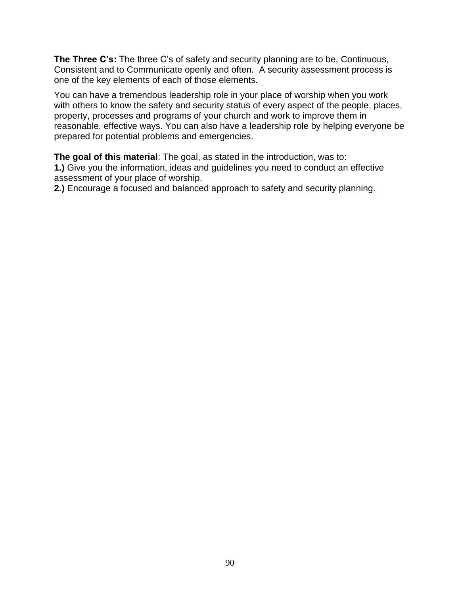**The Three C's:** The three C's of safety and security planning are to be, Continuous, Consistent and to Communicate openly and often. A security assessment process is one of the key elements of each of those elements.

You can have a tremendous leadership role in your place of worship when you work with others to know the safety and security status of every aspect of the people, places, property, processes and programs of your church and work to improve them in reasonable, effective ways. You can also have a leadership role by helping everyone be prepared for potential problems and emergencies.

**The goal of this material**: The goal, as stated in the introduction, was to:

**1.)** Give you the information, ideas and guidelines you need to conduct an effective assessment of your place of worship.

**2.)** Encourage a focused and balanced approach to safety and security planning.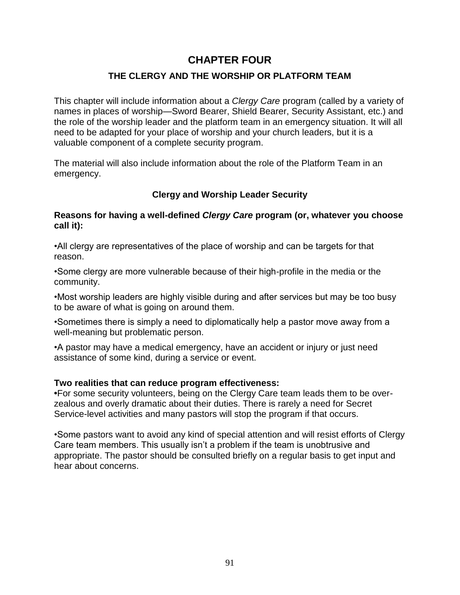# **CHAPTER FOUR**

### **THE CLERGY AND THE WORSHIP OR PLATFORM TEAM**

This chapter will include information about a *Clergy Care* program (called by a variety of names in places of worship—Sword Bearer, Shield Bearer, Security Assistant, etc.) and the role of the worship leader and the platform team in an emergency situation. It will all need to be adapted for your place of worship and your church leaders, but it is a valuable component of a complete security program.

The material will also include information about the role of the Platform Team in an emergency.

### **Clergy and Worship Leader Security**

#### **Reasons for having a well-defined** *Clergy Care* **program (or, whatever you choose call it):**

•All clergy are representatives of the place of worship and can be targets for that reason.

•Some clergy are more vulnerable because of their high-profile in the media or the community.

•Most worship leaders are highly visible during and after services but may be too busy to be aware of what is going on around them.

•Sometimes there is simply a need to diplomatically help a pastor move away from a well-meaning but problematic person.

•A pastor may have a medical emergency, have an accident or injury or just need assistance of some kind, during a service or event.

#### **Two realities that can reduce program effectiveness:**

**•**For some security volunteers, being on the Clergy Care team leads them to be overzealous and overly dramatic about their duties. There is rarely a need for Secret Service-level activities and many pastors will stop the program if that occurs.

•Some pastors want to avoid any kind of special attention and will resist efforts of Clergy Care team members. This usually isn't a problem if the team is unobtrusive and appropriate. The pastor should be consulted briefly on a regular basis to get input and hear about concerns.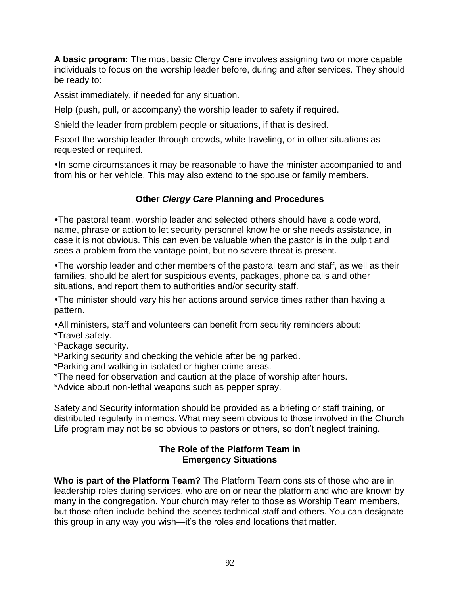**A basic program:** The most basic Clergy Care involves assigning two or more capable individuals to focus on the worship leader before, during and after services. They should be ready to:

Assist immediately, if needed for any situation.

Help (push, pull, or accompany) the worship leader to safety if required.

Shield the leader from problem people or situations, if that is desired.

Escort the worship leader through crowds, while traveling, or in other situations as requested or required.

•In some circumstances it may be reasonable to have the minister accompanied to and from his or her vehicle. This may also extend to the spouse or family members.

### **Other** *Clergy Care* **Planning and Procedures**

The pastoral team, worship leader and selected others should have a code word, name, phrase or action to let security personnel know he or she needs assistance, in case it is not obvious. This can even be valuable when the pastor is in the pulpit and sees a problem from the vantage point, but no severe threat is present.

The worship leader and other members of the pastoral team and staff, as well as their families, should be alert for suspicious events, packages, phone calls and other situations, and report them to authorities and/or security staff.

The minister should vary his her actions around service times rather than having a pattern.

All ministers, staff and volunteers can benefit from security reminders about:

- \*Travel safety.
- \*Package security.
- \*Parking security and checking the vehicle after being parked.
- \*Parking and walking in isolated or higher crime areas.
- \*The need for observation and caution at the place of worship after hours.

\*Advice about non-lethal weapons such as pepper spray.

Safety and Security information should be provided as a briefing or staff training, or distributed regularly in memos. What may seem obvious to those involved in the Church Life program may not be so obvious to pastors or others, so don't neglect training.

#### **The Role of the Platform Team in Emergency Situations**

**Who is part of the Platform Team?** The Platform Team consists of those who are in leadership roles during services, who are on or near the platform and who are known by many in the congregation. Your church may refer to those as Worship Team members, but those often include behind-the-scenes technical staff and others. You can designate this group in any way you wish—it's the roles and locations that matter.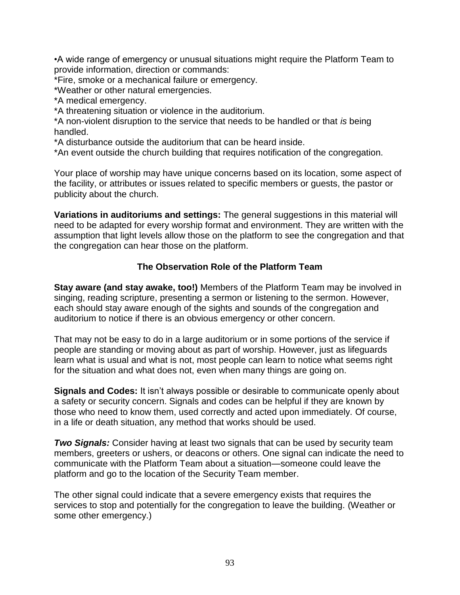•A wide range of emergency or unusual situations might require the Platform Team to provide information, direction or commands:

\*Fire, smoke or a mechanical failure or emergency.

\*Weather or other natural emergencies.

\*A medical emergency.

\*A threatening situation or violence in the auditorium.

\*A non-violent disruption to the service that needs to be handled or that *is* being handled.

\*A disturbance outside the auditorium that can be heard inside.

\*An event outside the church building that requires notification of the congregation.

Your place of worship may have unique concerns based on its location, some aspect of the facility, or attributes or issues related to specific members or guests, the pastor or publicity about the church.

**Variations in auditoriums and settings:** The general suggestions in this material will need to be adapted for every worship format and environment. They are written with the assumption that light levels allow those on the platform to see the congregation and that the congregation can hear those on the platform.

#### **The Observation Role of the Platform Team**

**Stay aware (and stay awake, too!)** Members of the Platform Team may be involved in singing, reading scripture, presenting a sermon or listening to the sermon. However, each should stay aware enough of the sights and sounds of the congregation and auditorium to notice if there is an obvious emergency or other concern.

That may not be easy to do in a large auditorium or in some portions of the service if people are standing or moving about as part of worship. However, just as lifeguards learn what is usual and what is not, most people can learn to notice what seems right for the situation and what does not, even when many things are going on.

**Signals and Codes:** It isn't always possible or desirable to communicate openly about a safety or security concern. Signals and codes can be helpful if they are known by those who need to know them, used correctly and acted upon immediately. Of course, in a life or death situation, any method that works should be used.

*Two Signals:* Consider having at least two signals that can be used by security team members, greeters or ushers, or deacons or others. One signal can indicate the need to communicate with the Platform Team about a situation—someone could leave the platform and go to the location of the Security Team member.

The other signal could indicate that a severe emergency exists that requires the services to stop and potentially for the congregation to leave the building. (Weather or some other emergency.)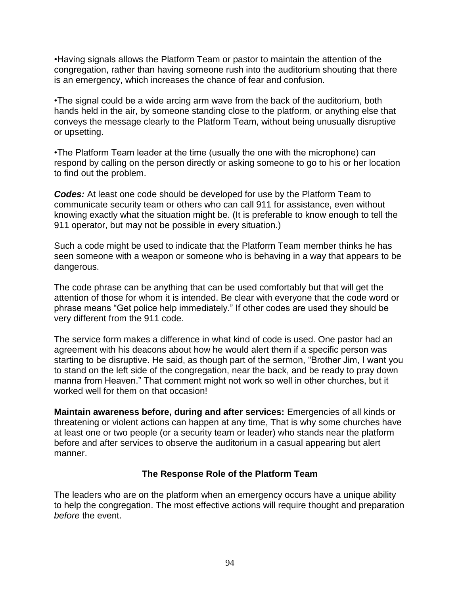•Having signals allows the Platform Team or pastor to maintain the attention of the congregation, rather than having someone rush into the auditorium shouting that there is an emergency, which increases the chance of fear and confusion.

•The signal could be a wide arcing arm wave from the back of the auditorium, both hands held in the air, by someone standing close to the platform, or anything else that conveys the message clearly to the Platform Team, without being unusually disruptive or upsetting.

•The Platform Team leader at the time (usually the one with the microphone) can respond by calling on the person directly or asking someone to go to his or her location to find out the problem.

*Codes:* At least one code should be developed for use by the Platform Team to communicate security team or others who can call 911 for assistance, even without knowing exactly what the situation might be. (It is preferable to know enough to tell the 911 operator, but may not be possible in every situation.)

Such a code might be used to indicate that the Platform Team member thinks he has seen someone with a weapon or someone who is behaving in a way that appears to be dangerous.

The code phrase can be anything that can be used comfortably but that will get the attention of those for whom it is intended. Be clear with everyone that the code word or phrase means "Get police help immediately." If other codes are used they should be very different from the 911 code.

The service form makes a difference in what kind of code is used. One pastor had an agreement with his deacons about how he would alert them if a specific person was starting to be disruptive. He said, as though part of the sermon, "Brother Jim, I want you to stand on the left side of the congregation, near the back, and be ready to pray down manna from Heaven." That comment might not work so well in other churches, but it worked well for them on that occasion!

**Maintain awareness before, during and after services:** Emergencies of all kinds or threatening or violent actions can happen at any time, That is why some churches have at least one or two people (or a security team or leader) who stands near the platform before and after services to observe the auditorium in a casual appearing but alert manner.

#### **The Response Role of the Platform Team**

The leaders who are on the platform when an emergency occurs have a unique ability to help the congregation. The most effective actions will require thought and preparation *before* the event.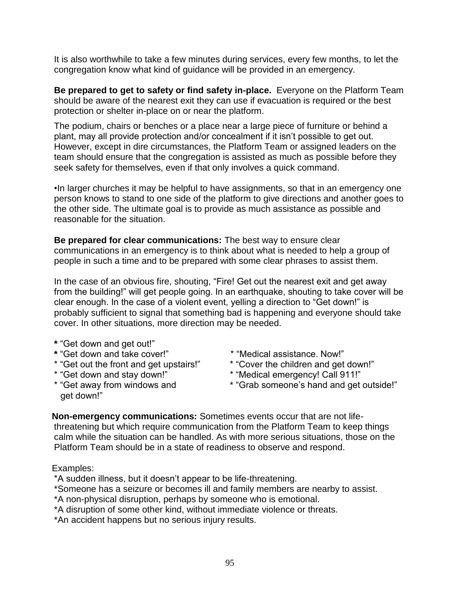It is also worthwhile to take a few minutes during services, every few months, to let the congregation know what kind of guidance will be provided in an emergency.

**Be prepared to get to safety or find safety in-place.** Everyone on the Platform Team should be aware of the nearest exit they can use if evacuation is required or the best protection or shelter in-place on or near the platform.

The podium, chairs or benches or a place near a large piece of furniture or behind a plant, may all provide protection and/or concealment if it isn't possible to get out. However, except in dire circumstances, the Platform Team or assigned leaders on the team should ensure that the congregation is assisted as much as possible before they seek safety for themselves, even if that only involves a quick command.

•In larger churches it may be helpful to have assignments, so that in an emergency one person knows to stand to one side of the platform to give directions and another goes to the other side. The ultimate goal is to provide as much assistance as possible and reasonable for the situation.

**Be prepared for clear communications:** The best way to ensure clear communications in an emergency is to think about what is needed to help a group of people in such a time and to be prepared with some clear phrases to assist them.

In the case of an obvious fire, shouting, "Fire! Get out the nearest exit and get away from the building!" will get people going. In an earthquake, shouting to take cover will be clear enough. In the case of a violent event, yelling a direction to "Get down!" is probably sufficient to signal that something bad is happening and everyone should take cover. In other situations, more direction may be needed.

- **\*** "Get down and get out!"
- **\*** "Get down and take cover!"
- \* "Get out the front and get upstairs!"
- \* "Get down and stay down!"
- \* "Get away from windows and get down!"
- \* "Medical assistance. Now!"
- \* "Cover the children and get down!"
- \* "Medical emergency! Call 911!"
- \* "Grab someone's hand and get outside!"

**Non-emergency communications:** Sometimes events occur that are not lifethreatening but which require communication from the Platform Team to keep things calm while the situation can be handled. As with more serious situations, those on the Platform Team should be in a state of readiness to observe and respond.

#### Examples:

- \*A sudden illness, but it doesn't appear to be life-threatening.
- \*Someone has a seizure or becomes ill and family members are nearby to assist.
- \*A non-physical disruption, perhaps by someone who is emotional.
- \*A disruption of some other kind, without immediate violence or threats.
- \*An accident happens but no serious injury results.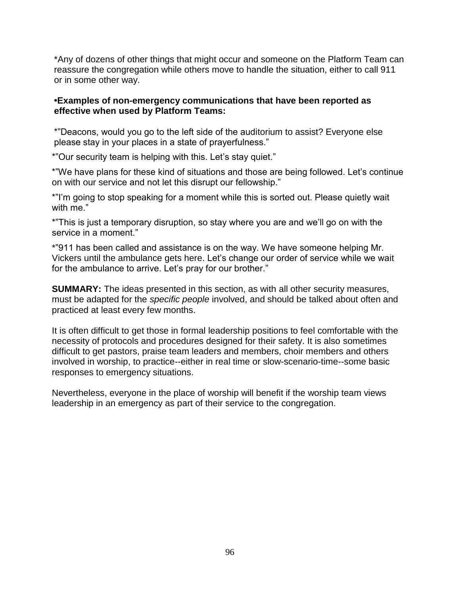\*Any of dozens of other things that might occur and someone on the Platform Team can reassure the congregation while others move to handle the situation, either to call 911 or in some other way.

#### **•Examples of non-emergency communications that have been reported as effective when used by Platform Teams:**

\*"Deacons, would you go to the left side of the auditorium to assist? Everyone else please stay in your places in a state of prayerfulness."

\*"Our security team is helping with this. Let's stay quiet."

\*"We have plans for these kind of situations and those are being followed. Let's continue on with our service and not let this disrupt our fellowship."

\*"I'm going to stop speaking for a moment while this is sorted out. Please quietly wait with me."

\*"This is just a temporary disruption, so stay where you are and we'll go on with the service in a moment."

\*"911 has been called and assistance is on the way. We have someone helping Mr. Vickers until the ambulance gets here. Let's change our order of service while we wait for the ambulance to arrive. Let's pray for our brother."

**SUMMARY:** The ideas presented in this section, as with all other security measures, must be adapted for the *specific people* involved, and should be talked about often and practiced at least every few months.

It is often difficult to get those in formal leadership positions to feel comfortable with the necessity of protocols and procedures designed for their safety. It is also sometimes difficult to get pastors, praise team leaders and members, choir members and others involved in worship, to practice--either in real time or slow-scenario-time--some basic responses to emergency situations.

Nevertheless, everyone in the place of worship will benefit if the worship team views leadership in an emergency as part of their service to the congregation.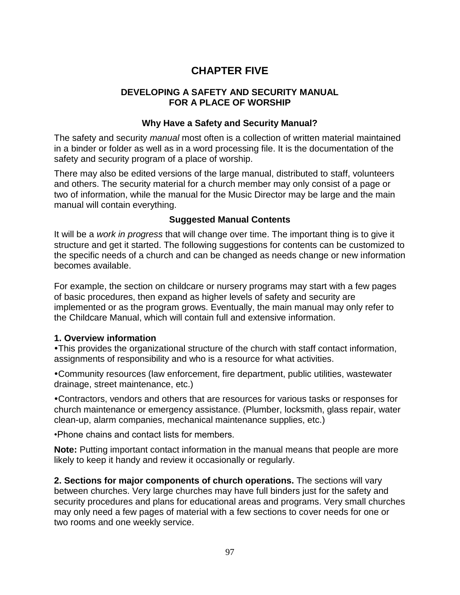# **CHAPTER FIVE**

#### **DEVELOPING A SAFETY AND SECURITY MANUAL FOR A PLACE OF WORSHIP**

#### **Why Have a Safety and Security Manual?**

The safety and security *manual* most often is a collection of written material maintained in a binder or folder as well as in a word processing file. It is the documentation of the safety and security program of a place of worship.

There may also be edited versions of the large manual, distributed to staff, volunteers and others. The security material for a church member may only consist of a page or two of information, while the manual for the Music Director may be large and the main manual will contain everything.

#### **Suggested Manual Contents**

It will be a *work in progress* that will change over time. The important thing is to give it structure and get it started. The following suggestions for contents can be customized to the specific needs of a church and can be changed as needs change or new information becomes available.

For example, the section on childcare or nursery programs may start with a few pages of basic procedures, then expand as higher levels of safety and security are implemented or as the program grows. Eventually, the main manual may only refer to the Childcare Manual, which will contain full and extensive information.

#### **1. Overview information**

This provides the organizational structure of the church with staff contact information, assignments of responsibility and who is a resource for what activities.

Community resources (law enforcement, fire department, public utilities, wastewater drainage, street maintenance, etc.)

Contractors, vendors and others that are resources for various tasks or responses for church maintenance or emergency assistance. (Plumber, locksmith, glass repair, water clean-up, alarm companies, mechanical maintenance supplies, etc.)

•Phone chains and contact lists for members.

**Note:** Putting important contact information in the manual means that people are more likely to keep it handy and review it occasionally or regularly.

**2. Sections for major components of church operations.** The sections will vary between churches. Very large churches may have full binders just for the safety and security procedures and plans for educational areas and programs. Very small churches may only need a few pages of material with a few sections to cover needs for one or two rooms and one weekly service.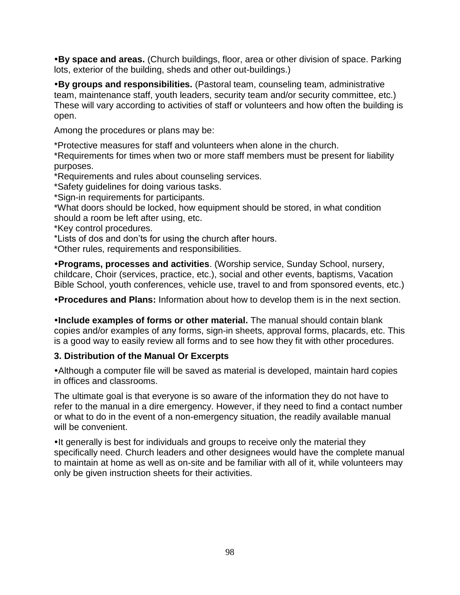**By space and areas.** (Church buildings, floor, area or other division of space. Parking lots, exterior of the building, sheds and other out-buildings.)

**By groups and responsibilities.** (Pastoral team, counseling team, administrative team, maintenance staff, youth leaders, security team and/or security committee, etc.) These will vary according to activities of staff or volunteers and how often the building is open.

Among the procedures or plans may be:

\*Protective measures for staff and volunteers when alone in the church.

\*Requirements for times when two or more staff members must be present for liability purposes.

\*Requirements and rules about counseling services.

\*Safety guidelines for doing various tasks.

\*Sign-in requirements for participants.

\*What doors should be locked, how equipment should be stored, in what condition should a room be left after using, etc.

\*Key control procedures.

\*Lists of dos and don'ts for using the church after hours.

\*Other rules, requirements and responsibilities.

**Programs, processes and activities**. (Worship service, Sunday School, nursery, childcare, Choir (services, practice, etc.), social and other events, baptisms, Vacation Bible School, youth conferences, vehicle use, travel to and from sponsored events, etc.)

**Procedures and Plans:** Information about how to develop them is in the next section.

**Include examples of forms or other material.** The manual should contain blank copies and/or examples of any forms, sign-in sheets, approval forms, placards, etc. This is a good way to easily review all forms and to see how they fit with other procedures.

#### **3. Distribution of the Manual Or Excerpts**

Although a computer file will be saved as material is developed, maintain hard copies in offices and classrooms.

The ultimate goal is that everyone is so aware of the information they do not have to refer to the manual in a dire emergency. However, if they need to find a contact number or what to do in the event of a non-emergency situation, the readily available manual will be convenient.

• It generally is best for individuals and groups to receive only the material they specifically need. Church leaders and other designees would have the complete manual to maintain at home as well as on-site and be familiar with all of it, while volunteers may only be given instruction sheets for their activities.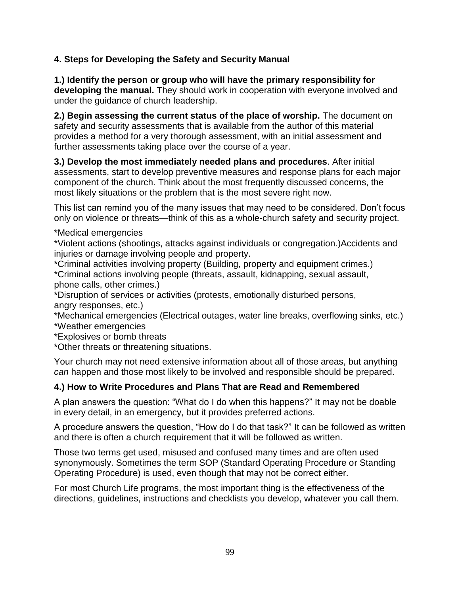### **4. Steps for Developing the Safety and Security Manual**

**1.) Identify the person or group who will have the primary responsibility for developing the manual.** They should work in cooperation with everyone involved and under the guidance of church leadership.

**2.) Begin assessing the current status of the place of worship.** The document on safety and security assessments that is available from the author of this material provides a method for a very thorough assessment, with an initial assessment and further assessments taking place over the course of a year.

**3.) Develop the most immediately needed plans and procedures**. After initial assessments, start to develop preventive measures and response plans for each major component of the church. Think about the most frequently discussed concerns, the most likely situations or the problem that is the most severe right now.

This list can remind you of the many issues that may need to be considered. Don't focus only on violence or threats—think of this as a whole-church safety and security project.

\*Medical emergencies

\*Violent actions (shootings, attacks against individuals or congregation.)Accidents and injuries or damage involving people and property.

\*Criminal activities involving property (Building, property and equipment crimes.)

\*Criminal actions involving people (threats, assault, kidnapping, sexual assault, phone calls, other crimes.)

\*Disruption of services or activities (protests, emotionally disturbed persons, angry responses, etc.)

\*Mechanical emergencies (Electrical outages, water line breaks, overflowing sinks, etc.) \*Weather emergencies

\*Explosives or bomb threats

\*Other threats or threatening situations.

Your church may not need extensive information about all of those areas, but anything *can* happen and those most likely to be involved and responsible should be prepared.

### **4.) How to Write Procedures and Plans That are Read and Remembered**

A plan answers the question: "What do I do when this happens?" It may not be doable in every detail, in an emergency, but it provides preferred actions.

A procedure answers the question, "How do I do that task?" It can be followed as written and there is often a church requirement that it will be followed as written.

Those two terms get used, misused and confused many times and are often used synonymously. Sometimes the term SOP (Standard Operating Procedure or Standing Operating Procedure) is used, even though that may not be correct either.

For most Church Life programs, the most important thing is the effectiveness of the directions, guidelines, instructions and checklists you develop, whatever you call them.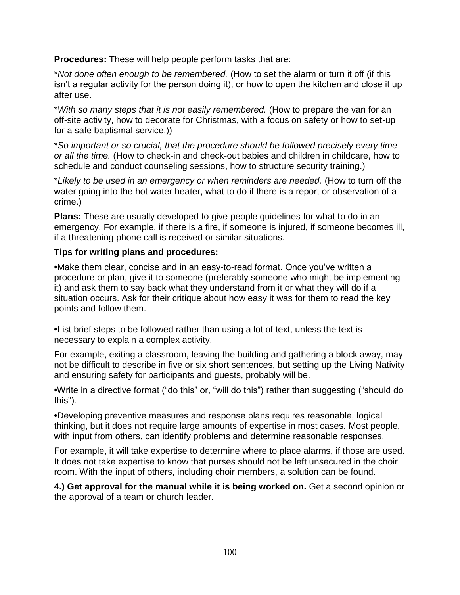**Procedures:** These will help people perform tasks that are:

\**Not done often enough to be remembered.* (How to set the alarm or turn it off (if this isn't a regular activity for the person doing it), or how to open the kitchen and close it up after use.

\**With so many steps that it is not easily remembered.* (How to prepare the van for an off-site activity, how to decorate for Christmas, with a focus on safety or how to set-up for a safe baptismal service.))

\**So important or so crucial, that the procedure should be followed precisely every time or all the time.* (How to check-in and check-out babies and children in childcare, how to schedule and conduct counseling sessions, how to structure security training.)

\**Likely to be used in an emergency or when reminders are needed.* (How to turn off the water going into the hot water heater, what to do if there is a report or observation of a crime.)

**Plans:** These are usually developed to give people guidelines for what to do in an emergency. For example, if there is a fire, if someone is injured, if someone becomes ill, if a threatening phone call is received or similar situations.

### **Tips for writing plans and procedures:**

**•**Make them clear, concise and in an easy-to-read format. Once you've written a procedure or plan, give it to someone (preferably someone who might be implementing it) and ask them to say back what they understand from it or what they will do if a situation occurs. Ask for their critique about how easy it was for them to read the key points and follow them.

**•**List brief steps to be followed rather than using a lot of text, unless the text is necessary to explain a complex activity.

For example, exiting a classroom, leaving the building and gathering a block away, may not be difficult to describe in five or six short sentences, but setting up the Living Nativity and ensuring safety for participants and guests, probably will be.

**•**Write in a directive format ("do this" or, "will do this") rather than suggesting ("should do this").

**•**Developing preventive measures and response plans requires reasonable, logical thinking, but it does not require large amounts of expertise in most cases. Most people, with input from others, can identify problems and determine reasonable responses.

For example, it will take expertise to determine where to place alarms, if those are used. It does not take expertise to know that purses should not be left unsecured in the choir room. With the input of others, including choir members, a solution can be found.

**4.) Get approval for the manual while it is being worked on.** Get a second opinion or the approval of a team or church leader.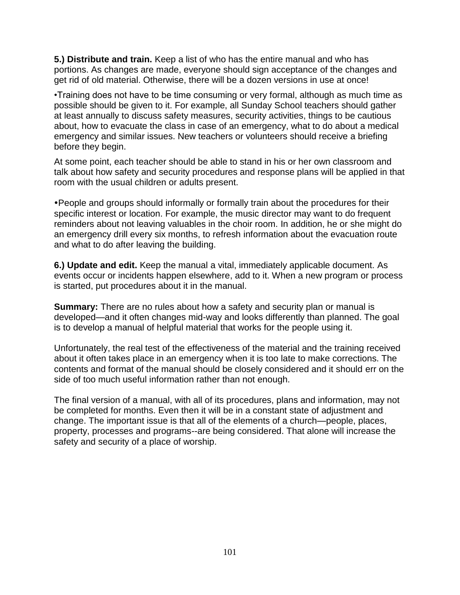**5.) Distribute and train.** Keep a list of who has the entire manual and who has portions. As changes are made, everyone should sign acceptance of the changes and get rid of old material. Otherwise, there will be a dozen versions in use at once!

•Training does not have to be time consuming or very formal, although as much time as possible should be given to it. For example, all Sunday School teachers should gather at least annually to discuss safety measures, security activities, things to be cautious about, how to evacuate the class in case of an emergency, what to do about a medical emergency and similar issues. New teachers or volunteers should receive a briefing before they begin.

At some point, each teacher should be able to stand in his or her own classroom and talk about how safety and security procedures and response plans will be applied in that room with the usual children or adults present.

People and groups should informally or formally train about the procedures for their specific interest or location. For example, the music director may want to do frequent reminders about not leaving valuables in the choir room. In addition, he or she might do an emergency drill every six months, to refresh information about the evacuation route and what to do after leaving the building.

**6.) Update and edit.** Keep the manual a vital, immediately applicable document. As events occur or incidents happen elsewhere, add to it. When a new program or process is started, put procedures about it in the manual.

**Summary:** There are no rules about how a safety and security plan or manual is developed—and it often changes mid-way and looks differently than planned. The goal is to develop a manual of helpful material that works for the people using it.

Unfortunately, the real test of the effectiveness of the material and the training received about it often takes place in an emergency when it is too late to make corrections. The contents and format of the manual should be closely considered and it should err on the side of too much useful information rather than not enough.

The final version of a manual, with all of its procedures, plans and information, may not be completed for months. Even then it will be in a constant state of adjustment and change. The important issue is that all of the elements of a church—people, places, property, processes and programs--are being considered. That alone will increase the safety and security of a place of worship.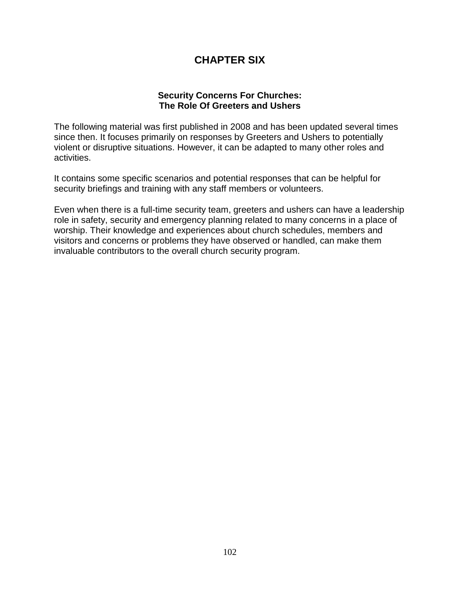# **CHAPTER SIX**

#### **Security Concerns For Churches: The Role Of Greeters and Ushers**

The following material was first published in 2008 and has been updated several times since then. It focuses primarily on responses by Greeters and Ushers to potentially violent or disruptive situations. However, it can be adapted to many other roles and activities.

It contains some specific scenarios and potential responses that can be helpful for security briefings and training with any staff members or volunteers.

Even when there is a full-time security team, greeters and ushers can have a leadership role in safety, security and emergency planning related to many concerns in a place of worship. Their knowledge and experiences about church schedules, members and visitors and concerns or problems they have observed or handled, can make them invaluable contributors to the overall church security program.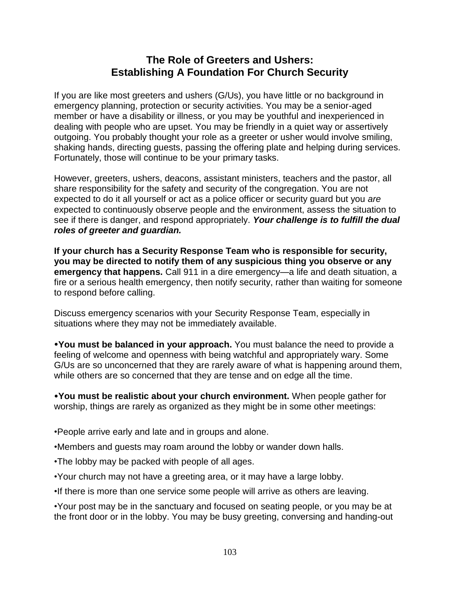# **The Role of Greeters and Ushers: Establishing A Foundation For Church Security**

If you are like most greeters and ushers (G/Us), you have little or no background in emergency planning, protection or security activities. You may be a senior-aged member or have a disability or illness, or you may be youthful and inexperienced in dealing with people who are upset. You may be friendly in a quiet way or assertively outgoing. You probably thought your role as a greeter or usher would involve smiling, shaking hands, directing guests, passing the offering plate and helping during services. Fortunately, those will continue to be your primary tasks.

However, greeters, ushers, deacons, assistant ministers, teachers and the pastor, all share responsibility for the safety and security of the congregation. You are not expected to do it all yourself or act as a police officer or security guard but you *are*  expected to continuously observe people and the environment, assess the situation to see if there is danger, and respond appropriately. *Your challenge is to fulfill the dual roles of greeter and guardian.*

**If your church has a Security Response Team who is responsible for security, you may be directed to notify them of any suspicious thing you observe or any emergency that happens.** Call 911 in a dire emergency—a life and death situation, a fire or a serious health emergency, then notify security, rather than waiting for someone to respond before calling.

Discuss emergency scenarios with your Security Response Team, especially in situations where they may not be immediately available.

**You must be balanced in your approach.** You must balance the need to provide a feeling of welcome and openness with being watchful and appropriately wary. Some G/Us are so unconcerned that they are rarely aware of what is happening around them, while others are so concerned that they are tense and on edge all the time.

**You must be realistic about your church environment.** When people gather for worship, things are rarely as organized as they might be in some other meetings:

- •People arrive early and late and in groups and alone.
- •Members and guests may roam around the lobby or wander down halls.
- •The lobby may be packed with people of all ages.
- •Your church may not have a greeting area, or it may have a large lobby.
- •If there is more than one service some people will arrive as others are leaving.

•Your post may be in the sanctuary and focused on seating people, or you may be at the front door or in the lobby. You may be busy greeting, conversing and handing-out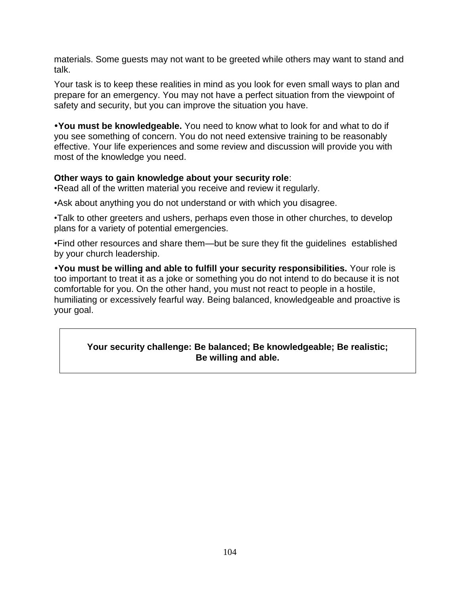materials. Some guests may not want to be greeted while others may want to stand and talk.

Your task is to keep these realities in mind as you look for even small ways to plan and prepare for an emergency. You may not have a perfect situation from the viewpoint of safety and security, but you can improve the situation you have.

**You must be knowledgeable.** You need to know what to look for and what to do if you see something of concern. You do not need extensive training to be reasonably effective. Your life experiences and some review and discussion will provide you with most of the knowledge you need.

#### **Other ways to gain knowledge about your security role**:

•Read all of the written material you receive and review it regularly.

•Ask about anything you do not understand or with which you disagree.

•Talk to other greeters and ushers, perhaps even those in other churches, to develop plans for a variety of potential emergencies.

•Find other resources and share them—but be sure they fit the guidelines established by your church leadership.

**You must be willing and able to fulfill your security responsibilities.** Your role is too important to treat it as a joke or something you do not intend to do because it is not comfortable for you. On the other hand, you must not react to people in a hostile, humiliating or excessively fearful way. Being balanced, knowledgeable and proactive is your goal.

#### **Your security challenge: Be balanced; Be knowledgeable; Be realistic; Be willing and able.**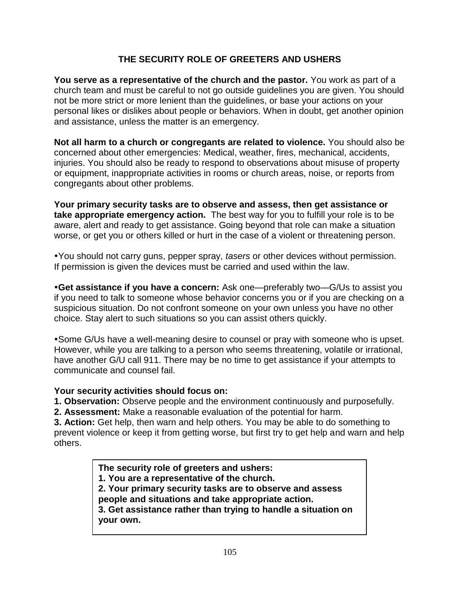### **THE SECURITY ROLE OF GREETERS AND USHERS**

**You serve as a representative of the church and the pastor.** You work as part of a church team and must be careful to not go outside guidelines you are given. You should not be more strict or more lenient than the guidelines, or base your actions on your personal likes or dislikes about people or behaviors. When in doubt, get another opinion and assistance, unless the matter is an emergency.

**Not all harm to a church or congregants are related to violence.** You should also be concerned about other emergencies: Medical, weather, fires, mechanical, accidents, injuries. You should also be ready to respond to observations about misuse of property or equipment, inappropriate activities in rooms or church areas, noise, or reports from congregants about other problems.

**Your primary security tasks are to observe and assess, then get assistance or take appropriate emergency action.** The best way for you to fulfill your role is to be aware, alert and ready to get assistance. Going beyond that role can make a situation worse, or get you or others killed or hurt in the case of a violent or threatening person.

You should not carry guns, pepper spray, *tasers* or other devices without permission. If permission is given the devices must be carried and used within the law.

**Get assistance if you have a concern:** Ask one—preferably two—G/Us to assist you if you need to talk to someone whose behavior concerns you or if you are checking on a suspicious situation. Do not confront someone on your own unless you have no other choice. Stay alert to such situations so you can assist others quickly.

Some G/Us have a well-meaning desire to counsel or pray with someone who is upset. However, while you are talking to a person who seems threatening, volatile or irrational, have another G/U call 911. There may be no time to get assistance if your attempts to communicate and counsel fail.

#### **Your security activities should focus on:**

**1. Observation:** Observe people and the environment continuously and purposefully.

**2. Assessment:** Make a reasonable evaluation of the potential for harm.

**3. Action:** Get help, then warn and help others. You may be able to do something to prevent violence or keep it from getting worse, but first try to get help and warn and help others.

> **The security role of greeters and ushers: 1. You are a representative of the church. 2. Your primary security tasks are to observe and assess people and situations and take appropriate action. 3. Get assistance rather than trying to handle a situation on your own.**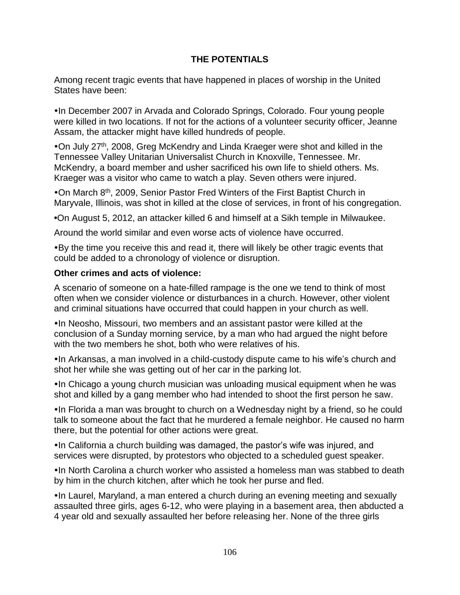### **THE POTENTIALS**

Among recent tragic events that have happened in places of worship in the United States have been:

• In December 2007 in Arvada and Colorado Springs, Colorado. Four young people were killed in two locations. If not for the actions of a volunteer security officer, Jeanne Assam, the attacker might have killed hundreds of people.

On July 27th, 2008, Greg McKendry and Linda Kraeger were shot and killed in the Tennessee Valley Unitarian Universalist Church in Knoxville, Tennessee. Mr. McKendry, a board member and usher sacrificed his own life to shield others. Ms. Kraeger was a visitor who came to watch a play. Seven others were injured.

On March 8th, 2009, Senior Pastor Fred Winters of the First Baptist Church in Maryvale, Illinois, was shot in killed at the close of services, in front of his congregation.

**•**On August 5, 2012, an attacker killed 6 and himself at a Sikh temple in Milwaukee.

Around the world similar and even worse acts of violence have occurred.

By the time you receive this and read it, there will likely be other tragic events that could be added to a chronology of violence or disruption.

#### **Other crimes and acts of violence:**

A scenario of someone on a hate-filled rampage is the one we tend to think of most often when we consider violence or disturbances in a church. However, other violent and criminal situations have occurred that could happen in your church as well.

•In Neosho, Missouri, two members and an assistant pastor were killed at the conclusion of a Sunday morning service, by a man who had argued the night before with the two members he shot, both who were relatives of his.

In Arkansas, a man involved in a child-custody dispute came to his wife's church and shot her while she was getting out of her car in the parking lot.

•In Chicago a young church musician was unloading musical equipment when he was shot and killed by a gang member who had intended to shoot the first person he saw.

•In Florida a man was brought to church on a Wednesday night by a friend, so he could talk to someone about the fact that he murdered a female neighbor. He caused no harm there, but the potential for other actions were great.

•In California a church building was damaged, the pastor's wife was injured, and services were disrupted, by protestors who objected to a scheduled guest speaker.

• In North Carolina a church worker who assisted a homeless man was stabbed to death by him in the church kitchen, after which he took her purse and fled.

•In Laurel, Maryland, a man entered a church during an evening meeting and sexually assaulted three girls, ages 6-12, who were playing in a basement area, then abducted a 4 year old and sexually assaulted her before releasing her. None of the three girls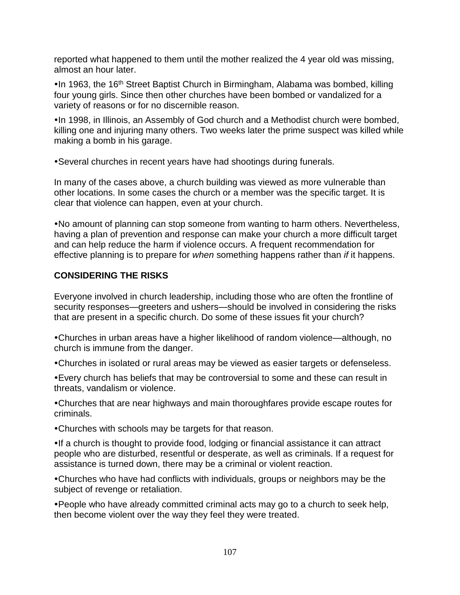reported what happened to them until the mother realized the 4 year old was missing, almost an hour later.

•In 1963, the 16<sup>th</sup> Street Baptist Church in Birmingham, Alabama was bombed, killing four young girls. Since then other churches have been bombed or vandalized for a variety of reasons or for no discernible reason.

•In 1998, in Illinois, an Assembly of God church and a Methodist church were bombed, killing one and injuring many others. Two weeks later the prime suspect was killed while making a bomb in his garage.

Several churches in recent years have had shootings during funerals.

In many of the cases above, a church building was viewed as more vulnerable than other locations. In some cases the church or a member was the specific target. It is clear that violence can happen, even at your church.

No amount of planning can stop someone from wanting to harm others. Nevertheless, having a plan of prevention and response can make your church a more difficult target and can help reduce the harm if violence occurs. A frequent recommendation for effective planning is to prepare for *when* something happens rather than *if* it happens.

### **CONSIDERING THE RISKS**

Everyone involved in church leadership, including those who are often the frontline of security responses—greeters and ushers—should be involved in considering the risks that are present in a specific church. Do some of these issues fit your church?

Churches in urban areas have a higher likelihood of random violence—although, no church is immune from the danger.

Churches in isolated or rural areas may be viewed as easier targets or defenseless.

Every church has beliefs that may be controversial to some and these can result in threats, vandalism or violence.

Churches that are near highways and main thoroughfares provide escape routes for criminals.

Churches with schools may be targets for that reason.

•If a church is thought to provide food, lodging or financial assistance it can attract people who are disturbed, resentful or desperate, as well as criminals. If a request for assistance is turned down, there may be a criminal or violent reaction.

Churches who have had conflicts with individuals, groups or neighbors may be the subject of revenge or retaliation.

People who have already committed criminal acts may go to a church to seek help, then become violent over the way they feel they were treated.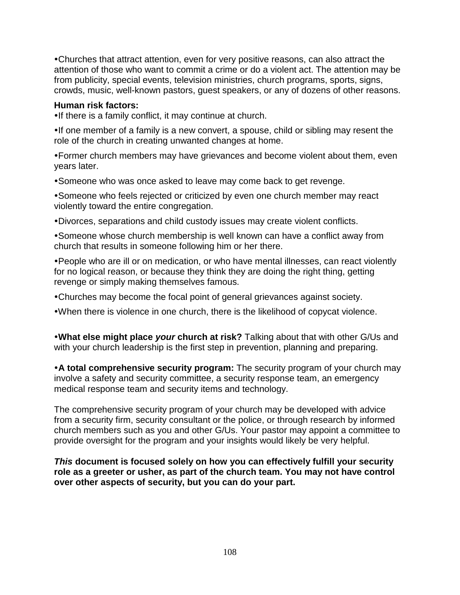Churches that attract attention, even for very positive reasons, can also attract the attention of those who want to commit a crime or do a violent act. The attention may be from publicity, special events, television ministries, church programs, sports, signs, crowds, music, well-known pastors, guest speakers, or any of dozens of other reasons.

### **Human risk factors:**

•If there is a family conflict, it may continue at church.

•If one member of a family is a new convert, a spouse, child or sibling may resent the role of the church in creating unwanted changes at home.

Former church members may have grievances and become violent about them, even years later.

Someone who was once asked to leave may come back to get revenge.

Someone who feels rejected or criticized by even one church member may react violently toward the entire congregation.

Divorces, separations and child custody issues may create violent conflicts.

Someone whose church membership is well known can have a conflict away from church that results in someone following him or her there.

People who are ill or on medication, or who have mental illnesses, can react violently for no logical reason, or because they think they are doing the right thing, getting revenge or simply making themselves famous.

Churches may become the focal point of general grievances against society.

When there is violence in one church, there is the likelihood of copycat violence.

**What else might place** *your* **church at risk?** Talking about that with other G/Us and with your church leadership is the first step in prevention, planning and preparing.

**A total comprehensive security program:** The security program of your church may involve a safety and security committee, a security response team, an emergency medical response team and security items and technology.

The comprehensive security program of your church may be developed with advice from a security firm, security consultant or the police, or through research by informed church members such as you and other G/Us. Your pastor may appoint a committee to provide oversight for the program and your insights would likely be very helpful.

*This* **document is focused solely on how you can effectively fulfill your security role as a greeter or usher, as part of the church team. You may not have control over other aspects of security, but you can do your part.**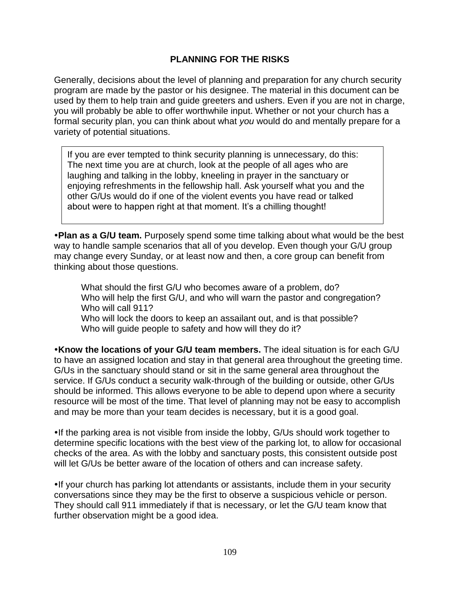## **PLANNING FOR THE RISKS**

Generally, decisions about the level of planning and preparation for any church security program are made by the pastor or his designee. The material in this document can be used by them to help train and guide greeters and ushers. Even if you are not in charge, you will probably be able to offer worthwhile input. Whether or not your church has a formal security plan, you can think about what *you* would do and mentally prepare for a variety of potential situations.

If you are ever tempted to think security planning is unnecessary, do this: The next time you are at church, look at the people of all ages who are laughing and talking in the lobby, kneeling in prayer in the sanctuary or enjoying refreshments in the fellowship hall. Ask yourself what you and the other G/Us would do if one of the violent events you have read or talked about were to happen right at that moment. It's a chilling thought!

**Plan as a G/U team.** Purposely spend some time talking about what would be the best way to handle sample scenarios that all of you develop. Even though your G/U group may change every Sunday, or at least now and then, a core group can benefit from thinking about those questions.

What should the first G/U who becomes aware of a problem, do? Who will help the first G/U, and who will warn the pastor and congregation? Who will call 911?

Who will lock the doors to keep an assailant out, and is that possible? Who will guide people to safety and how will they do it?

**Know the locations of your G/U team members.** The ideal situation is for each G/U to have an assigned location and stay in that general area throughout the greeting time. G/Us in the sanctuary should stand or sit in the same general area throughout the service. If G/Us conduct a security walk-through of the building or outside, other G/Us should be informed. This allows everyone to be able to depend upon where a security resource will be most of the time. That level of planning may not be easy to accomplish and may be more than your team decides is necessary, but it is a good goal.

If the parking area is not visible from inside the lobby, G/Us should work together to determine specific locations with the best view of the parking lot, to allow for occasional checks of the area. As with the lobby and sanctuary posts, this consistent outside post will let G/Us be better aware of the location of others and can increase safety.

If your church has parking lot attendants or assistants, include them in your security conversations since they may be the first to observe a suspicious vehicle or person. They should call 911 immediately if that is necessary, or let the G/U team know that further observation might be a good idea.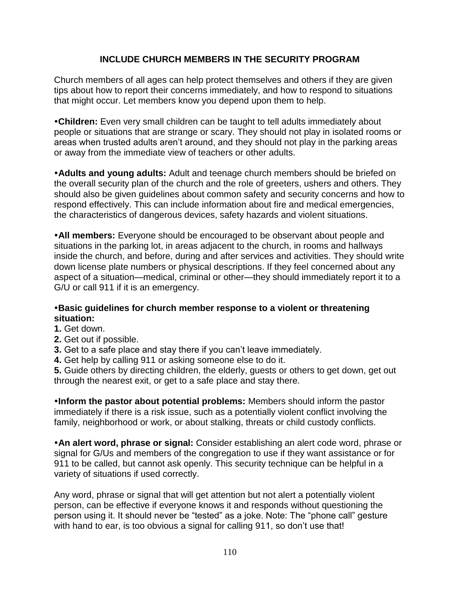# **INCLUDE CHURCH MEMBERS IN THE SECURITY PROGRAM**

Church members of all ages can help protect themselves and others if they are given tips about how to report their concerns immediately, and how to respond to situations that might occur. Let members know you depend upon them to help.

**Children:** Even very small children can be taught to tell adults immediately about people or situations that are strange or scary. They should not play in isolated rooms or areas when trusted adults aren't around, and they should not play in the parking areas or away from the immediate view of teachers or other adults.

**Adults and young adults:** Adult and teenage church members should be briefed on the overall security plan of the church and the role of greeters, ushers and others. They should also be given guidelines about common safety and security concerns and how to respond effectively. This can include information about fire and medical emergencies, the characteristics of dangerous devices, safety hazards and violent situations.

**All members:** Everyone should be encouraged to be observant about people and situations in the parking lot, in areas adjacent to the church, in rooms and hallways inside the church, and before, during and after services and activities. They should write down license plate numbers or physical descriptions. If they feel concerned about any aspect of a situation—medical, criminal or other—they should immediately report it to a G/U or call 911 if it is an emergency.

### **Basic guidelines for church member response to a violent or threatening situation:**

- **1.** Get down.
- **2.** Get out if possible.
- **3.** Get to a safe place and stay there if you can't leave immediately.
- **4.** Get help by calling 911 or asking someone else to do it.

**5.** Guide others by directing children, the elderly, guests or others to get down, get out through the nearest exit, or get to a safe place and stay there.

**Inform the pastor about potential problems:** Members should inform the pastor immediately if there is a risk issue, such as a potentially violent conflict involving the family, neighborhood or work, or about stalking, threats or child custody conflicts.

**An alert word, phrase or signal:** Consider establishing an alert code word, phrase or signal for G/Us and members of the congregation to use if they want assistance or for 911 to be called, but cannot ask openly. This security technique can be helpful in a variety of situations if used correctly.

Any word, phrase or signal that will get attention but not alert a potentially violent person, can be effective if everyone knows it and responds without questioning the person using it. It should never be "tested" as a joke. Note: The "phone call" gesture with hand to ear, is too obvious a signal for calling 911, so don't use that!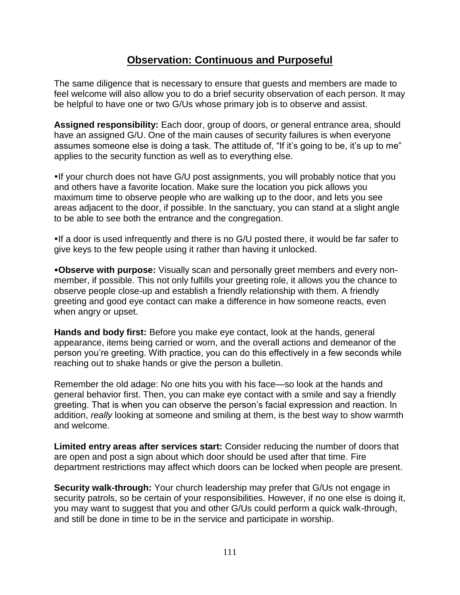# **Observation: Continuous and Purposeful**

The same diligence that is necessary to ensure that guests and members are made to feel welcome will also allow you to do a brief security observation of each person. It may be helpful to have one or two G/Us whose primary job is to observe and assist.

**Assigned responsibility:** Each door, group of doors, or general entrance area, should have an assigned G/U. One of the main causes of security failures is when everyone assumes someone else is doing a task. The attitude of, "If it's going to be, it's up to me" applies to the security function as well as to everything else.

If your church does not have G/U post assignments, you will probably notice that you and others have a favorite location. Make sure the location you pick allows you maximum time to observe people who are walking up to the door, and lets you see areas adjacent to the door, if possible. In the sanctuary, you can stand at a slight angle to be able to see both the entrance and the congregation.

If a door is used infrequently and there is no G/U posted there, it would be far safer to give keys to the few people using it rather than having it unlocked.

**Observe with purpose:** Visually scan and personally greet members and every nonmember, if possible. This not only fulfills your greeting role, it allows you the chance to observe people close-up and establish a friendly relationship with them. A friendly greeting and good eye contact can make a difference in how someone reacts, even when angry or upset.

**Hands and body first:** Before you make eye contact, look at the hands, general appearance, items being carried or worn, and the overall actions and demeanor of the person you're greeting. With practice, you can do this effectively in a few seconds while reaching out to shake hands or give the person a bulletin.

Remember the old adage: No one hits you with his face—so look at the hands and general behavior first. Then, you can make eye contact with a smile and say a friendly greeting. That is when you can observe the person's facial expression and reaction. In addition, *really* looking at someone and smiling at them, is the best way to show warmth and welcome.

**Limited entry areas after services start:** Consider reducing the number of doors that are open and post a sign about which door should be used after that time. Fire department restrictions may affect which doors can be locked when people are present.

**Security walk-through:** Your church leadership may prefer that G/Us not engage in security patrols, so be certain of your responsibilities. However, if no one else is doing it, you may want to suggest that you and other G/Us could perform a quick walk-through, and still be done in time to be in the service and participate in worship.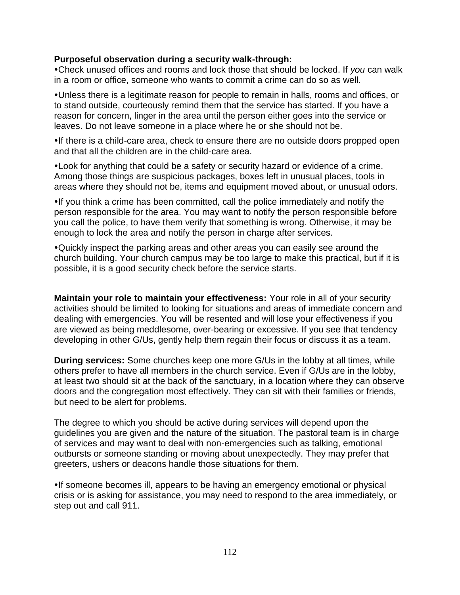### **Purposeful observation during a security walk-through:**

Check unused offices and rooms and lock those that should be locked. If *you* can walk in a room or office, someone who wants to commit a crime can do so as well.

Unless there is a legitimate reason for people to remain in halls, rooms and offices, or to stand outside, courteously remind them that the service has started. If you have a reason for concern, linger in the area until the person either goes into the service or leaves. Do not leave someone in a place where he or she should not be.

If there is a child-care area, check to ensure there are no outside doors propped open and that all the children are in the child-care area.

Look for anything that could be a safety or security hazard or evidence of a crime. Among those things are suspicious packages, boxes left in unusual places, tools in areas where they should not be, items and equipment moved about, or unusual odors.

If you think a crime has been committed, call the police immediately and notify the person responsible for the area. You may want to notify the person responsible before you call the police, to have them verify that something is wrong. Otherwise, it may be enough to lock the area and notify the person in charge after services.

Quickly inspect the parking areas and other areas you can easily see around the church building. Your church campus may be too large to make this practical, but if it is possible, it is a good security check before the service starts.

**Maintain your role to maintain your effectiveness:** Your role in all of your security activities should be limited to looking for situations and areas of immediate concern and dealing with emergencies. You will be resented and will lose your effectiveness if you are viewed as being meddlesome, over-bearing or excessive. If you see that tendency developing in other G/Us, gently help them regain their focus or discuss it as a team.

**During services:** Some churches keep one more G/Us in the lobby at all times, while others prefer to have all members in the church service. Even if G/Us are in the lobby, at least two should sit at the back of the sanctuary, in a location where they can observe doors and the congregation most effectively. They can sit with their families or friends, but need to be alert for problems.

The degree to which you should be active during services will depend upon the guidelines you are given and the nature of the situation. The pastoral team is in charge of services and may want to deal with non-emergencies such as talking, emotional outbursts or someone standing or moving about unexpectedly. They may prefer that greeters, ushers or deacons handle those situations for them.

If someone becomes ill, appears to be having an emergency emotional or physical crisis or is asking for assistance, you may need to respond to the area immediately, or step out and call 911.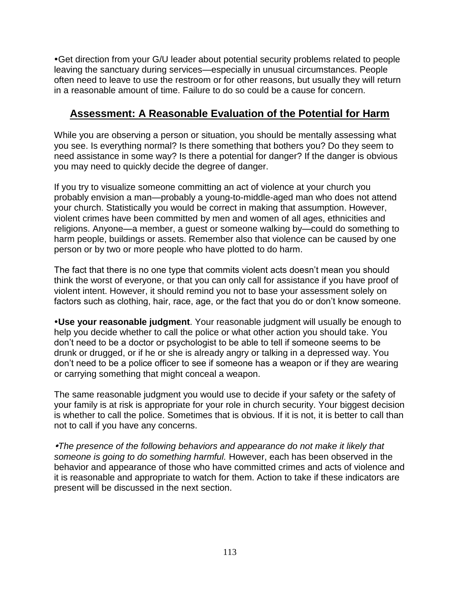Get direction from your G/U leader about potential security problems related to people leaving the sanctuary during services—especially in unusual circumstances. People often need to leave to use the restroom or for other reasons, but usually they will return in a reasonable amount of time. Failure to do so could be a cause for concern.

# **Assessment: A Reasonable Evaluation of the Potential for Harm**

While you are observing a person or situation, you should be mentally assessing what you see. Is everything normal? Is there something that bothers you? Do they seem to need assistance in some way? Is there a potential for danger? If the danger is obvious you may need to quickly decide the degree of danger.

If you try to visualize someone committing an act of violence at your church you probably envision a man—probably a young-to-middle-aged man who does not attend your church. Statistically you would be correct in making that assumption. However, violent crimes have been committed by men and women of all ages, ethnicities and religions. Anyone—a member, a guest or someone walking by—could do something to harm people, buildings or assets. Remember also that violence can be caused by one person or by two or more people who have plotted to do harm.

The fact that there is no one type that commits violent acts doesn't mean you should think the worst of everyone, or that you can only call for assistance if you have proof of violent intent. However, it should remind you not to base your assessment solely on factors such as clothing, hair, race, age, or the fact that you do or don't know someone.

**Use your reasonable judgment**. Your reasonable judgment will usually be enough to help you decide whether to call the police or what other action you should take. You don't need to be a doctor or psychologist to be able to tell if someone seems to be drunk or drugged, or if he or she is already angry or talking in a depressed way. You don't need to be a police officer to see if someone has a weapon or if they are wearing or carrying something that might conceal a weapon.

The same reasonable judgment you would use to decide if your safety or the safety of your family is at risk is appropriate for your role in church security. Your biggest decision is whether to call the police. Sometimes that is obvious. If it is not, it is better to call than not to call if you have any concerns.

*The presence of the following behaviors and appearance do not make it likely that someone is going to do something harmful.* However, each has been observed in the behavior and appearance of those who have committed crimes and acts of violence and it is reasonable and appropriate to watch for them. Action to take if these indicators are present will be discussed in the next section.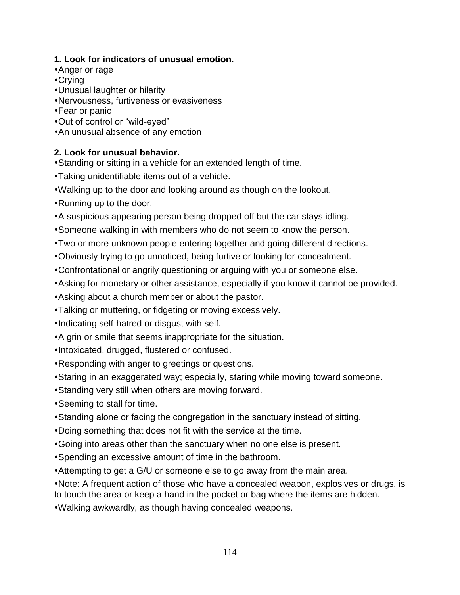# **1. Look for indicators of unusual emotion.**

- Anger or rage
- Crying
- Unusual laughter or hilarity
- Nervousness, furtiveness or evasiveness
- Fear or panic
- Out of control or "wild-eyed"
- An unusual absence of any emotion

# **2. Look for unusual behavior.**

- Standing or sitting in a vehicle for an extended length of time.
- Taking unidentifiable items out of a vehicle.
- Walking up to the door and looking around as though on the lookout.
- Running up to the door.
- A suspicious appearing person being dropped off but the car stays idling.
- Someone walking in with members who do not seem to know the person.
- Two or more unknown people entering together and going different directions.
- Obviously trying to go unnoticed, being furtive or looking for concealment.
- Confrontational or angrily questioning or arguing with you or someone else.
- Asking for monetary or other assistance, especially if you know it cannot be provided.
- Asking about a church member or about the pastor.
- Talking or muttering, or fidgeting or moving excessively.
- Indicating self-hatred or disgust with self.
- A grin or smile that seems inappropriate for the situation.
- Intoxicated, drugged, flustered or confused.
- Responding with anger to greetings or questions.
- Staring in an exaggerated way; especially, staring while moving toward someone.
- Standing very still when others are moving forward.
- Seeming to stall for time.
- Standing alone or facing the congregation in the sanctuary instead of sitting.
- Doing something that does not fit with the service at the time.
- Going into areas other than the sanctuary when no one else is present.
- Spending an excessive amount of time in the bathroom.
- Attempting to get a G/U or someone else to go away from the main area.
- Note: A frequent action of those who have a concealed weapon, explosives or drugs, is to touch the area or keep a hand in the pocket or bag where the items are hidden.
- Walking awkwardly, as though having concealed weapons.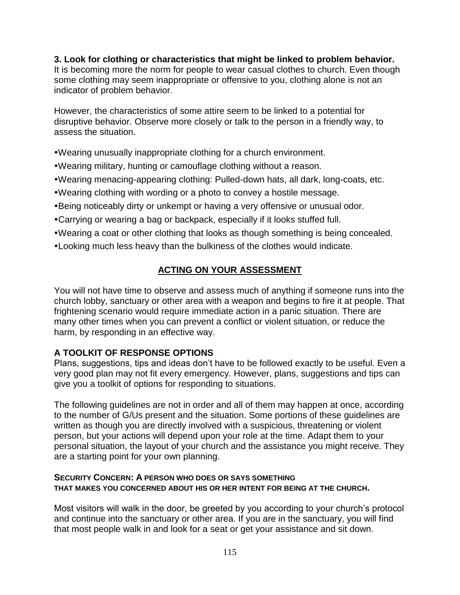**3. Look for clothing or characteristics that might be linked to problem behavior.**  It is becoming more the norm for people to wear casual clothes to church. Even though some clothing may seem inappropriate or offensive to you, clothing alone is not an indicator of problem behavior.

However, the characteristics of some attire seem to be linked to a potential for disruptive behavior. Observe more closely or talk to the person in a friendly way, to assess the situation.

Wearing unusually inappropriate clothing for a church environment.

- Wearing military, hunting or camouflage clothing without a reason.
- Wearing menacing-appearing clothing: Pulled-down hats, all dark, long-coats, etc.
- Wearing clothing with wording or a photo to convey a hostile message.
- Being noticeably dirty or unkempt or having a very offensive or unusual odor.
- Carrying or wearing a bag or backpack, especially if it looks stuffed full.
- Wearing a coat or other clothing that looks as though something is being concealed.
- Looking much less heavy than the bulkiness of the clothes would indicate.

# **ACTING ON YOUR ASSESSMENT**

You will not have time to observe and assess much of anything if someone runs into the church lobby, sanctuary or other area with a weapon and begins to fire it at people. That frightening scenario would require immediate action in a panic situation. There are many other times when you can prevent a conflict or violent situation, or reduce the harm, by responding in an effective way.

# **A TOOLKIT OF RESPONSE OPTIONS**

Plans, suggestions, tips and ideas don't have to be followed exactly to be useful. Even a very good plan may not fit every emergency. However, plans, suggestions and tips can give you a toolkit of options for responding to situations.

The following guidelines are not in order and all of them may happen at once, according to the number of G/Us present and the situation. Some portions of these guidelines are written as though you are directly involved with a suspicious, threatening or violent person, but your actions will depend upon your role at the time. Adapt them to your personal situation, the layout of your church and the assistance you might receive. They are a starting point for your own planning.

### **SECURITY CONCERN: A PERSON WHO DOES OR SAYS SOMETHING THAT MAKES YOU CONCERNED ABOUT HIS OR HER INTENT FOR BEING AT THE CHURCH.**

Most visitors will walk in the door, be greeted by you according to your church's protocol and continue into the sanctuary or other area. If you are in the sanctuary, you will find that most people walk in and look for a seat or get your assistance and sit down.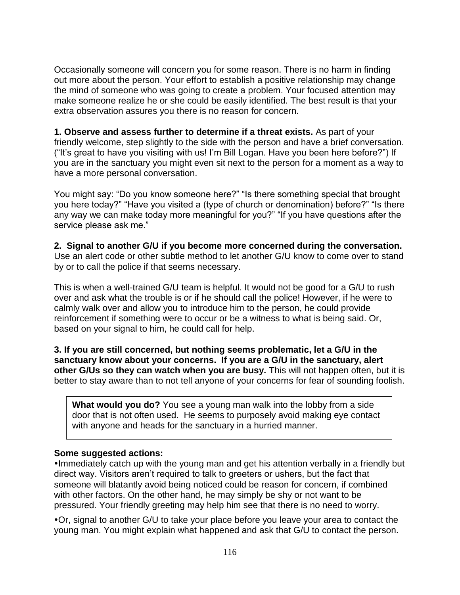Occasionally someone will concern you for some reason. There is no harm in finding out more about the person. Your effort to establish a positive relationship may change the mind of someone who was going to create a problem. Your focused attention may make someone realize he or she could be easily identified. The best result is that your extra observation assures you there is no reason for concern.

**1. Observe and assess further to determine if a threat exists.** As part of your friendly welcome, step slightly to the side with the person and have a brief conversation. ("It's great to have you visiting with us! I'm Bill Logan. Have you been here before?") If you are in the sanctuary you might even sit next to the person for a moment as a way to have a more personal conversation.

You might say: "Do you know someone here?" "Is there something special that brought you here today?" "Have you visited a (type of church or denomination) before?" "Is there any way we can make today more meaningful for you?" "If you have questions after the service please ask me."

**2. Signal to another G/U if you become more concerned during the conversation.**  Use an alert code or other subtle method to let another G/U know to come over to stand by or to call the police if that seems necessary.

This is when a well-trained G/U team is helpful. It would not be good for a G/U to rush over and ask what the trouble is or if he should call the police! However, if he were to calmly walk over and allow you to introduce him to the person, he could provide reinforcement if something were to occur or be a witness to what is being said. Or, based on your signal to him, he could call for help.

**3. If you are still concerned, but nothing seems problematic, let a G/U in the sanctuary know about your concerns. If you are a G/U in the sanctuary, alert other G/Us so they can watch when you are busy.** This will not happen often, but it is better to stay aware than to not tell anyone of your concerns for fear of sounding foolish.

**What would you do?** You see a young man walk into the lobby from a side door that is not often used. He seems to purposely avoid making eye contact with anyone and heads for the sanctuary in a hurried manner.

### **Some suggested actions:**

•Immediately catch up with the young man and get his attention verbally in a friendly but direct way. Visitors aren't required to talk to greeters or ushers, but the fact that someone will blatantly avoid being noticed could be reason for concern, if combined with other factors. On the other hand, he may simply be shy or not want to be pressured. Your friendly greeting may help him see that there is no need to worry.

Or, signal to another G/U to take your place before you leave your area to contact the young man. You might explain what happened and ask that G/U to contact the person.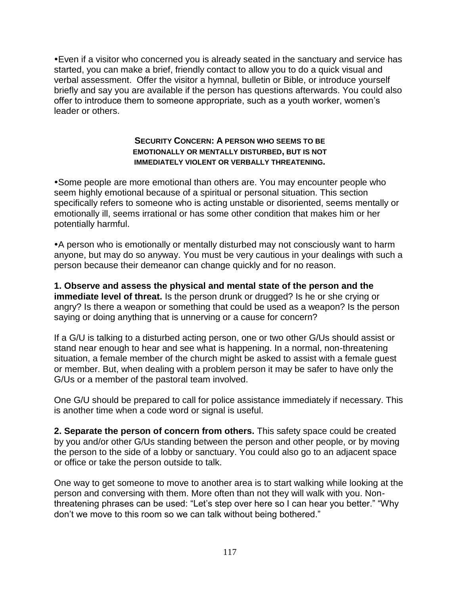Even if a visitor who concerned you is already seated in the sanctuary and service has started, you can make a brief, friendly contact to allow you to do a quick visual and verbal assessment. Offer the visitor a hymnal, bulletin or Bible, or introduce yourself briefly and say you are available if the person has questions afterwards. You could also offer to introduce them to someone appropriate, such as a youth worker, women's leader or others.

#### **SECURITY CONCERN: A PERSON WHO SEEMS TO BE EMOTIONALLY OR MENTALLY DISTURBED, BUT IS NOT IMMEDIATELY VIOLENT OR VERBALLY THREATENING.**

Some people are more emotional than others are. You may encounter people who seem highly emotional because of a spiritual or personal situation. This section specifically refers to someone who is acting unstable or disoriented, seems mentally or emotionally ill, seems irrational or has some other condition that makes him or her potentially harmful.

A person who is emotionally or mentally disturbed may not consciously want to harm anyone, but may do so anyway. You must be very cautious in your dealings with such a person because their demeanor can change quickly and for no reason.

**1. Observe and assess the physical and mental state of the person and the immediate level of threat.** Is the person drunk or drugged? Is he or she crying or angry? Is there a weapon or something that could be used as a weapon? Is the person saying or doing anything that is unnerving or a cause for concern?

If a G/U is talking to a disturbed acting person, one or two other G/Us should assist or stand near enough to hear and see what is happening. In a normal, non-threatening situation, a female member of the church might be asked to assist with a female guest or member. But, when dealing with a problem person it may be safer to have only the G/Us or a member of the pastoral team involved.

One G/U should be prepared to call for police assistance immediately if necessary. This is another time when a code word or signal is useful.

**2. Separate the person of concern from others.** This safety space could be created by you and/or other G/Us standing between the person and other people, or by moving the person to the side of a lobby or sanctuary. You could also go to an adjacent space or office or take the person outside to talk.

One way to get someone to move to another area is to start walking while looking at the person and conversing with them. More often than not they will walk with you. Nonthreatening phrases can be used: "Let's step over here so I can hear you better." "Why don't we move to this room so we can talk without being bothered."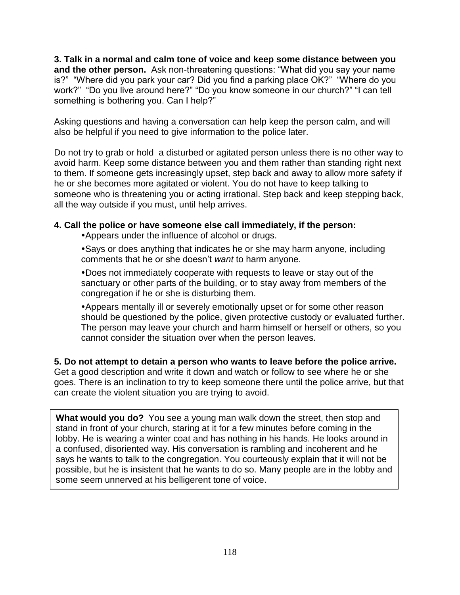**3. Talk in a normal and calm tone of voice and keep some distance between you and the other person.** Ask non-threatening questions: "What did you say your name is?" "Where did you park your car? Did you find a parking place OK?" "Where do you work?" "Do you live around here?" "Do you know someone in our church?" "I can tell something is bothering you. Can I help?"

Asking questions and having a conversation can help keep the person calm, and will also be helpful if you need to give information to the police later.

Do not try to grab or hold a disturbed or agitated person unless there is no other way to avoid harm. Keep some distance between you and them rather than standing right next to them. If someone gets increasingly upset, step back and away to allow more safety if he or she becomes more agitated or violent. You do not have to keep talking to someone who is threatening you or acting irrational. Step back and keep stepping back, all the way outside if you must, until help arrives.

## **4. Call the police or have someone else call immediately, if the person:**

Appears under the influence of alcohol or drugs.

Says or does anything that indicates he or she may harm anyone, including comments that he or she doesn't *want* to harm anyone.

Does not immediately cooperate with requests to leave or stay out of the sanctuary or other parts of the building, or to stay away from members of the congregation if he or she is disturbing them.

Appears mentally ill or severely emotionally upset or for some other reason should be questioned by the police, given protective custody or evaluated further. The person may leave your church and harm himself or herself or others, so you cannot consider the situation over when the person leaves.

**5. Do not attempt to detain a person who wants to leave before the police arrive.** Get a good description and write it down and watch or follow to see where he or she goes. There is an inclination to try to keep someone there until the police arrive, but that can create the violent situation you are trying to avoid.

**What would you do?** You see a young man walk down the street, then stop and stand in front of your church, staring at it for a few minutes before coming in the lobby. He is wearing a winter coat and has nothing in his hands. He looks around in a confused, disoriented way. His conversation is rambling and incoherent and he says he wants to talk to the congregation. You courteously explain that it will not be possible, but he is insistent that he wants to do so. Many people are in the lobby and some seem unnerved at his belligerent tone of voice.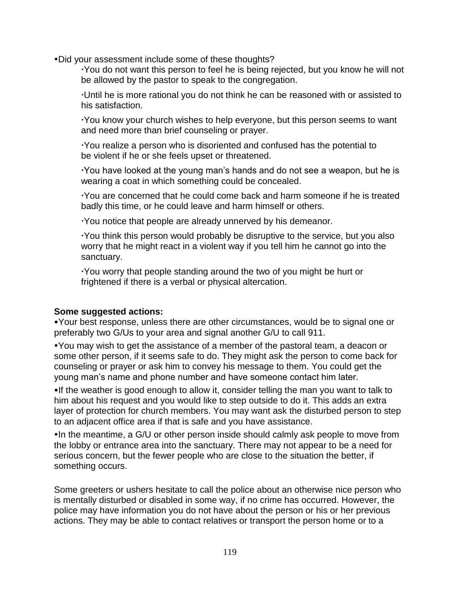Did your assessment include some of these thoughts?

You do not want this person to feel he is being rejected, but you know he will not be allowed by the pastor to speak to the congregation.

Until he is more rational you do not think he can be reasoned with or assisted to his satisfaction.

You know your church wishes to help everyone, but this person seems to want and need more than brief counseling or prayer.

You realize a person who is disoriented and confused has the potential to be violent if he or she feels upset or threatened.

You have looked at the young man's hands and do not see a weapon, but he is wearing a coat in which something could be concealed.

You are concerned that he could come back and harm someone if he is treated badly this time, or he could leave and harm himself or others.

You notice that people are already unnerved by his demeanor.

You think this person would probably be disruptive to the service, but you also worry that he might react in a violent way if you tell him he cannot go into the sanctuary.

You worry that people standing around the two of you might be hurt or frightened if there is a verbal or physical altercation.

### **Some suggested actions:**

Your best response, unless there are other circumstances, would be to signal one or preferably two G/Us to your area and signal another G/U to call 911.

You may wish to get the assistance of a member of the pastoral team, a deacon or some other person, if it seems safe to do. They might ask the person to come back for counseling or prayer or ask him to convey his message to them. You could get the young man's name and phone number and have someone contact him later.

•If the weather is good enough to allow it, consider telling the man you want to talk to him about his request and you would like to step outside to do it. This adds an extra layer of protection for church members. You may want ask the disturbed person to step to an adjacent office area if that is safe and you have assistance.

In the meantime, a G/U or other person inside should calmly ask people to move from the lobby or entrance area into the sanctuary. There may not appear to be a need for serious concern, but the fewer people who are close to the situation the better, if something occurs.

Some greeters or ushers hesitate to call the police about an otherwise nice person who is mentally disturbed or disabled in some way, if no crime has occurred. However, the police may have information you do not have about the person or his or her previous actions. They may be able to contact relatives or transport the person home or to a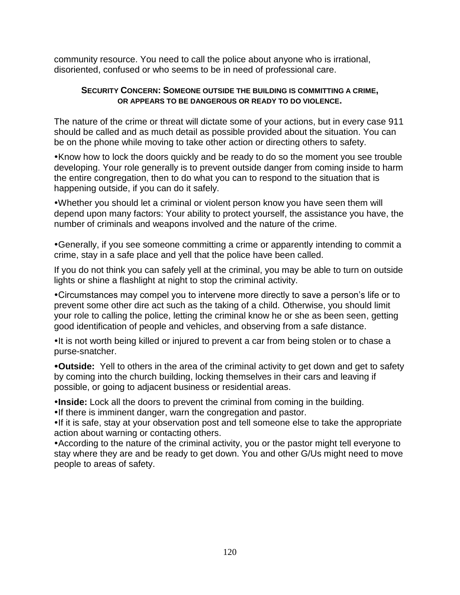community resource. You need to call the police about anyone who is irrational, disoriented, confused or who seems to be in need of professional care.

### **SECURITY CONCERN: SOMEONE OUTSIDE THE BUILDING IS COMMITTING A CRIME, OR APPEARS TO BE DANGEROUS OR READY TO DO VIOLENCE.**

The nature of the crime or threat will dictate some of your actions, but in every case 911 should be called and as much detail as possible provided about the situation. You can be on the phone while moving to take other action or directing others to safety.

Know how to lock the doors quickly and be ready to do so the moment you see trouble developing. Your role generally is to prevent outside danger from coming inside to harm the entire congregation, then to do what you can to respond to the situation that is happening outside, if you can do it safely.

Whether you should let a criminal or violent person know you have seen them will depend upon many factors: Your ability to protect yourself, the assistance you have, the number of criminals and weapons involved and the nature of the crime.

Generally, if you see someone committing a crime or apparently intending to commit a crime, stay in a safe place and yell that the police have been called.

If you do not think you can safely yell at the criminal, you may be able to turn on outside lights or shine a flashlight at night to stop the criminal activity.

Circumstances may compel you to intervene more directly to save a person's life or to prevent some other dire act such as the taking of a child. Otherwise, you should limit your role to calling the police, letting the criminal know he or she as been seen, getting good identification of people and vehicles, and observing from a safe distance.

•It is not worth being killed or injured to prevent a car from being stolen or to chase a purse-snatcher.

**Outside:** Yell to others in the area of the criminal activity to get down and get to safety by coming into the church building, locking themselves in their cars and leaving if possible, or going to adjacent business or residential areas.

**Inside:** Lock all the doors to prevent the criminal from coming in the building.

. If there is imminent danger, warn the congregation and pastor.

•If it is safe, stay at your observation post and tell someone else to take the appropriate action about warning or contacting others.

According to the nature of the criminal activity, you or the pastor might tell everyone to stay where they are and be ready to get down. You and other G/Us might need to move people to areas of safety.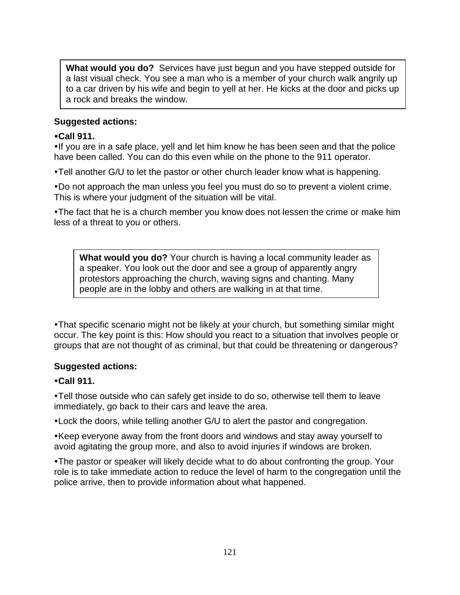**What would you do?** Services have just begun and you have stepped outside for a last visual check. You see a man who is a member of your church walk angrily up to a car driven by his wife and begin to yell at her. He kicks at the door and picks up a rock and breaks the window.

## **Suggested actions:**

## **Call 911.**

If you are in a safe place, yell and let him know he has been seen and that the police have been called. You can do this even while on the phone to the 911 operator.

Tell another G/U to let the pastor or other church leader know what is happening.

Do not approach the man unless you feel you must do so to prevent a violent crime. This is where your judgment of the situation will be vital.

The fact that he is a church member you know does not lessen the crime or make him less of a threat to you or others.

**What would you do?** Your church is having a local community leader as a speaker. You look out the door and see a group of apparently angry protestors approaching the church, waving signs and chanting. Many people are in the lobby and others are walking in at that time.

That specific scenario might not be likely at your church, but something similar might occur. The key point is this: How should you react to a situation that involves people or groups that are not thought of as criminal, but that could be threatening or dangerous?

# **Suggested actions:**

# **Call 911.**

Tell those outside who can safely get inside to do so, otherwise tell them to leave immediately, go back to their cars and leave the area.

Lock the doors, while telling another G/U to alert the pastor and congregation.

Keep everyone away from the front doors and windows and stay away yourself to avoid agitating the group more, and also to avoid injuries if windows are broken.

The pastor or speaker will likely decide what to do about confronting the group. Your role is to take immediate action to reduce the level of harm to the congregation until the police arrive, then to provide information about what happened.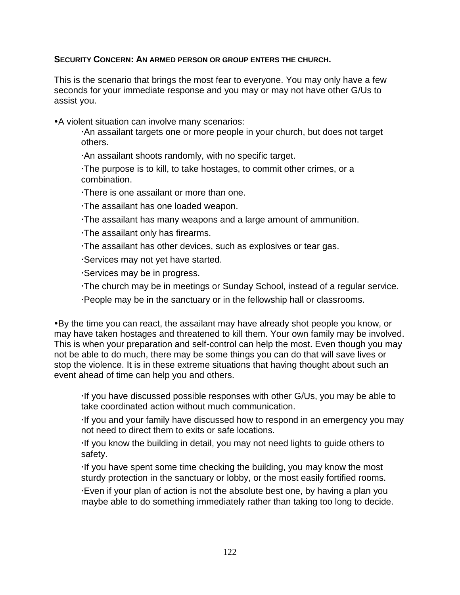### **SECURITY CONCERN: AN ARMED PERSON OR GROUP ENTERS THE CHURCH.**

This is the scenario that brings the most fear to everyone. You may only have a few seconds for your immediate response and you may or may not have other G/Us to assist you.

A violent situation can involve many scenarios:

An assailant targets one or more people in your church, but does not target others.

An assailant shoots randomly, with no specific target.

The purpose is to kill, to take hostages, to commit other crimes, or a combination.

There is one assailant or more than one.

The assailant has one loaded weapon.

The assailant has many weapons and a large amount of ammunition.

The assailant only has firearms.

The assailant has other devices, such as explosives or tear gas.

Services may not yet have started.

Services may be in progress.

The church may be in meetings or Sunday School, instead of a regular service.

People may be in the sanctuary or in the fellowship hall or classrooms.

By the time you can react, the assailant may have already shot people you know, or may have taken hostages and threatened to kill them. Your own family may be involved. This is when your preparation and self-control can help the most. Even though you may not be able to do much, there may be some things you can do that will save lives or stop the violence. It is in these extreme situations that having thought about such an event ahead of time can help you and others.

If you have discussed possible responses with other G/Us, you may be able to take coordinated action without much communication.

If you and your family have discussed how to respond in an emergency you may not need to direct them to exits or safe locations.

If you know the building in detail, you may not need lights to guide others to safety.

If you have spent some time checking the building, you may know the most sturdy protection in the sanctuary or lobby, or the most easily fortified rooms.

Even if your plan of action is not the absolute best one, by having a plan you maybe able to do something immediately rather than taking too long to decide.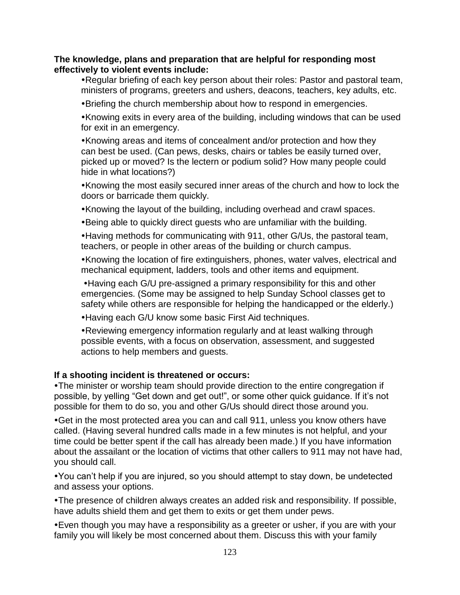### **The knowledge, plans and preparation that are helpful for responding most effectively to violent events include:**

Regular briefing of each key person about their roles: Pastor and pastoral team, ministers of programs, greeters and ushers, deacons, teachers, key adults, etc.

Briefing the church membership about how to respond in emergencies.

Knowing exits in every area of the building, including windows that can be used for exit in an emergency.

Knowing areas and items of concealment and/or protection and how they can best be used. (Can pews, desks, chairs or tables be easily turned over, picked up or moved? Is the lectern or podium solid? How many people could hide in what locations?)

Knowing the most easily secured inner areas of the church and how to lock the doors or barricade them quickly.

Knowing the layout of the building, including overhead and crawl spaces.

Being able to quickly direct guests who are unfamiliar with the building.

Having methods for communicating with 911, other G/Us, the pastoral team, teachers, or people in other areas of the building or church campus.

Knowing the location of fire extinguishers, phones, water valves, electrical and mechanical equipment, ladders, tools and other items and equipment.

Having each G/U pre-assigned a primary responsibility for this and other emergencies. (Some may be assigned to help Sunday School classes get to safety while others are responsible for helping the handicapped or the elderly.)

Having each G/U know some basic First Aid techniques.

Reviewing emergency information regularly and at least walking through possible events, with a focus on observation, assessment, and suggested actions to help members and guests.

### **If a shooting incident is threatened or occurs:**

The minister or worship team should provide direction to the entire congregation if possible, by yelling "Get down and get out!", or some other quick guidance. If it's not possible for them to do so, you and other G/Us should direct those around you.

Get in the most protected area you can and call 911, unless you know others have called. (Having several hundred calls made in a few minutes is not helpful, and your time could be better spent if the call has already been made.) If you have information about the assailant or the location of victims that other callers to 911 may not have had, you should call.

You can't help if you are injured, so you should attempt to stay down, be undetected and assess your options.

The presence of children always creates an added risk and responsibility. If possible, have adults shield them and get them to exits or get them under pews.

Even though you may have a responsibility as a greeter or usher, if you are with your family you will likely be most concerned about them. Discuss this with your family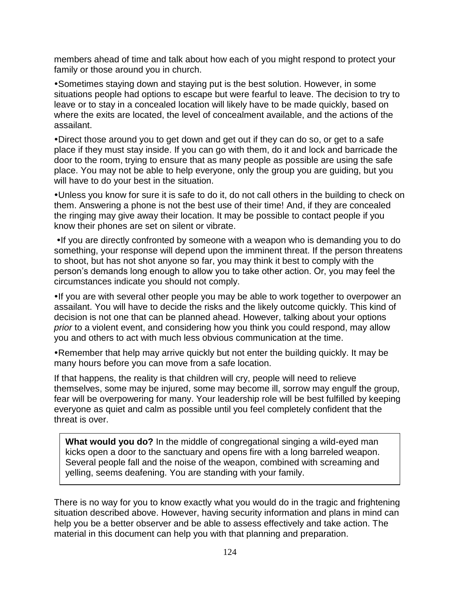members ahead of time and talk about how each of you might respond to protect your family or those around you in church.

Sometimes staying down and staying put is the best solution. However, in some situations people had options to escape but were fearful to leave. The decision to try to leave or to stay in a concealed location will likely have to be made quickly, based on where the exits are located, the level of concealment available, and the actions of the assailant.

Direct those around you to get down and get out if they can do so, or get to a safe place if they must stay inside. If you can go with them, do it and lock and barricade the door to the room, trying to ensure that as many people as possible are using the safe place. You may not be able to help everyone, only the group you are guiding, but you will have to do your best in the situation.

Unless you know for sure it is safe to do it, do not call others in the building to check on them. Answering a phone is not the best use of their time! And, if they are concealed the ringing may give away their location. It may be possible to contact people if you know their phones are set on silent or vibrate.

If you are directly confronted by someone with a weapon who is demanding you to do something, your response will depend upon the imminent threat. If the person threatens to shoot, but has not shot anyone so far, you may think it best to comply with the person's demands long enough to allow you to take other action. Or, you may feel the circumstances indicate you should not comply.

If you are with several other people you may be able to work together to overpower an assailant. You will have to decide the risks and the likely outcome quickly. This kind of decision is not one that can be planned ahead. However, talking about your options *prior* to a violent event, and considering how you think you could respond, may allow you and others to act with much less obvious communication at the time.

Remember that help may arrive quickly but not enter the building quickly. It may be many hours before you can move from a safe location.

If that happens, the reality is that children will cry, people will need to relieve themselves, some may be injured, some may become ill, sorrow may engulf the group, fear will be overpowering for many. Your leadership role will be best fulfilled by keeping everyone as quiet and calm as possible until you feel completely confident that the threat is over.

**What would you do?** In the middle of congregational singing a wild-eyed man kicks open a door to the sanctuary and opens fire with a long barreled weapon. Several people fall and the noise of the weapon, combined with screaming and yelling, seems deafening. You are standing with your family.

There is no way for you to know exactly what you would do in the tragic and frightening situation described above. However, having security information and plans in mind can help you be a better observer and be able to assess effectively and take action. The material in this document can help you with that planning and preparation.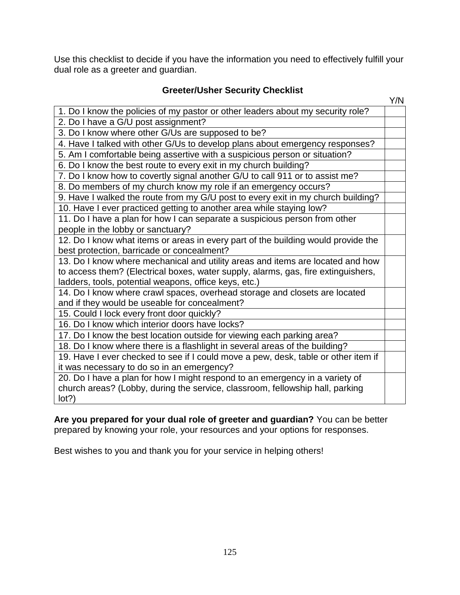Use this checklist to decide if you have the information you need to effectively fulfill your dual role as a greeter and guardian.

# **Greeter/Usher Security Checklist**

|                                                                                    | Y/N |
|------------------------------------------------------------------------------------|-----|
| 1. Do I know the policies of my pastor or other leaders about my security role?    |     |
| 2. Do I have a G/U post assignment?                                                |     |
| 3. Do I know where other G/Us are supposed to be?                                  |     |
| 4. Have I talked with other G/Us to develop plans about emergency responses?       |     |
| 5. Am I comfortable being assertive with a suspicious person or situation?         |     |
| 6. Do I know the best route to every exit in my church building?                   |     |
| 7. Do I know how to covertly signal another G/U to call 911 or to assist me?       |     |
| 8. Do members of my church know my role if an emergency occurs?                    |     |
| 9. Have I walked the route from my G/U post to every exit in my church building?   |     |
| 10. Have I ever practiced getting to another area while staying low?               |     |
| 11. Do I have a plan for how I can separate a suspicious person from other         |     |
| people in the lobby or sanctuary?                                                  |     |
| 12. Do I know what items or areas in every part of the building would provide the  |     |
| best protection, barricade or concealment?                                         |     |
| 13. Do I know where mechanical and utility areas and items are located and how     |     |
| to access them? (Electrical boxes, water supply, alarms, gas, fire extinguishers,  |     |
| ladders, tools, potential weapons, office keys, etc.)                              |     |
| 14. Do I know where crawl spaces, overhead storage and closets are located         |     |
| and if they would be useable for concealment?                                      |     |
| 15. Could I lock every front door quickly?                                         |     |
| 16. Do I know which interior doors have locks?                                     |     |
| 17. Do I know the best location outside for viewing each parking area?             |     |
| 18. Do I know where there is a flashlight in several areas of the building?        |     |
| 19. Have I ever checked to see if I could move a pew, desk, table or other item if |     |
| it was necessary to do so in an emergency?                                         |     |
| 20. Do I have a plan for how I might respond to an emergency in a variety of       |     |
| church areas? (Lobby, during the service, classroom, fellowship hall, parking      |     |
| lot?)                                                                              |     |

**Are you prepared for your dual role of greeter and guardian?** You can be better prepared by knowing your role, your resources and your options for responses.

Best wishes to you and thank you for your service in helping others!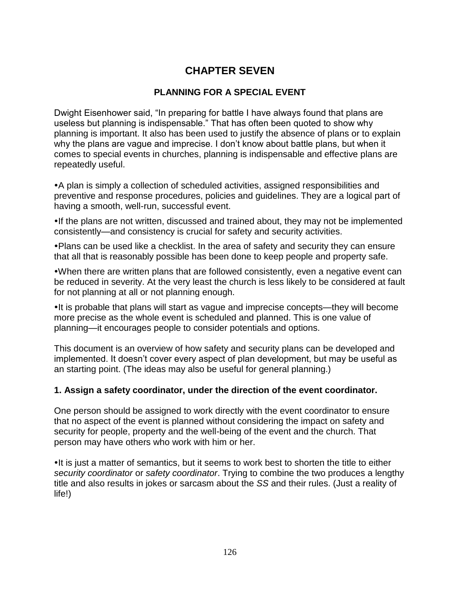# **CHAPTER SEVEN**

# **PLANNING FOR A SPECIAL EVENT**

Dwight Eisenhower said, "In preparing for battle I have always found that plans are useless but planning is indispensable." That has often been quoted to show why planning is important. It also has been used to justify the absence of plans or to explain why the plans are vague and imprecise. I don't know about battle plans, but when it comes to special events in churches, planning is indispensable and effective plans are repeatedly useful.

A plan is simply a collection of scheduled activities, assigned responsibilities and preventive and response procedures, policies and guidelines. They are a logical part of having a smooth, well-run, successful event.

If the plans are not written, discussed and trained about, they may not be implemented consistently—and consistency is crucial for safety and security activities.

Plans can be used like a checklist. In the area of safety and security they can ensure that all that is reasonably possible has been done to keep people and property safe.

When there are written plans that are followed consistently, even a negative event can be reduced in severity. At the very least the church is less likely to be considered at fault for not planning at all or not planning enough.

It is probable that plans will start as vague and imprecise concepts—they will become more precise as the whole event is scheduled and planned. This is one value of planning—it encourages people to consider potentials and options.

This document is an overview of how safety and security plans can be developed and implemented. It doesn't cover every aspect of plan development, but may be useful as an starting point. (The ideas may also be useful for general planning.)

### **1. Assign a safety coordinator, under the direction of the event coordinator.**

One person should be assigned to work directly with the event coordinator to ensure that no aspect of the event is planned without considering the impact on safety and security for people, property and the well-being of the event and the church. That person may have others who work with him or her.

•It is just a matter of semantics, but it seems to work best to shorten the title to either *security coordinator* or *safety coordinator*. Trying to combine the two produces a lengthy title and also results in jokes or sarcasm about the *SS* and their rules. (Just a reality of life!)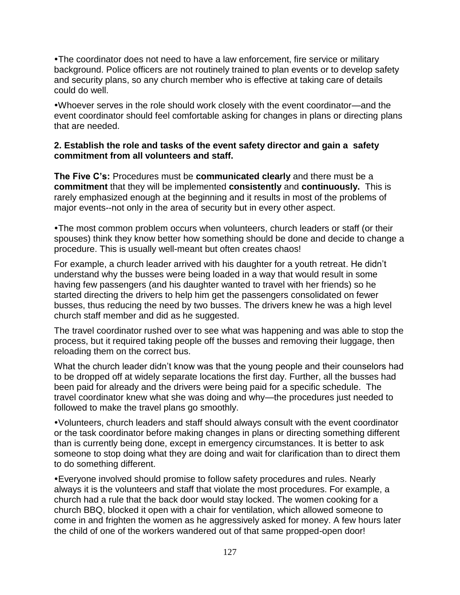The coordinator does not need to have a law enforcement, fire service or military background. Police officers are not routinely trained to plan events or to develop safety and security plans, so any church member who is effective at taking care of details could do well.

Whoever serves in the role should work closely with the event coordinator—and the event coordinator should feel comfortable asking for changes in plans or directing plans that are needed.

### **2. Establish the role and tasks of the event safety director and gain a safety commitment from all volunteers and staff.**

**The Five C's:** Procedures must be **communicated clearly** and there must be a **commitment** that they will be implemented **consistently** and **continuously.** This is rarely emphasized enough at the beginning and it results in most of the problems of major events--not only in the area of security but in every other aspect.

The most common problem occurs when volunteers, church leaders or staff (or their spouses) think they know better how something should be done and decide to change a procedure. This is usually well-meant but often creates chaos!

For example, a church leader arrived with his daughter for a youth retreat. He didn't understand why the busses were being loaded in a way that would result in some having few passengers (and his daughter wanted to travel with her friends) so he started directing the drivers to help him get the passengers consolidated on fewer busses, thus reducing the need by two busses. The drivers knew he was a high level church staff member and did as he suggested.

The travel coordinator rushed over to see what was happening and was able to stop the process, but it required taking people off the busses and removing their luggage, then reloading them on the correct bus.

What the church leader didn't know was that the young people and their counselors had to be dropped off at widely separate locations the first day. Further, all the busses had been paid for already and the drivers were being paid for a specific schedule. The travel coordinator knew what she was doing and why—the procedures just needed to followed to make the travel plans go smoothly.

Volunteers, church leaders and staff should always consult with the event coordinator or the task coordinator before making changes in plans or directing something different than is currently being done, except in emergency circumstances. It is better to ask someone to stop doing what they are doing and wait for clarification than to direct them to do something different.

Everyone involved should promise to follow safety procedures and rules. Nearly always it is the volunteers and staff that violate the most procedures. For example, a church had a rule that the back door would stay locked. The women cooking for a church BBQ, blocked it open with a chair for ventilation, which allowed someone to come in and frighten the women as he aggressively asked for money. A few hours later the child of one of the workers wandered out of that same propped-open door!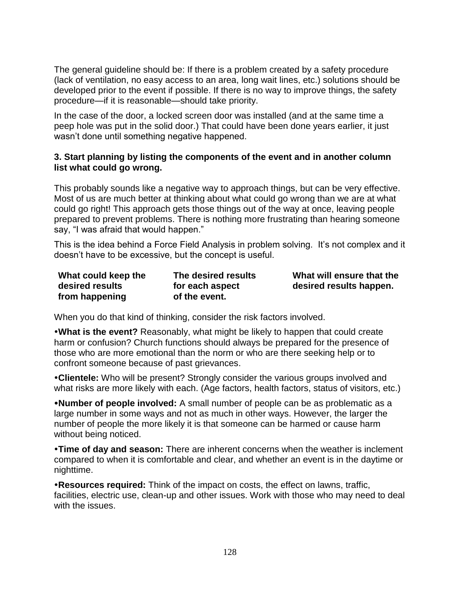The general guideline should be: If there is a problem created by a safety procedure (lack of ventilation, no easy access to an area, long wait lines, etc.) solutions should be developed prior to the event if possible. If there is no way to improve things, the safety procedure—if it is reasonable—should take priority.

In the case of the door, a locked screen door was installed (and at the same time a peep hole was put in the solid door.) That could have been done years earlier, it just wasn't done until something negative happened.

## **3. Start planning by listing the components of the event and in another column list what could go wrong.**

This probably sounds like a negative way to approach things, but can be very effective. Most of us are much better at thinking about what could go wrong than we are at what could go right! This approach gets those things out of the way at once, leaving people prepared to prevent problems. There is nothing more frustrating than hearing someone say, "I was afraid that would happen."

This is the idea behind a Force Field Analysis in problem solving. It's not complex and it doesn't have to be excessive, but the concept is useful.

| What could keep the | The desired results | What will ensure that the |
|---------------------|---------------------|---------------------------|
| desired results     | for each aspect     | desired results happen.   |
| from happening      | of the event.       |                           |

When you do that kind of thinking, consider the risk factors involved.

**What is the event?** Reasonably, what might be likely to happen that could create harm or confusion? Church functions should always be prepared for the presence of those who are more emotional than the norm or who are there seeking help or to confront someone because of past grievances.

**Clientele:** Who will be present? Strongly consider the various groups involved and what risks are more likely with each. (Age factors, health factors, status of visitors, etc.)

**Number of people involved:** A small number of people can be as problematic as a large number in some ways and not as much in other ways. However, the larger the number of people the more likely it is that someone can be harmed or cause harm without being noticed.

**Time of day and season:** There are inherent concerns when the weather is inclement compared to when it is comfortable and clear, and whether an event is in the daytime or nighttime.

**Resources required:** Think of the impact on costs, the effect on lawns, traffic, facilities, electric use, clean-up and other issues. Work with those who may need to deal with the issues.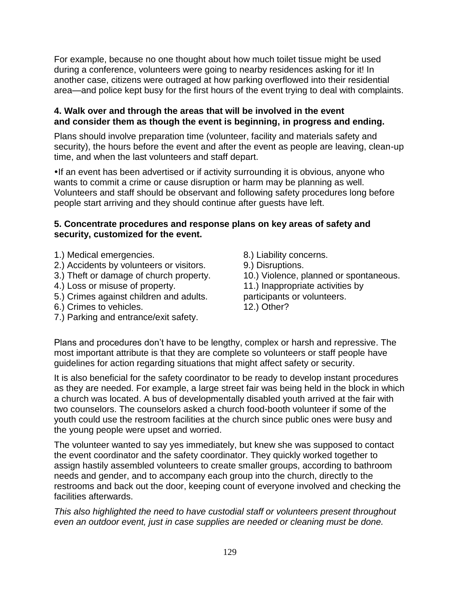For example, because no one thought about how much toilet tissue might be used during a conference, volunteers were going to nearby residences asking for it! In another case, citizens were outraged at how parking overflowed into their residential area—and police kept busy for the first hours of the event trying to deal with complaints.

### **4. Walk over and through the areas that will be involved in the event and consider them as though the event is beginning, in progress and ending.**

Plans should involve preparation time (volunteer, facility and materials safety and security), the hours before the event and after the event as people are leaving, clean-up time, and when the last volunteers and staff depart.

If an event has been advertised or if activity surrounding it is obvious, anyone who wants to commit a crime or cause disruption or harm may be planning as well. Volunteers and staff should be observant and following safety procedures long before people start arriving and they should continue after guests have left.

### **5. Concentrate procedures and response plans on key areas of safety and security, customized for the event.**

- 1.) Medical emergencies.
- 2.) Accidents by volunteers or visitors.
- 3.) Theft or damage of church property.
- 4.) Loss or misuse of property.
- 5.) Crimes against children and adults.
- 6.) Crimes to vehicles.
- 7.) Parking and entrance/exit safety.
- 8.) Liability concerns.
- 9.) Disruptions.
- 10.) Violence, planned or spontaneous.
- 11.) Inappropriate activities by
- participants or volunteers.
- 12.) Other?

Plans and procedures don't have to be lengthy, complex or harsh and repressive. The most important attribute is that they are complete so volunteers or staff people have guidelines for action regarding situations that might affect safety or security.

It is also beneficial for the safety coordinator to be ready to develop instant procedures as they are needed. For example, a large street fair was being held in the block in which a church was located. A bus of developmentally disabled youth arrived at the fair with two counselors. The counselors asked a church food-booth volunteer if some of the youth could use the restroom facilities at the church since public ones were busy and the young people were upset and worried.

The volunteer wanted to say yes immediately, but knew she was supposed to contact the event coordinator and the safety coordinator. They quickly worked together to assign hastily assembled volunteers to create smaller groups, according to bathroom needs and gender, and to accompany each group into the church, directly to the restrooms and back out the door, keeping count of everyone involved and checking the facilities afterwards.

*This also highlighted the need to have custodial staff or volunteers present throughout even an outdoor event, just in case supplies are needed or cleaning must be done.*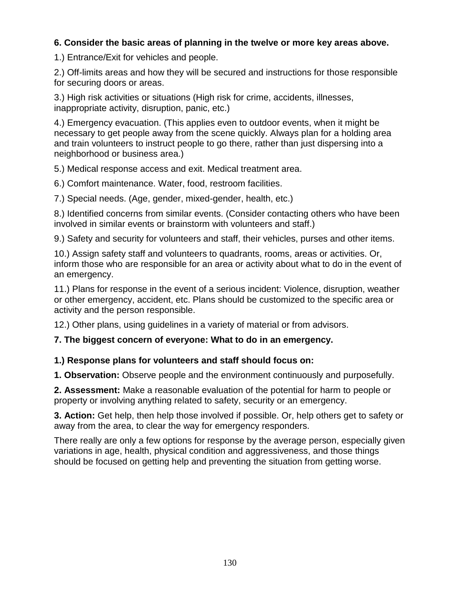# **6. Consider the basic areas of planning in the twelve or more key areas above.**

1.) Entrance/Exit for vehicles and people.

2.) Off-limits areas and how they will be secured and instructions for those responsible for securing doors or areas.

3.) High risk activities or situations (High risk for crime, accidents, illnesses, inappropriate activity, disruption, panic, etc.)

4.) Emergency evacuation. (This applies even to outdoor events, when it might be necessary to get people away from the scene quickly. Always plan for a holding area and train volunteers to instruct people to go there, rather than just dispersing into a neighborhood or business area.)

5.) Medical response access and exit. Medical treatment area.

6.) Comfort maintenance. Water, food, restroom facilities.

7.) Special needs. (Age, gender, mixed-gender, health, etc.)

8.) Identified concerns from similar events. (Consider contacting others who have been involved in similar events or brainstorm with volunteers and staff.)

9.) Safety and security for volunteers and staff, their vehicles, purses and other items.

10.) Assign safety staff and volunteers to quadrants, rooms, areas or activities. Or, inform those who are responsible for an area or activity about what to do in the event of an emergency.

11.) Plans for response in the event of a serious incident: Violence, disruption, weather or other emergency, accident, etc. Plans should be customized to the specific area or activity and the person responsible.

12.) Other plans, using guidelines in a variety of material or from advisors.

### **7. The biggest concern of everyone: What to do in an emergency.**

### **1.) Response plans for volunteers and staff should focus on:**

**1. Observation:** Observe people and the environment continuously and purposefully.

**2. Assessment:** Make a reasonable evaluation of the potential for harm to people or property or involving anything related to safety, security or an emergency.

**3. Action:** Get help, then help those involved if possible. Or, help others get to safety or away from the area, to clear the way for emergency responders.

There really are only a few options for response by the average person, especially given variations in age, health, physical condition and aggressiveness, and those things should be focused on getting help and preventing the situation from getting worse.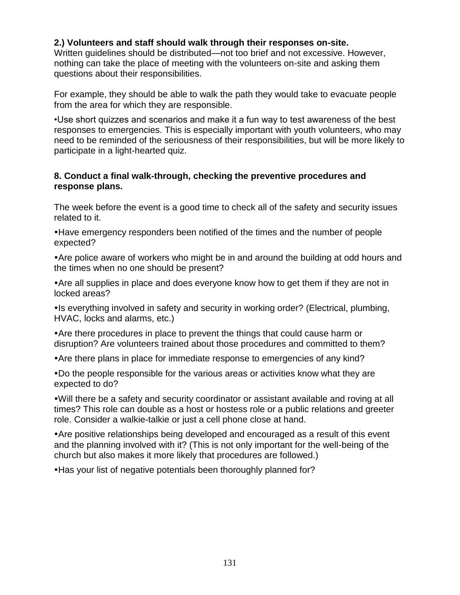# **2.) Volunteers and staff should walk through their responses on-site.**

Written guidelines should be distributed—not too brief and not excessive. However, nothing can take the place of meeting with the volunteers on-site and asking them questions about their responsibilities.

For example, they should be able to walk the path they would take to evacuate people from the area for which they are responsible.

•Use short quizzes and scenarios and make it a fun way to test awareness of the best responses to emergencies. This is especially important with youth volunteers, who may need to be reminded of the seriousness of their responsibilities, but will be more likely to participate in a light-hearted quiz.

### **8. Conduct a final walk-through, checking the preventive procedures and response plans.**

The week before the event is a good time to check all of the safety and security issues related to it.

Have emergency responders been notified of the times and the number of people expected?

Are police aware of workers who might be in and around the building at odd hours and the times when no one should be present?

Are all supplies in place and does everyone know how to get them if they are not in locked areas?

• Is everything involved in safety and security in working order? (Electrical, plumbing, HVAC, locks and alarms, etc.)

Are there procedures in place to prevent the things that could cause harm or disruption? Are volunteers trained about those procedures and committed to them?

Are there plans in place for immediate response to emergencies of any kind?

Do the people responsible for the various areas or activities know what they are expected to do?

Will there be a safety and security coordinator or assistant available and roving at all times? This role can double as a host or hostess role or a public relations and greeter role. Consider a walkie-talkie or just a cell phone close at hand.

Are positive relationships being developed and encouraged as a result of this event and the planning involved with it? (This is not only important for the well-being of the church but also makes it more likely that procedures are followed.)

Has your list of negative potentials been thoroughly planned for?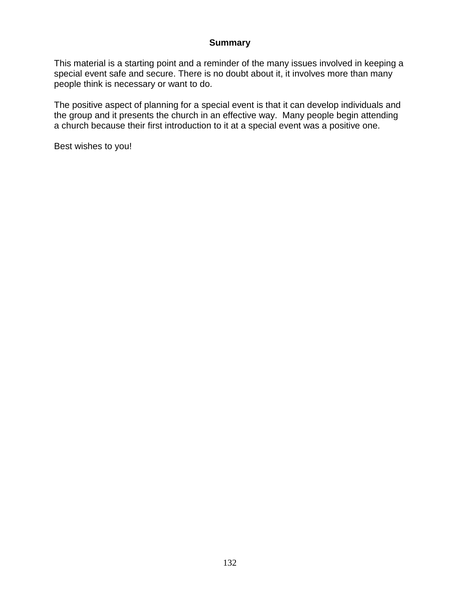### **Summary**

This material is a starting point and a reminder of the many issues involved in keeping a special event safe and secure. There is no doubt about it, it involves more than many people think is necessary or want to do.

The positive aspect of planning for a special event is that it can develop individuals and the group and it presents the church in an effective way. Many people begin attending a church because their first introduction to it at a special event was a positive one.

Best wishes to you!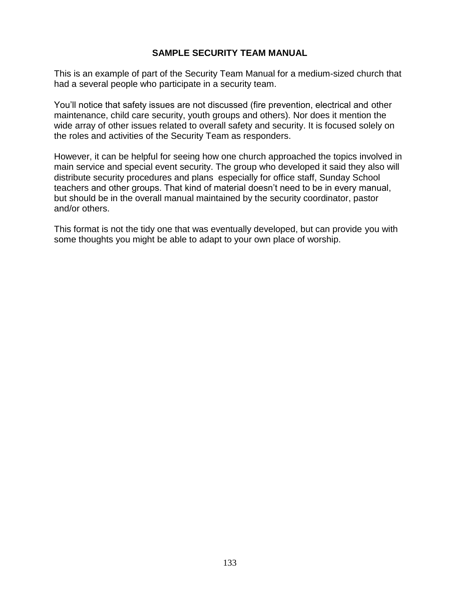# **SAMPLE SECURITY TEAM MANUAL**

This is an example of part of the Security Team Manual for a medium-sized church that had a several people who participate in a security team.

You'll notice that safety issues are not discussed (fire prevention, electrical and other maintenance, child care security, youth groups and others). Nor does it mention the wide array of other issues related to overall safety and security. It is focused solely on the roles and activities of the Security Team as responders.

However, it can be helpful for seeing how one church approached the topics involved in main service and special event security. The group who developed it said they also will distribute security procedures and plans especially for office staff, Sunday School teachers and other groups. That kind of material doesn't need to be in every manual, but should be in the overall manual maintained by the security coordinator, pastor and/or others.

This format is not the tidy one that was eventually developed, but can provide you with some thoughts you might be able to adapt to your own place of worship.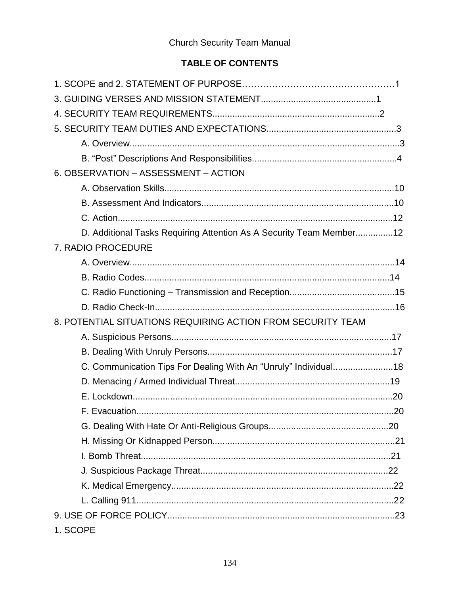# **Church Security Team Manual**

# TABLE OF CONTENTS

| 6. OBSERVATION - ASSESSMENT - ACTION                                |      |
|---------------------------------------------------------------------|------|
|                                                                     |      |
|                                                                     |      |
|                                                                     |      |
| D. Additional Tasks Requiring Attention As A Security Team Member12 |      |
| 7. RADIO PROCEDURE                                                  |      |
|                                                                     |      |
|                                                                     |      |
|                                                                     |      |
|                                                                     |      |
| 8. POTENTIAL SITUATIONS REQUIRING ACTION FROM SECURITY TEAM         |      |
|                                                                     |      |
|                                                                     |      |
| C. Communication Tips For Dealing With An "Unruly" Individual18     |      |
|                                                                     |      |
|                                                                     |      |
| F. Evacuation                                                       | . 20 |
|                                                                     |      |
|                                                                     |      |
|                                                                     |      |
|                                                                     |      |
|                                                                     |      |
|                                                                     |      |
|                                                                     |      |
| 1. SCOPE                                                            |      |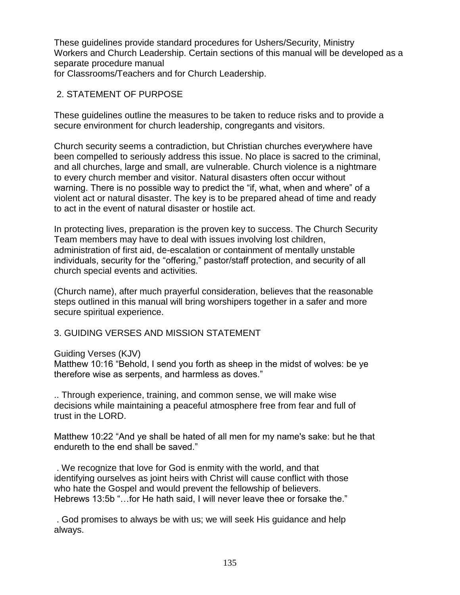These guidelines provide standard procedures for Ushers/Security, Ministry Workers and Church Leadership. Certain sections of this manual will be developed as a separate procedure manual for Classrooms/Teachers and for Church Leadership.

2. STATEMENT OF PURPOSE

These guidelines outline the measures to be taken to reduce risks and to provide a secure environment for church leadership, congregants and visitors.

Church security seems a contradiction, but Christian churches everywhere have been compelled to seriously address this issue. No place is sacred to the criminal, and all churches, large and small, are vulnerable. Church violence is a nightmare to every church member and visitor. Natural disasters often occur without warning. There is no possible way to predict the "if, what, when and where" of a violent act or natural disaster. The key is to be prepared ahead of time and ready to act in the event of natural disaster or hostile act.

In protecting lives, preparation is the proven key to success. The Church Security Team members may have to deal with issues involving lost children, administration of first aid, de-escalation or containment of mentally unstable individuals, security for the "offering," pastor/staff protection, and security of all church special events and activities.

(Church name), after much prayerful consideration, believes that the reasonable steps outlined in this manual will bring worshipers together in a safer and more secure spiritual experience.

# 3. GUIDING VERSES AND MISSION STATEMENT

### Guiding Verses (KJV)

Matthew 10:16 "Behold, I send you forth as sheep in the midst of wolves: be ye therefore wise as serpents, and harmless as doves."

.. Through experience, training, and common sense, we will make wise decisions while maintaining a peaceful atmosphere free from fear and full of trust in the LORD.

Matthew 10:22 "And ye shall be hated of all men for my name's sake: but he that endureth to the end shall be saved."

. We recognize that love for God is enmity with the world, and that identifying ourselves as joint heirs with Christ will cause conflict with those who hate the Gospel and would prevent the fellowship of believers. Hebrews 13:5b "... for He hath said, I will never leave thee or forsake the."

. God promises to always be with us; we will seek His guidance and help always.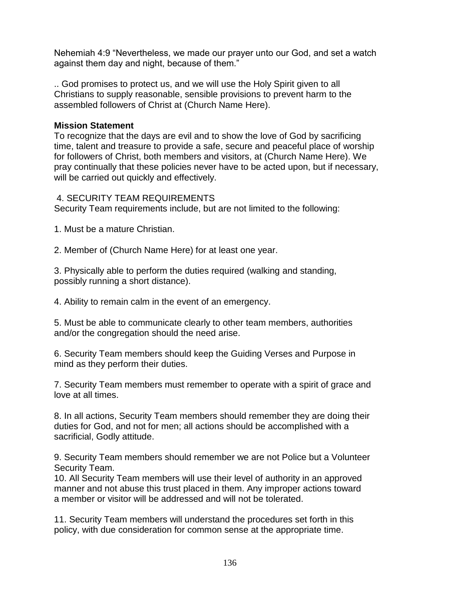Nehemiah 4:9 "Nevertheless, we made our prayer unto our God, and set a watch against them day and night, because of them."

.. God promises to protect us, and we will use the Holy Spirit given to all Christians to supply reasonable, sensible provisions to prevent harm to the assembled followers of Christ at (Church Name Here).

### **Mission Statement**

To recognize that the days are evil and to show the love of God by sacrificing time, talent and treasure to provide a safe, secure and peaceful place of worship for followers of Christ, both members and visitors, at (Church Name Here). We pray continually that these policies never have to be acted upon, but if necessary, will be carried out quickly and effectively.

### 4. SECURITY TEAM REQUIREMENTS

Security Team requirements include, but are not limited to the following:

1. Must be a mature Christian.

2. Member of (Church Name Here) for at least one year.

3. Physically able to perform the duties required (walking and standing, possibly running a short distance).

4. Ability to remain calm in the event of an emergency.

5. Must be able to communicate clearly to other team members, authorities and/or the congregation should the need arise.

6. Security Team members should keep the Guiding Verses and Purpose in mind as they perform their duties.

7. Security Team members must remember to operate with a spirit of grace and love at all times.

8. In all actions, Security Team members should remember they are doing their duties for God, and not for men; all actions should be accomplished with a sacrificial, Godly attitude.

9. Security Team members should remember we are not Police but a Volunteer Security Team.

10. All Security Team members will use their level of authority in an approved manner and not abuse this trust placed in them. Any improper actions toward a member or visitor will be addressed and will not be tolerated.

11. Security Team members will understand the procedures set forth in this policy, with due consideration for common sense at the appropriate time.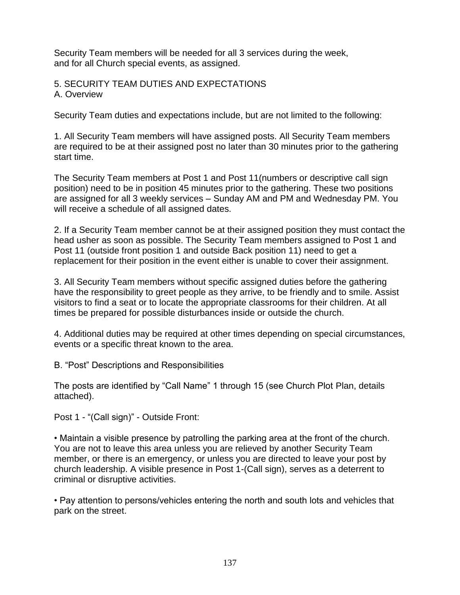Security Team members will be needed for all 3 services during the week, and for all Church special events, as assigned.

5. SECURITY TEAM DUTIES AND EXPECTATIONS A. Overview

Security Team duties and expectations include, but are not limited to the following:

1. All Security Team members will have assigned posts. All Security Team members are required to be at their assigned post no later than 30 minutes prior to the gathering start time.

The Security Team members at Post 1 and Post 11(numbers or descriptive call sign position) need to be in position 45 minutes prior to the gathering. These two positions are assigned for all 3 weekly services – Sunday AM and PM and Wednesday PM. You will receive a schedule of all assigned dates.

2. If a Security Team member cannot be at their assigned position they must contact the head usher as soon as possible. The Security Team members assigned to Post 1 and Post 11 (outside front position 1 and outside Back position 11) need to get a replacement for their position in the event either is unable to cover their assignment.

3. All Security Team members without specific assigned duties before the gathering have the responsibility to greet people as they arrive, to be friendly and to smile. Assist visitors to find a seat or to locate the appropriate classrooms for their children. At all times be prepared for possible disturbances inside or outside the church.

4. Additional duties may be required at other times depending on special circumstances, events or a specific threat known to the area.

B. "Post" Descriptions and Responsibilities

The posts are identified by "Call Name" 1 through 15 (see Church Plot Plan, details attached).

Post 1 - "(Call sign)" - Outside Front:

• Maintain a visible presence by patrolling the parking area at the front of the church. You are not to leave this area unless you are relieved by another Security Team member, or there is an emergency, or unless you are directed to leave your post by church leadership. A visible presence in Post 1-(Call sign), serves as a deterrent to criminal or disruptive activities.

• Pay attention to persons/vehicles entering the north and south lots and vehicles that park on the street.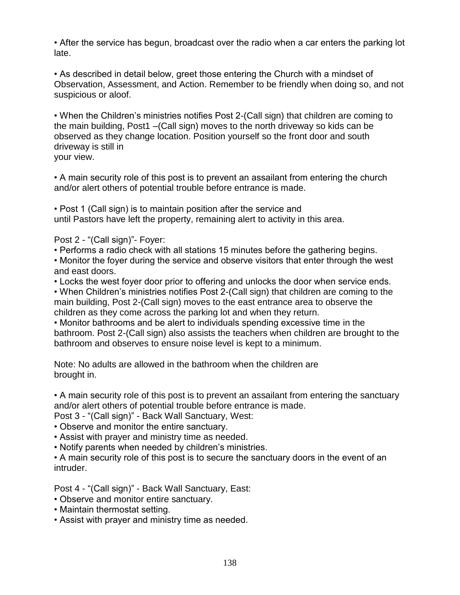• After the service has begun, broadcast over the radio when a car enters the parking lot late.

• As described in detail below, greet those entering the Church with a mindset of Observation, Assessment, and Action. Remember to be friendly when doing so, and not suspicious or aloof.

• When the Children's ministries notifies Post 2-(Call sign) that children are coming to the main building, Post1 –(Call sign) moves to the north driveway so kids can be observed as they change location. Position yourself so the front door and south driveway is still in your view.

• A main security role of this post is to prevent an assailant from entering the church and/or alert others of potential trouble before entrance is made.

• Post 1 (Call sign) is to maintain position after the service and until Pastors have left the property, remaining alert to activity in this area.

Post 2 - "(Call sign)"- Foyer:

• Performs a radio check with all stations 15 minutes before the gathering begins.

• Monitor the foyer during the service and observe visitors that enter through the west and east doors.

• Locks the west foyer door prior to offering and unlocks the door when service ends.

• When Children's ministries notifies Post 2-(Call sign) that children are coming to the main building, Post 2-(Call sign) moves to the east entrance area to observe the children as they come across the parking lot and when they return.

• Monitor bathrooms and be alert to individuals spending excessive time in the bathroom. Post 2-(Call sign) also assists the teachers when children are brought to the bathroom and observes to ensure noise level is kept to a minimum.

Note: No adults are allowed in the bathroom when the children are brought in.

• A main security role of this post is to prevent an assailant from entering the sanctuary and/or alert others of potential trouble before entrance is made.

Post 3 - "(Call sign)" - Back Wall Sanctuary, West:

- Observe and monitor the entire sanctuary.
- Assist with prayer and ministry time as needed.

• Notify parents when needed by children's ministries.

• A main security role of this post is to secure the sanctuary doors in the event of an intruder.

Post 4 - "(Call sign)" - Back Wall Sanctuary, East:

- Observe and monitor entire sanctuary.
- Maintain thermostat setting.
- Assist with prayer and ministry time as needed.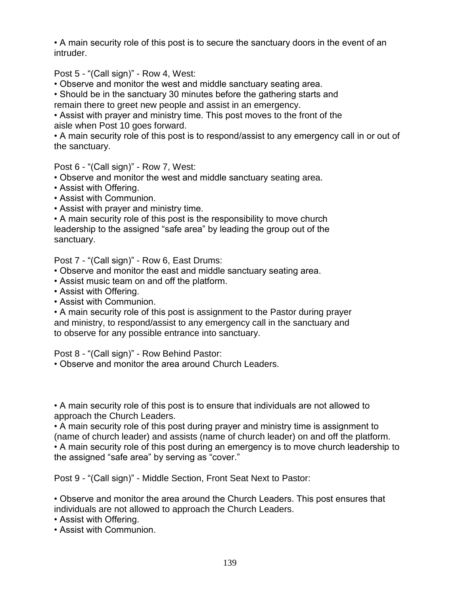• A main security role of this post is to secure the sanctuary doors in the event of an intruder.

Post 5 - "(Call sign)" - Row 4, West:

• Observe and monitor the west and middle sanctuary seating area.

• Should be in the sanctuary 30 minutes before the gathering starts and remain there to greet new people and assist in an emergency.

• Assist with prayer and ministry time. This post moves to the front of the aisle when Post 10 goes forward.

• A main security role of this post is to respond/assist to any emergency call in or out of the sanctuary.

Post 6 - "(Call sign)" - Row 7, West:

• Observe and monitor the west and middle sanctuary seating area.

- Assist with Offering.
- Assist with Communion.
- Assist with prayer and ministry time.

• A main security role of this post is the responsibility to move church leadership to the assigned "safe area" by leading the group out of the sanctuary.

Post 7 - "(Call sign)" - Row 6, East Drums:

- Observe and monitor the east and middle sanctuary seating area.
- Assist music team on and off the platform.
- Assist with Offering.
- Assist with Communion.

• A main security role of this post is assignment to the Pastor during prayer and ministry, to respond/assist to any emergency call in the sanctuary and to observe for any possible entrance into sanctuary.

Post 8 - "(Call sign)" - Row Behind Pastor:

• Observe and monitor the area around Church Leaders.

• A main security role of this post is to ensure that individuals are not allowed to approach the Church Leaders.

• A main security role of this post during prayer and ministry time is assignment to (name of church leader) and assists (name of church leader) on and off the platform. • A main security role of this post during an emergency is to move church leadership to the assigned "safe area" by serving as "cover."

Post 9 - "(Call sign)" - Middle Section, Front Seat Next to Pastor:

• Observe and monitor the area around the Church Leaders. This post ensures that individuals are not allowed to approach the Church Leaders.

• Assist with Offering.

• Assist with Communion.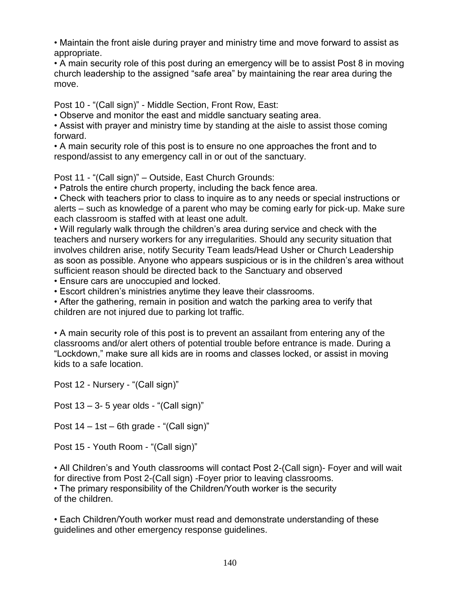• Maintain the front aisle during prayer and ministry time and move forward to assist as appropriate.

• A main security role of this post during an emergency will be to assist Post 8 in moving church leadership to the assigned "safe area" by maintaining the rear area during the move.

Post 10 - "(Call sign)" - Middle Section, Front Row, East:

• Observe and monitor the east and middle sanctuary seating area.

• Assist with prayer and ministry time by standing at the aisle to assist those coming forward.

• A main security role of this post is to ensure no one approaches the front and to respond/assist to any emergency call in or out of the sanctuary.

Post 11 - "(Call sign)" – Outside, East Church Grounds:

• Patrols the entire church property, including the back fence area.

• Check with teachers prior to class to inquire as to any needs or special instructions or alerts – such as knowledge of a parent who may be coming early for pick-up. Make sure each classroom is staffed with at least one adult.

• Will regularly walk through the children's area during service and check with the teachers and nursery workers for any irregularities. Should any security situation that involves children arise, notify Security Team leads/Head Usher or Church Leadership as soon as possible. Anyone who appears suspicious or is in the children's area without sufficient reason should be directed back to the Sanctuary and observed

• Ensure cars are unoccupied and locked.

• Escort children's ministries anytime they leave their classrooms.

• After the gathering, remain in position and watch the parking area to verify that children are not injured due to parking lot traffic.

• A main security role of this post is to prevent an assailant from entering any of the classrooms and/or alert others of potential trouble before entrance is made. During a "Lockdown," make sure all kids are in rooms and classes locked, or assist in moving kids to a safe location.

Post 12 - Nursery - "(Call sign)"

Post  $13 - 3 - 5$  year olds - "(Call sign)"

Post 14 – 1st – 6th grade - "(Call sign)"

Post 15 - Youth Room - "(Call sign)"

• All Children's and Youth classrooms will contact Post 2-(Call sign)- Foyer and will wait for directive from Post 2-(Call sign) -Foyer prior to leaving classrooms.

• The primary responsibility of the Children/Youth worker is the security of the children.

• Each Children/Youth worker must read and demonstrate understanding of these guidelines and other emergency response guidelines.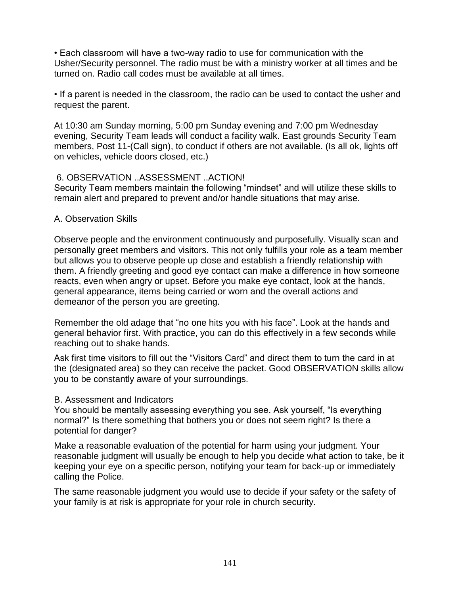• Each classroom will have a two-way radio to use for communication with the Usher/Security personnel. The radio must be with a ministry worker at all times and be turned on. Radio call codes must be available at all times.

• If a parent is needed in the classroom, the radio can be used to contact the usher and request the parent.

At 10:30 am Sunday morning, 5:00 pm Sunday evening and 7:00 pm Wednesday evening, Security Team leads will conduct a facility walk. East grounds Security Team members, Post 11-(Call sign), to conduct if others are not available. (Is all ok, lights off on vehicles, vehicle doors closed, etc.)

## 6. OBSERVATION ..ASSESSMENT ..ACTION!

Security Team members maintain the following "mindset" and will utilize these skills to remain alert and prepared to prevent and/or handle situations that may arise.

## A. Observation Skills

Observe people and the environment continuously and purposefully. Visually scan and personally greet members and visitors. This not only fulfills your role as a team member but allows you to observe people up close and establish a friendly relationship with them. A friendly greeting and good eye contact can make a difference in how someone reacts, even when angry or upset. Before you make eye contact, look at the hands, general appearance, items being carried or worn and the overall actions and demeanor of the person you are greeting.

Remember the old adage that "no one hits you with his face". Look at the hands and general behavior first. With practice, you can do this effectively in a few seconds while reaching out to shake hands.

Ask first time visitors to fill out the "Visitors Card" and direct them to turn the card in at the (designated area) so they can receive the packet. Good OBSERVATION skills allow you to be constantly aware of your surroundings.

### B. Assessment and Indicators

You should be mentally assessing everything you see. Ask yourself, "Is everything normal?" Is there something that bothers you or does not seem right? Is there a potential for danger?

Make a reasonable evaluation of the potential for harm using your judgment. Your reasonable judgment will usually be enough to help you decide what action to take, be it keeping your eye on a specific person, notifying your team for back-up or immediately calling the Police.

The same reasonable judgment you would use to decide if your safety or the safety of your family is at risk is appropriate for your role in church security.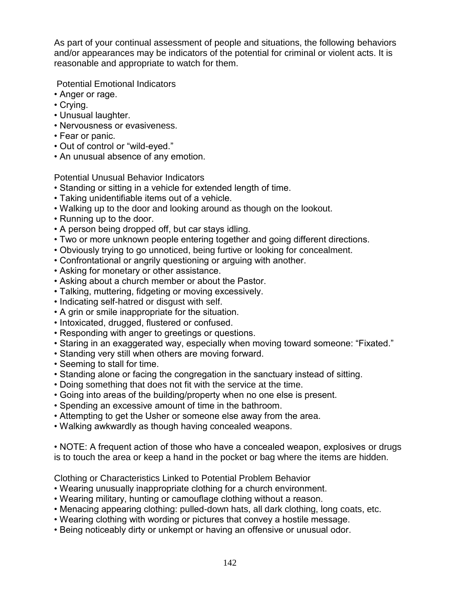As part of your continual assessment of people and situations, the following behaviors and/or appearances may be indicators of the potential for criminal or violent acts. It is reasonable and appropriate to watch for them.

Potential Emotional Indicators

- Anger or rage.
- Crying.
- Unusual laughter.
- Nervousness or evasiveness.
- Fear or panic.
- Out of control or "wild-eyed."
- An unusual absence of any emotion.

Potential Unusual Behavior Indicators

- Standing or sitting in a vehicle for extended length of time.
- Taking unidentifiable items out of a vehicle.
- Walking up to the door and looking around as though on the lookout.
- Running up to the door.
- A person being dropped off, but car stays idling.
- Two or more unknown people entering together and going different directions.
- Obviously trying to go unnoticed, being furtive or looking for concealment.
- Confrontational or angrily questioning or arguing with another.
- Asking for monetary or other assistance.
- Asking about a church member or about the Pastor.
- Talking, muttering, fidgeting or moving excessively.
- Indicating self-hatred or disgust with self.
- A grin or smile inappropriate for the situation.
- Intoxicated, drugged, flustered or confused.
- Responding with anger to greetings or questions.
- Staring in an exaggerated way, especially when moving toward someone: "Fixated."
- Standing very still when others are moving forward.
- Seeming to stall for time.
- Standing alone or facing the congregation in the sanctuary instead of sitting.
- Doing something that does not fit with the service at the time.
- Going into areas of the building/property when no one else is present.
- Spending an excessive amount of time in the bathroom.
- Attempting to get the Usher or someone else away from the area.
- Walking awkwardly as though having concealed weapons.

• NOTE: A frequent action of those who have a concealed weapon, explosives or drugs is to touch the area or keep a hand in the pocket or bag where the items are hidden.

Clothing or Characteristics Linked to Potential Problem Behavior

- Wearing unusually inappropriate clothing for a church environment.
- Wearing military, hunting or camouflage clothing without a reason.
- Menacing appearing clothing: pulled-down hats, all dark clothing, long coats, etc.
- Wearing clothing with wording or pictures that convey a hostile message.
- Being noticeably dirty or unkempt or having an offensive or unusual odor.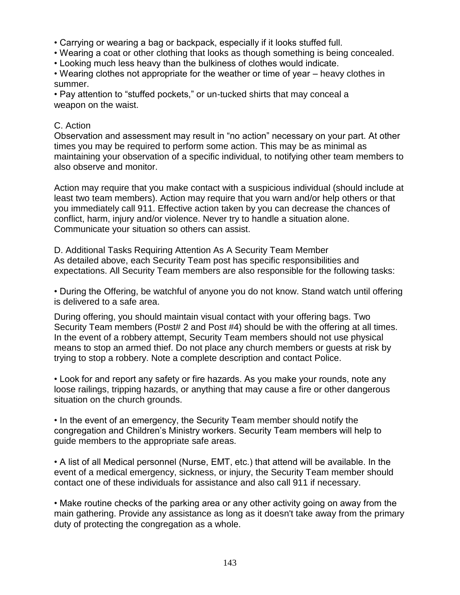- Carrying or wearing a bag or backpack, especially if it looks stuffed full.
- Wearing a coat or other clothing that looks as though something is being concealed.
- Looking much less heavy than the bulkiness of clothes would indicate.
- Wearing clothes not appropriate for the weather or time of year heavy clothes in summer.

• Pay attention to "stuffed pockets," or un-tucked shirts that may conceal a weapon on the waist.

# C. Action

Observation and assessment may result in "no action" necessary on your part. At other times you may be required to perform some action. This may be as minimal as maintaining your observation of a specific individual, to notifying other team members to also observe and monitor.

Action may require that you make contact with a suspicious individual (should include at least two team members). Action may require that you warn and/or help others or that you immediately call 911. Effective action taken by you can decrease the chances of conflict, harm, injury and/or violence. Never try to handle a situation alone. Communicate your situation so others can assist.

D. Additional Tasks Requiring Attention As A Security Team Member As detailed above, each Security Team post has specific responsibilities and expectations. All Security Team members are also responsible for the following tasks:

• During the Offering, be watchful of anyone you do not know. Stand watch until offering is delivered to a safe area.

During offering, you should maintain visual contact with your offering bags. Two Security Team members (Post# 2 and Post #4) should be with the offering at all times. In the event of a robbery attempt, Security Team members should not use physical means to stop an armed thief. Do not place any church members or guests at risk by trying to stop a robbery. Note a complete description and contact Police.

• Look for and report any safety or fire hazards. As you make your rounds, note any loose railings, tripping hazards, or anything that may cause a fire or other dangerous situation on the church grounds.

• In the event of an emergency, the Security Team member should notify the congregation and Children's Ministry workers. Security Team members will help to guide members to the appropriate safe areas.

• A list of all Medical personnel (Nurse, EMT, etc.) that attend will be available. In the event of a medical emergency, sickness, or injury, the Security Team member should contact one of these individuals for assistance and also call 911 if necessary.

• Make routine checks of the parking area or any other activity going on away from the main gathering. Provide any assistance as long as it doesn't take away from the primary duty of protecting the congregation as a whole.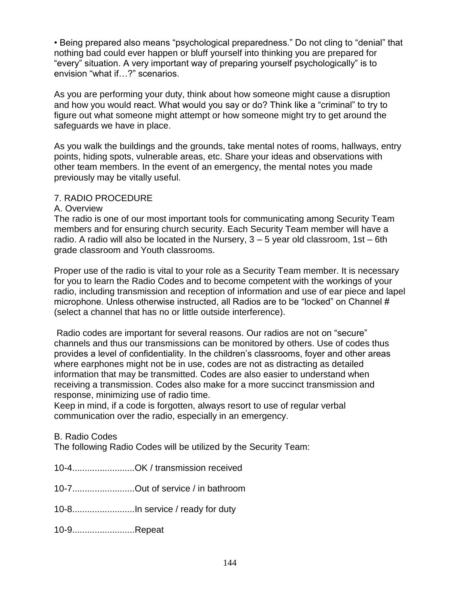• Being prepared also means "psychological preparedness." Do not cling to "denial" that nothing bad could ever happen or bluff yourself into thinking you are prepared for "every" situation. A very important way of preparing yourself psychologically" is to envision "what if…?" scenarios.

As you are performing your duty, think about how someone might cause a disruption and how you would react. What would you say or do? Think like a "criminal" to try to figure out what someone might attempt or how someone might try to get around the safeguards we have in place.

As you walk the buildings and the grounds, take mental notes of rooms, hallways, entry points, hiding spots, vulnerable areas, etc. Share your ideas and observations with other team members. In the event of an emergency, the mental notes you made previously may be vitally useful.

### 7. RADIO PROCEDURE

### A. Overview

The radio is one of our most important tools for communicating among Security Team members and for ensuring church security. Each Security Team member will have a radio. A radio will also be located in the Nursery,  $3 - 5$  year old classroom,  $1st - 6th$ grade classroom and Youth classrooms.

Proper use of the radio is vital to your role as a Security Team member. It is necessary for you to learn the Radio Codes and to become competent with the workings of your radio, including transmission and reception of information and use of ear piece and lapel microphone. Unless otherwise instructed, all Radios are to be "locked" on Channel # (select a channel that has no or little outside interference).

Radio codes are important for several reasons. Our radios are not on "secure" channels and thus our transmissions can be monitored by others. Use of codes thus provides a level of confidentiality. In the children's classrooms, foyer and other areas where earphones might not be in use, codes are not as distracting as detailed information that may be transmitted. Codes are also easier to understand when receiving a transmission. Codes also make for a more succinct transmission and response, minimizing use of radio time.

Keep in mind, if a code is forgotten, always resort to use of regular verbal communication over the radio, especially in an emergency.

### B. Radio Codes

The following Radio Codes will be utilized by the Security Team:

10-4.........................OK / transmission received

10-7.........................Out of service / in bathroom

10-8.........................In service / ready for duty

10-9.........................Repeat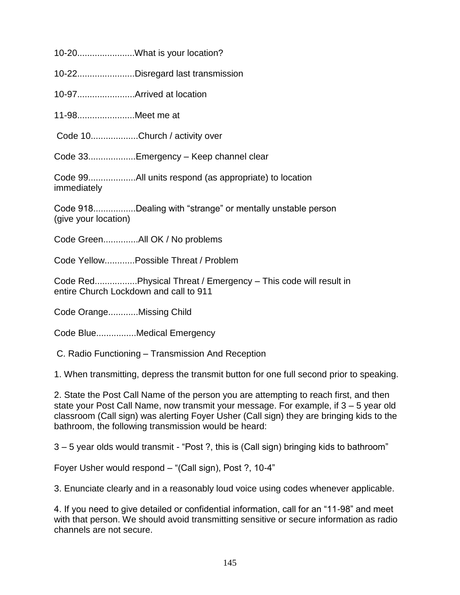10-20.......................What is your location?

10-22.......................Disregard last transmission

10-97.......................Arrived at location

11-98.......................Meet me at

Code 10...................Church / activity over

Code 33...................Emergency – Keep channel clear

Code 99...................All units respond (as appropriate) to location immediately

Code 918.................Dealing with "strange" or mentally unstable person (give your location)

Code Green..............All OK / No problems

Code Yellow............Possible Threat / Problem

Code Red.................Physical Threat / Emergency – This code will result in entire Church Lockdown and call to 911

Code Orange............Missing Child

Code Blue................Medical Emergency

C. Radio Functioning – Transmission And Reception

1. When transmitting, depress the transmit button for one full second prior to speaking.

2. State the Post Call Name of the person you are attempting to reach first, and then state your Post Call Name, now transmit your message. For example, if 3 – 5 year old classroom (Call sign) was alerting Foyer Usher (Call sign) they are bringing kids to the bathroom, the following transmission would be heard:

3 – 5 year olds would transmit - "Post ?, this is (Call sign) bringing kids to bathroom"

Foyer Usher would respond – "(Call sign), Post ?, 10-4"

3. Enunciate clearly and in a reasonably loud voice using codes whenever applicable.

4. If you need to give detailed or confidential information, call for an "11-98" and meet with that person. We should avoid transmitting sensitive or secure information as radio channels are not secure.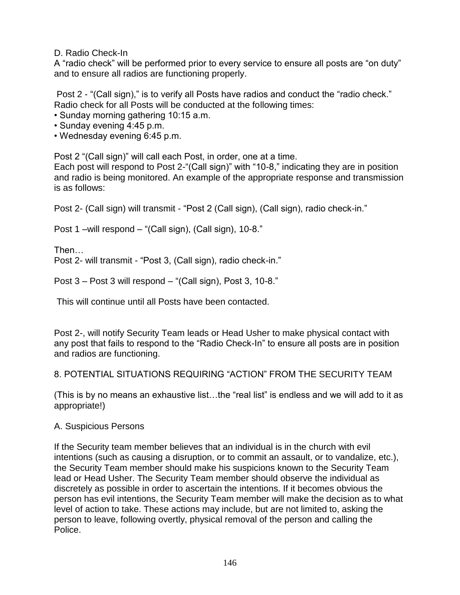D. Radio Check-In

A "radio check" will be performed prior to every service to ensure all posts are "on duty" and to ensure all radios are functioning properly.

Post 2 - "(Call sign)," is to verify all Posts have radios and conduct the "radio check." Radio check for all Posts will be conducted at the following times:

- Sunday morning gathering 10:15 a.m.
- Sunday evening 4:45 p.m.
- Wednesday evening 6:45 p.m.

Post 2 "(Call sign)" will call each Post, in order, one at a time.

Each post will respond to Post 2-"(Call sign)" with "10-8," indicating they are in position and radio is being monitored. An example of the appropriate response and transmission is as follows:

Post 2- (Call sign) will transmit - "Post 2 (Call sign), (Call sign), radio check-in."

Post 1 –will respond – "(Call sign), (Call sign), 10-8."

Then… Post 2- will transmit - "Post 3, (Call sign), radio check-in."

Post 3 – Post 3 will respond – "(Call sign), Post 3, 10-8."

This will continue until all Posts have been contacted.

Post 2-, will notify Security Team leads or Head Usher to make physical contact with any post that fails to respond to the "Radio Check-In" to ensure all posts are in position and radios are functioning.

### 8. POTENTIAL SITUATIONS REQUIRING "ACTION" FROM THE SECURITY TEAM

(This is by no means an exhaustive list…the "real list" is endless and we will add to it as appropriate!)

### A. Suspicious Persons

If the Security team member believes that an individual is in the church with evil intentions (such as causing a disruption, or to commit an assault, or to vandalize, etc.), the Security Team member should make his suspicions known to the Security Team lead or Head Usher. The Security Team member should observe the individual as discretely as possible in order to ascertain the intentions. If it becomes obvious the person has evil intentions, the Security Team member will make the decision as to what level of action to take. These actions may include, but are not limited to, asking the person to leave, following overtly, physical removal of the person and calling the Police.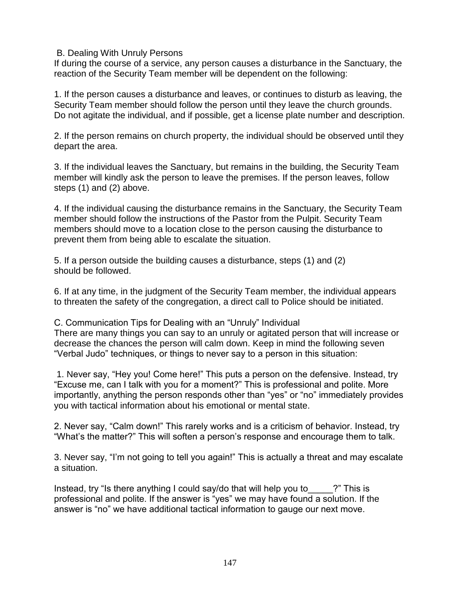#### B. Dealing With Unruly Persons

If during the course of a service, any person causes a disturbance in the Sanctuary, the reaction of the Security Team member will be dependent on the following:

1. If the person causes a disturbance and leaves, or continues to disturb as leaving, the Security Team member should follow the person until they leave the church grounds. Do not agitate the individual, and if possible, get a license plate number and description.

2. If the person remains on church property, the individual should be observed until they depart the area.

3. If the individual leaves the Sanctuary, but remains in the building, the Security Team member will kindly ask the person to leave the premises. If the person leaves, follow steps (1) and (2) above.

4. If the individual causing the disturbance remains in the Sanctuary, the Security Team member should follow the instructions of the Pastor from the Pulpit. Security Team members should move to a location close to the person causing the disturbance to prevent them from being able to escalate the situation.

5. If a person outside the building causes a disturbance, steps (1) and (2) should be followed.

6. If at any time, in the judgment of the Security Team member, the individual appears to threaten the safety of the congregation, a direct call to Police should be initiated.

C. Communication Tips for Dealing with an "Unruly" Individual There are many things you can say to an unruly or agitated person that will increase or decrease the chances the person will calm down. Keep in mind the following seven "Verbal Judo" techniques, or things to never say to a person in this situation:

1. Never say, "Hey you! Come here!" This puts a person on the defensive. Instead, try "Excuse me, can I talk with you for a moment?" This is professional and polite. More importantly, anything the person responds other than "yes" or "no" immediately provides you with tactical information about his emotional or mental state.

2. Never say, "Calm down!" This rarely works and is a criticism of behavior. Instead, try "What's the matter?" This will soften a person's response and encourage them to talk.

3. Never say, "I'm not going to tell you again!" This is actually a threat and may escalate a situation.

Instead, try "Is there anything I could say/do that will help you to  $\hspace{1cm}$  ?" This is professional and polite. If the answer is "yes" we may have found a solution. If the answer is "no" we have additional tactical information to gauge our next move.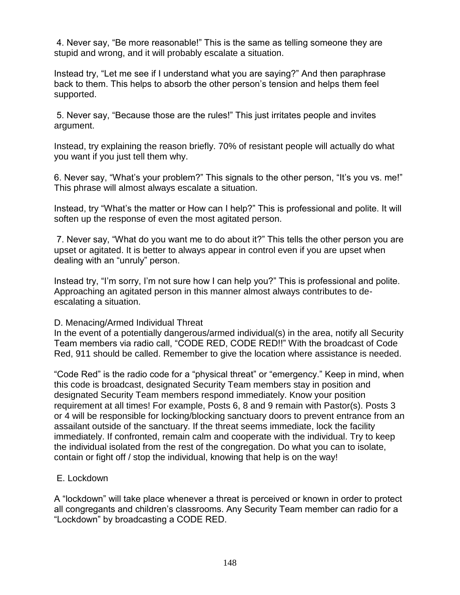4. Never say, "Be more reasonable!" This is the same as telling someone they are stupid and wrong, and it will probably escalate a situation.

Instead try, "Let me see if I understand what you are saying?" And then paraphrase back to them. This helps to absorb the other person's tension and helps them feel supported.

5. Never say, "Because those are the rules!" This just irritates people and invites argument.

Instead, try explaining the reason briefly. 70% of resistant people will actually do what you want if you just tell them why.

6. Never say, "What's your problem?" This signals to the other person, "It's you vs. me!" This phrase will almost always escalate a situation.

Instead, try "What's the matter or How can I help?" This is professional and polite. It will soften up the response of even the most agitated person.

7. Never say, "What do you want me to do about it?" This tells the other person you are upset or agitated. It is better to always appear in control even if you are upset when dealing with an "unruly" person.

Instead try, "I'm sorry, I'm not sure how I can help you?" This is professional and polite. Approaching an agitated person in this manner almost always contributes to deescalating a situation.

### D. Menacing/Armed Individual Threat

In the event of a potentially dangerous/armed individual(s) in the area, notify all Security Team members via radio call, "CODE RED, CODE RED!!" With the broadcast of Code Red, 911 should be called. Remember to give the location where assistance is needed.

"Code Red" is the radio code for a "physical threat" or "emergency." Keep in mind, when this code is broadcast, designated Security Team members stay in position and designated Security Team members respond immediately. Know your position requirement at all times! For example, Posts 6, 8 and 9 remain with Pastor(s). Posts 3 or 4 will be responsible for locking/blocking sanctuary doors to prevent entrance from an assailant outside of the sanctuary. If the threat seems immediate, lock the facility immediately. If confronted, remain calm and cooperate with the individual. Try to keep the individual isolated from the rest of the congregation. Do what you can to isolate, contain or fight off / stop the individual, knowing that help is on the way!

### E. Lockdown

A "lockdown" will take place whenever a threat is perceived or known in order to protect all congregants and children's classrooms. Any Security Team member can radio for a "Lockdown" by broadcasting a CODE RED.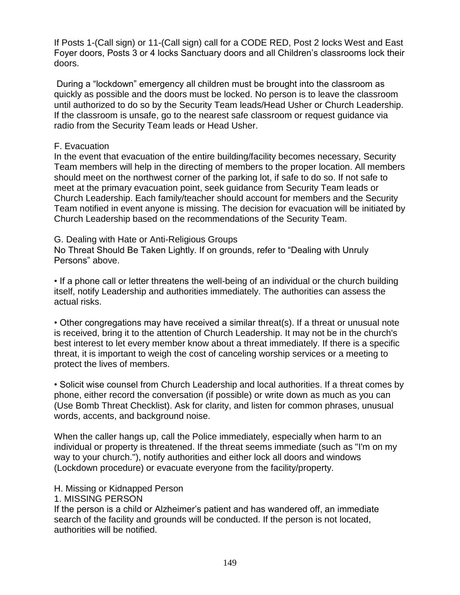If Posts 1-(Call sign) or 11-(Call sign) call for a CODE RED, Post 2 locks West and East Foyer doors, Posts 3 or 4 locks Sanctuary doors and all Children's classrooms lock their doors.

During a "lockdown" emergency all children must be brought into the classroom as quickly as possible and the doors must be locked. No person is to leave the classroom until authorized to do so by the Security Team leads/Head Usher or Church Leadership. If the classroom is unsafe, go to the nearest safe classroom or request guidance via radio from the Security Team leads or Head Usher.

### F. Evacuation

In the event that evacuation of the entire building/facility becomes necessary, Security Team members will help in the directing of members to the proper location. All members should meet on the northwest corner of the parking lot, if safe to do so. If not safe to meet at the primary evacuation point, seek guidance from Security Team leads or Church Leadership. Each family/teacher should account for members and the Security Team notified in event anyone is missing. The decision for evacuation will be initiated by Church Leadership based on the recommendations of the Security Team.

G. Dealing with Hate or Anti-Religious Groups

No Threat Should Be Taken Lightly. If on grounds, refer to "Dealing with Unruly Persons" above.

• If a phone call or letter threatens the well-being of an individual or the church building itself, notify Leadership and authorities immediately. The authorities can assess the actual risks.

• Other congregations may have received a similar threat(s). If a threat or unusual note is received, bring it to the attention of Church Leadership. It may not be in the church's best interest to let every member know about a threat immediately. If there is a specific threat, it is important to weigh the cost of canceling worship services or a meeting to protect the lives of members.

• Solicit wise counsel from Church Leadership and local authorities. If a threat comes by phone, either record the conversation (if possible) or write down as much as you can (Use Bomb Threat Checklist). Ask for clarity, and listen for common phrases, unusual words, accents, and background noise.

When the caller hangs up, call the Police immediately, especially when harm to an individual or property is threatened. If the threat seems immediate (such as "I'm on my way to your church."), notify authorities and either lock all doors and windows (Lockdown procedure) or evacuate everyone from the facility/property.

### H. Missing or Kidnapped Person

1. MISSING PERSON

If the person is a child or Alzheimer's patient and has wandered off, an immediate search of the facility and grounds will be conducted. If the person is not located, authorities will be notified.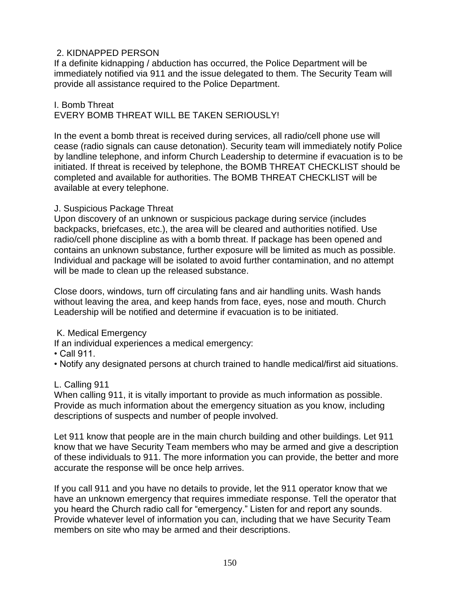### 2. KIDNAPPED PERSON

If a definite kidnapping / abduction has occurred, the Police Department will be immediately notified via 911 and the issue delegated to them. The Security Team will provide all assistance required to the Police Department.

I. Bomb Threat EVERY BOMB THREAT WILL BE TAKEN SERIOUSLY!

In the event a bomb threat is received during services, all radio/cell phone use will cease (radio signals can cause detonation). Security team will immediately notify Police by landline telephone, and inform Church Leadership to determine if evacuation is to be initiated. If threat is received by telephone, the BOMB THREAT CHECKLIST should be completed and available for authorities. The BOMB THREAT CHECKLIST will be available at every telephone.

### J. Suspicious Package Threat

Upon discovery of an unknown or suspicious package during service (includes backpacks, briefcases, etc.), the area will be cleared and authorities notified. Use radio/cell phone discipline as with a bomb threat. If package has been opened and contains an unknown substance, further exposure will be limited as much as possible. Individual and package will be isolated to avoid further contamination, and no attempt will be made to clean up the released substance.

Close doors, windows, turn off circulating fans and air handling units. Wash hands without leaving the area, and keep hands from face, eyes, nose and mouth. Church Leadership will be notified and determine if evacuation is to be initiated.

### K. Medical Emergency

If an individual experiences a medical emergency:

• Call 911.

• Notify any designated persons at church trained to handle medical/first aid situations.

### L. Calling 911

When calling 911, it is vitally important to provide as much information as possible. Provide as much information about the emergency situation as you know, including descriptions of suspects and number of people involved.

Let 911 know that people are in the main church building and other buildings. Let 911 know that we have Security Team members who may be armed and give a description of these individuals to 911. The more information you can provide, the better and more accurate the response will be once help arrives.

If you call 911 and you have no details to provide, let the 911 operator know that we have an unknown emergency that requires immediate response. Tell the operator that you heard the Church radio call for "emergency." Listen for and report any sounds. Provide whatever level of information you can, including that we have Security Team members on site who may be armed and their descriptions.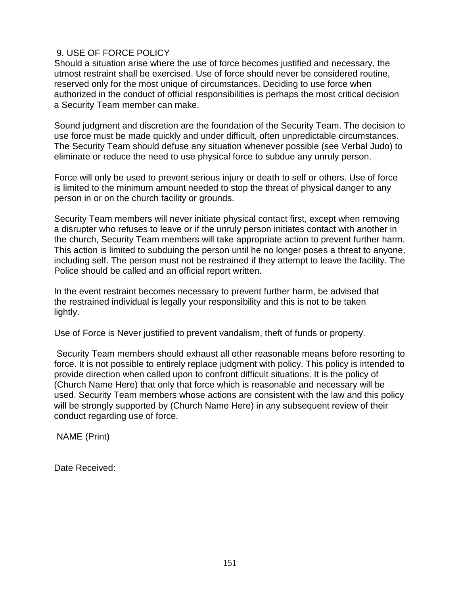### 9. USE OF FORCE POLICY

Should a situation arise where the use of force becomes justified and necessary, the utmost restraint shall be exercised. Use of force should never be considered routine, reserved only for the most unique of circumstances. Deciding to use force when authorized in the conduct of official responsibilities is perhaps the most critical decision a Security Team member can make.

Sound judgment and discretion are the foundation of the Security Team. The decision to use force must be made quickly and under difficult, often unpredictable circumstances. The Security Team should defuse any situation whenever possible (see Verbal Judo) to eliminate or reduce the need to use physical force to subdue any unruly person.

Force will only be used to prevent serious injury or death to self or others. Use of force is limited to the minimum amount needed to stop the threat of physical danger to any person in or on the church facility or grounds.

Security Team members will never initiate physical contact first, except when removing a disrupter who refuses to leave or if the unruly person initiates contact with another in the church, Security Team members will take appropriate action to prevent further harm. This action is limited to subduing the person until he no longer poses a threat to anyone, including self. The person must not be restrained if they attempt to leave the facility. The Police should be called and an official report written.

In the event restraint becomes necessary to prevent further harm, be advised that the restrained individual is legally your responsibility and this is not to be taken lightly.

Use of Force is Never justified to prevent vandalism, theft of funds or property.

Security Team members should exhaust all other reasonable means before resorting to force. It is not possible to entirely replace judgment with policy. This policy is intended to provide direction when called upon to confront difficult situations. It is the policy of (Church Name Here) that only that force which is reasonable and necessary will be used. Security Team members whose actions are consistent with the law and this policy will be strongly supported by (Church Name Here) in any subsequent review of their conduct regarding use of force.

NAME (Print)

Date Received: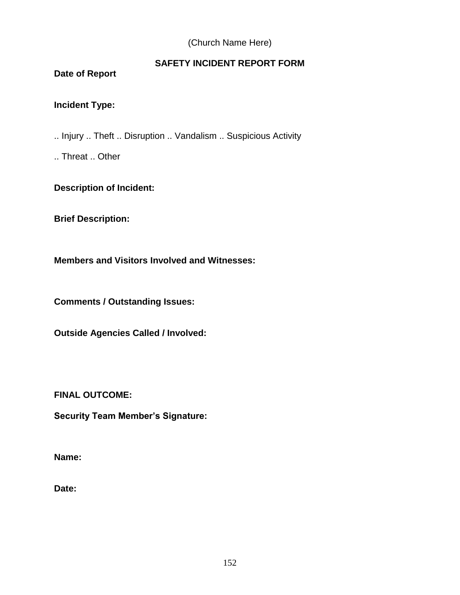### (Church Name Here)

# **SAFETY INCIDENT REPORT FORM**

**Date of Report** 

# **Incident Type:**

.. Injury .. Theft .. Disruption .. Vandalism .. Suspicious Activity

.. Threat .. Other

## **Description of Incident:**

**Brief Description:** 

**Members and Visitors Involved and Witnesses:** 

**Comments / Outstanding Issues:** 

**Outside Agencies Called / Involved:** 

**FINAL OUTCOME:** 

**Security Team Member's Signature:** 

**Name:** 

**Date:**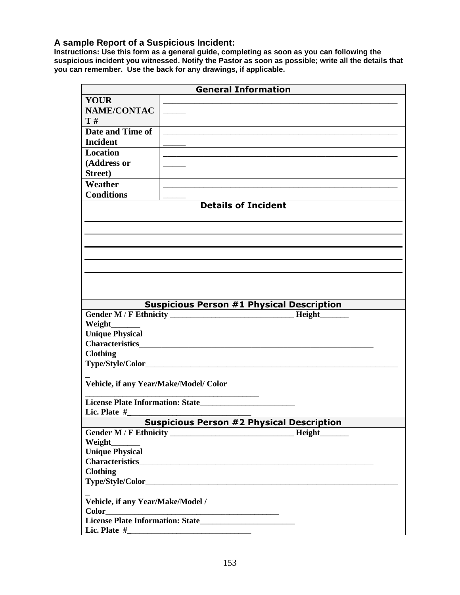#### **A sample Report of a Suspicious Incident:**

**Instructions: Use this form as a general guide, completing as soon as you can following the suspicious incident you witnessed. Notify the Pastor as soon as possible; write all the details that you can remember. Use the back for any drawings, if applicable.**

|                                                                                                                                        | <b>General Information</b>                       |  |  |  |
|----------------------------------------------------------------------------------------------------------------------------------------|--------------------------------------------------|--|--|--|
| <b>YOUR</b>                                                                                                                            |                                                  |  |  |  |
| <b>NAME/CONTAC</b>                                                                                                                     |                                                  |  |  |  |
| T#                                                                                                                                     |                                                  |  |  |  |
| Date and Time of                                                                                                                       |                                                  |  |  |  |
| <b>Incident</b>                                                                                                                        |                                                  |  |  |  |
| <b>Location</b>                                                                                                                        |                                                  |  |  |  |
| (Address or                                                                                                                            |                                                  |  |  |  |
| Street)                                                                                                                                |                                                  |  |  |  |
| Weather                                                                                                                                |                                                  |  |  |  |
| <b>Conditions</b>                                                                                                                      |                                                  |  |  |  |
| <b>Details of Incident</b>                                                                                                             |                                                  |  |  |  |
|                                                                                                                                        |                                                  |  |  |  |
|                                                                                                                                        |                                                  |  |  |  |
|                                                                                                                                        |                                                  |  |  |  |
|                                                                                                                                        |                                                  |  |  |  |
|                                                                                                                                        |                                                  |  |  |  |
|                                                                                                                                        |                                                  |  |  |  |
|                                                                                                                                        |                                                  |  |  |  |
|                                                                                                                                        |                                                  |  |  |  |
|                                                                                                                                        | <b>Suspicious Person #1 Physical Description</b> |  |  |  |
|                                                                                                                                        | Height                                           |  |  |  |
| Weight_                                                                                                                                |                                                  |  |  |  |
| <b>Unique Physical</b>                                                                                                                 |                                                  |  |  |  |
| Characteristics <b>Characteristics</b>                                                                                                 |                                                  |  |  |  |
| <b>Clothing</b>                                                                                                                        |                                                  |  |  |  |
| Type/Style/Color_                                                                                                                      |                                                  |  |  |  |
|                                                                                                                                        |                                                  |  |  |  |
| Vehicle, if any Year/Make/Model/ Color                                                                                                 |                                                  |  |  |  |
|                                                                                                                                        |                                                  |  |  |  |
| Lic. Plate #                                                                                                                           |                                                  |  |  |  |
| <b>Suspicious Person #2 Physical Description</b>                                                                                       |                                                  |  |  |  |
|                                                                                                                                        | <b>Height</b>                                    |  |  |  |
| <b>Weight</b>                                                                                                                          |                                                  |  |  |  |
| <b>Unique Physical</b>                                                                                                                 |                                                  |  |  |  |
| <b>Characteristics</b>                                                                                                                 |                                                  |  |  |  |
| <b>Clothing</b>                                                                                                                        |                                                  |  |  |  |
|                                                                                                                                        |                                                  |  |  |  |
|                                                                                                                                        |                                                  |  |  |  |
| Vehicle, if any Year/Make/Model /                                                                                                      |                                                  |  |  |  |
| <b>Color</b><br><u> 1989 - Johann Stoff, deutscher Stoffen und der Stoffen und der Stoffen und der Stoffen und der Stoffen und der</u> |                                                  |  |  |  |
|                                                                                                                                        |                                                  |  |  |  |
| Lic. Plate #                                                                                                                           |                                                  |  |  |  |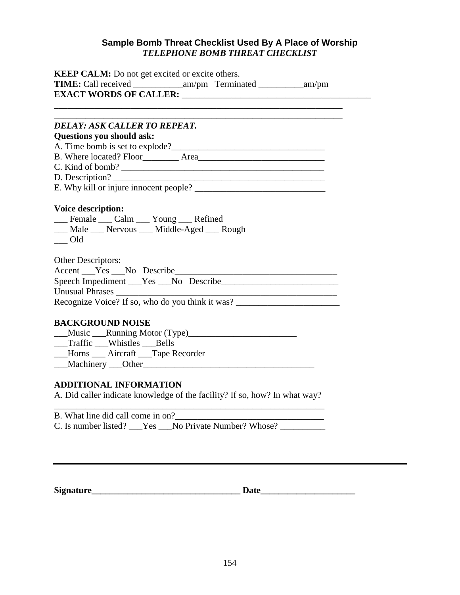### **Sample Bomb Threat Checklist Used By A Place of Worship** *TELEPHONE BOMB THREAT CHECKLIST*

| <b>KEEP CALM:</b> Do not get excited or excite others.                                                                                                                                                                         |  |  |  |  |
|--------------------------------------------------------------------------------------------------------------------------------------------------------------------------------------------------------------------------------|--|--|--|--|
|                                                                                                                                                                                                                                |  |  |  |  |
|                                                                                                                                                                                                                                |  |  |  |  |
|                                                                                                                                                                                                                                |  |  |  |  |
| <b>DELAY: ASK CALLER TO REPEAT.</b>                                                                                                                                                                                            |  |  |  |  |
| Questions you should ask:                                                                                                                                                                                                      |  |  |  |  |
|                                                                                                                                                                                                                                |  |  |  |  |
|                                                                                                                                                                                                                                |  |  |  |  |
|                                                                                                                                                                                                                                |  |  |  |  |
|                                                                                                                                                                                                                                |  |  |  |  |
|                                                                                                                                                                                                                                |  |  |  |  |
|                                                                                                                                                                                                                                |  |  |  |  |
| <b>Voice description:</b>                                                                                                                                                                                                      |  |  |  |  |
| __ Female __ Calm __ Young __ Refined<br>__ Male __ Nervous __ Middle-Aged __ Rough                                                                                                                                            |  |  |  |  |
| $\qquad$ Old                                                                                                                                                                                                                   |  |  |  |  |
|                                                                                                                                                                                                                                |  |  |  |  |
| <b>Other Descriptors:</b>                                                                                                                                                                                                      |  |  |  |  |
| Accent Pes No Describe                                                                                                                                                                                                         |  |  |  |  |
|                                                                                                                                                                                                                                |  |  |  |  |
| <u> 1989 - Johann Barn, mars an t-Amerikaansk politiker (</u>                                                                                                                                                                  |  |  |  |  |
| Recognize Voice? If so, who do you think it was? ________________________________                                                                                                                                              |  |  |  |  |
|                                                                                                                                                                                                                                |  |  |  |  |
| <b>BACKGROUND NOISE</b>                                                                                                                                                                                                        |  |  |  |  |
|                                                                                                                                                                                                                                |  |  |  |  |
| __Traffic __Whistles __Bells                                                                                                                                                                                                   |  |  |  |  |
| __Horns ___ Aircraft __Tape Recorder                                                                                                                                                                                           |  |  |  |  |
| Machinery Other Changes and Machinery Machinery Changes and Machinery Machinery and Machinery and Machinery and Machinery and Machinery and Machinery and Machinery and Machinery and Machinery and Machinery and Machinery an |  |  |  |  |
| <b>ADDITIONAL INFORMATION</b>                                                                                                                                                                                                  |  |  |  |  |
| A. Did caller indicate knowledge of the facility? If so, how? In what way?                                                                                                                                                     |  |  |  |  |
|                                                                                                                                                                                                                                |  |  |  |  |
|                                                                                                                                                                                                                                |  |  |  |  |

| B. What line did call come in on? |                                                    |  |
|-----------------------------------|----------------------------------------------------|--|
|                                   | C. Is number listed? Yes No Private Number? Whose? |  |

| Signature |  |
|-----------|--|
|-----------|--|